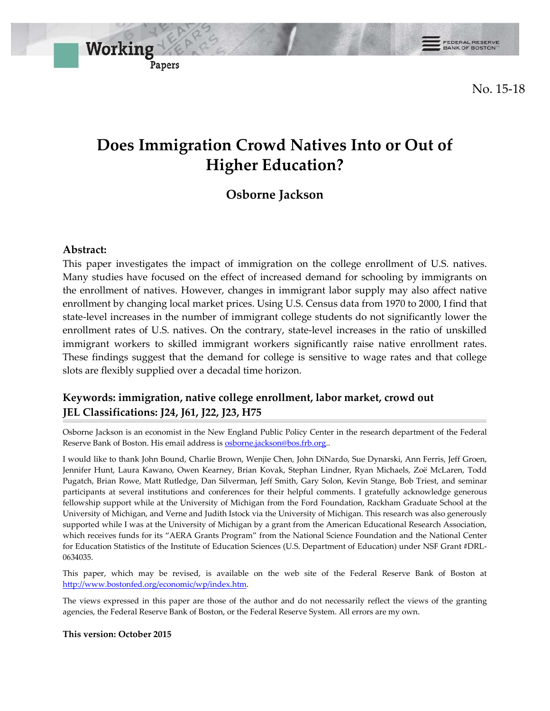FEDERAL RESERVE

No. 15-18

# **Does Immigration Crowd Natives Into or Out of Higher Education?**

## **Osborne Jackson**

### **Abstract:**

This paper investigates the impact of immigration on the college enrollment of U.S. natives. Many studies have focused on the effect of increased demand for schooling by immigrants on the enrollment of natives. However, changes in immigrant labor supply may also affect native enrollment by changing local market prices. Using U.S. Census data from 1970 to 2000, I find that state-level increases in the number of immigrant college students do not significantly lower the enrollment rates of U.S. natives. On the contrary, state-level increases in the ratio of unskilled immigrant workers to skilled immigrant workers significantly raise native enrollment rates. These findings suggest that the demand for college is sensitive to wage rates and that college slots are flexibly supplied over a decadal time horizon.

### **Keywords: immigration, native college enrollment, labor market, crowd out JEL Classifications: J24, J61, J22, J23, H75**

Osborne Jackson is an economist in the New England Public Policy Center in the research department of the Federal Reserve Bank of Boston. His email address is **osborne.jackson@bos.frb.org**.

I would like to thank John Bound, Charlie Brown, Wenjie Chen, John DiNardo, Sue Dynarski, Ann Ferris, Jeff Groen, Jennifer Hunt, Laura Kawano, Owen Kearney, Brian Kovak, Stephan Lindner, Ryan Michaels, Zoё McLaren, Todd Pugatch, Brian Rowe, Matt Rutledge, Dan Silverman, Jeff Smith, Gary Solon, Kevin Stange, Bob Triest, and seminar participants at several institutions and conferences for their helpful comments. I gratefully acknowledge generous fellowship support while at the University of Michigan from the Ford Foundation, Rackham Graduate School at the University of Michigan, and Verne and Judith Istock via the University of Michigan. This research was also generously supported while I was at the University of Michigan by a grant from the American Educational Research Association, which receives funds for its "AERA Grants Program" from the National Science Foundation and the National Center for Education Statistics of the Institute of Education Sciences (U.S. Department of Education) under NSF Grant #DRL-0634035.

This paper, which may be revised, is available on the web site of the Federal Reserve Bank of Boston at http://www.bostonfed.org/economic/wp/index.htm.

The views expressed in this paper are those of the author and do not necessarily reflect the views of the granting agencies, the Federal Reserve Bank of Boston, or the Federal Reserve System. All errors are my own.

**This version: October 2015**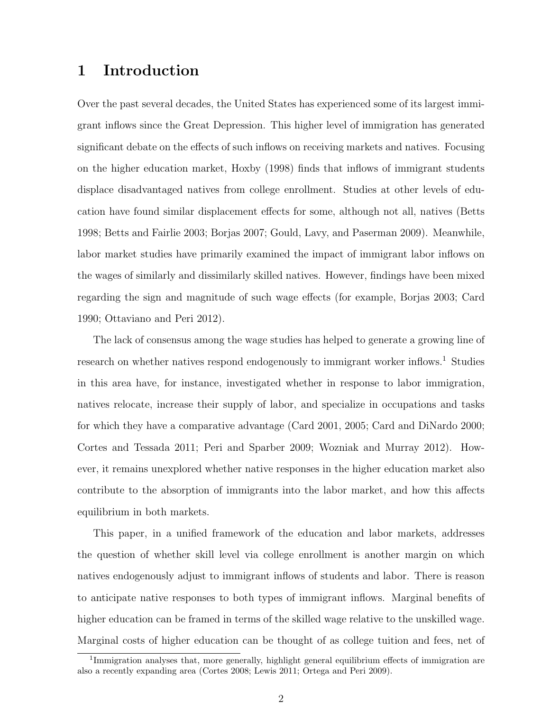## 1 Introduction

Over the past several decades, the United States has experienced some of its largest immigrant inflows since the Great Depression. This higher level of immigration has generated significant debate on the effects of such inflows on receiving markets and natives. Focusing on the higher education market, Hoxby (1998) finds that inflows of immigrant students displace disadvantaged natives from college enrollment. Studies at other levels of education have found similar displacement effects for some, although not all, natives (Betts 1998; Betts and Fairlie 2003; Borjas 2007; Gould, Lavy, and Paserman 2009). Meanwhile, labor market studies have primarily examined the impact of immigrant labor inflows on the wages of similarly and dissimilarly skilled natives. However, findings have been mixed regarding the sign and magnitude of such wage effects (for example, Borjas 2003; Card 1990; Ottaviano and Peri 2012).

The lack of consensus among the wage studies has helped to generate a growing line of research on whether natives respond endogenously to immigrant worker inflows.<sup>1</sup> Studies in this area have, for instance, investigated whether in response to labor immigration, natives relocate, increase their supply of labor, and specialize in occupations and tasks for which they have a comparative advantage (Card 2001, 2005; Card and DiNardo 2000; Cortes and Tessada 2011; Peri and Sparber 2009; Wozniak and Murray 2012). However, it remains unexplored whether native responses in the higher education market also contribute to the absorption of immigrants into the labor market, and how this affects equilibrium in both markets.

This paper, in a unified framework of the education and labor markets, addresses the question of whether skill level via college enrollment is another margin on which natives endogenously adjust to immigrant inflows of students and labor. There is reason to anticipate native responses to both types of immigrant inflows. Marginal benefits of higher education can be framed in terms of the skilled wage relative to the unskilled wage. Marginal costs of higher education can be thought of as college tuition and fees, net of

<sup>&</sup>lt;sup>1</sup>Immigration analyses that, more generally, highlight general equilibrium effects of immigration are also a recently expanding area (Cortes 2008; Lewis 2011; Ortega and Peri 2009).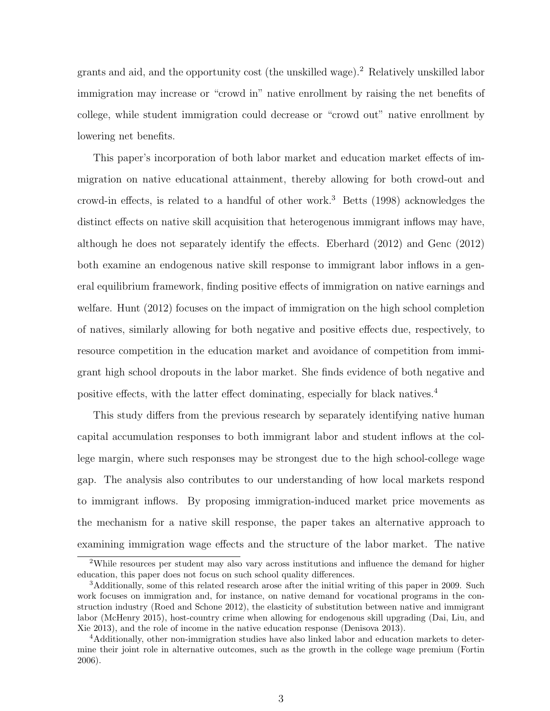grants and aid, and the opportunity cost (the unskilled wage).<sup>2</sup> Relatively unskilled labor immigration may increase or "crowd in" native enrollment by raising the net benefits of college, while student immigration could decrease or "crowd out" native enrollment by lowering net benefits.

This paper's incorporation of both labor market and education market effects of immigration on native educational attainment, thereby allowing for both crowd-out and crowd-in effects, is related to a handful of other work.<sup>3</sup> Betts  $(1998)$  acknowledges the distinct effects on native skill acquisition that heterogenous immigrant inflows may have, although he does not separately identify the effects. Eberhard (2012) and Genc (2012) both examine an endogenous native skill response to immigrant labor inflows in a general equilibrium framework, finding positive effects of immigration on native earnings and welfare. Hunt (2012) focuses on the impact of immigration on the high school completion of natives, similarly allowing for both negative and positive effects due, respectively, to resource competition in the education market and avoidance of competition from immigrant high school dropouts in the labor market. She finds evidence of both negative and positive effects, with the latter effect dominating, especially for black natives.<sup>4</sup>

This study differs from the previous research by separately identifying native human capital accumulation responses to both immigrant labor and student inflows at the college margin, where such responses may be strongest due to the high school-college wage gap. The analysis also contributes to our understanding of how local markets respond to immigrant inflows. By proposing immigration-induced market price movements as the mechanism for a native skill response, the paper takes an alternative approach to examining immigration wage effects and the structure of the labor market. The native

<sup>&</sup>lt;sup>2</sup>While resources per student may also vary across institutions and influence the demand for higher education, this paper does not focus on such school quality differences.

<sup>3</sup>Additionally, some of this related research arose after the initial writing of this paper in 2009. Such work focuses on immigration and, for instance, on native demand for vocational programs in the construction industry (Roed and Schone 2012), the elasticity of substitution between native and immigrant labor (McHenry 2015), host-country crime when allowing for endogenous skill upgrading (Dai, Liu, and Xie 2013), and the role of income in the native education response (Denisova 2013).

<sup>4</sup>Additionally, other non-immigration studies have also linked labor and education markets to determine their joint role in alternative outcomes, such as the growth in the college wage premium (Fortin 2006).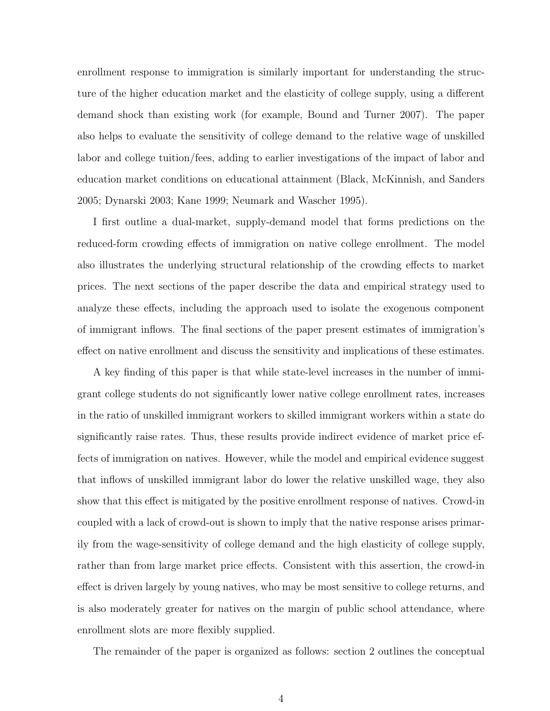enrollment response to immigration is similarly important for understanding the structure of the higher education market and the elasticity of college supply, using a different demand shock than existing work (for example, Bound and Turner 2007). The paper also helps to evaluate the sensitivity of college demand to the relative wage of unskilled labor and college tuition/fees, adding to earlier investigations of the impact of labor and education market conditions on educational attainment (Black, McKinnish, and Sanders 2005; Dynarski 2003; Kane 1999; Neumark and Wascher 1995).

I first outline a dual-market, supply-demand model that forms predictions on the reduced-form crowding effects of immigration on native college enrollment. The model also illustrates the underlying structural relationship of the crowding effects to market prices. The next sections of the paper describe the data and empirical strategy used to analyze these effects, including the approach used to isolate the exogenous component of immigrant inflows. The final sections of the paper present estimates of immigration's effect on native enrollment and discuss the sensitivity and implications of these estimates.

A key finding of this paper is that while state-level increases in the number of immigrant college students do not significantly lower native college enrollment rates, increases in the ratio of unskilled immigrant workers to skilled immigrant workers within a state do significantly raise rates. Thus, these results provide indirect evidence of market price effects of immigration on natives. However, while the model and empirical evidence suggest that inflows of unskilled immigrant labor do lower the relative unskilled wage, they also show that this effect is mitigated by the positive enrollment response of natives. Crowd-in coupled with a lack of crowd-out is shown to imply that the native response arises primarily from the wage-sensitivity of college demand and the high elasticity of college supply, rather than from large market price effects. Consistent with this assertion, the crowd-in effect is driven largely by young natives, who may be most sensitive to college returns, and is also moderately greater for natives on the margin of public school attendance, where enrollment slots are more flexibly supplied.

The remainder of the paper is organized as follows: section 2 outlines the conceptual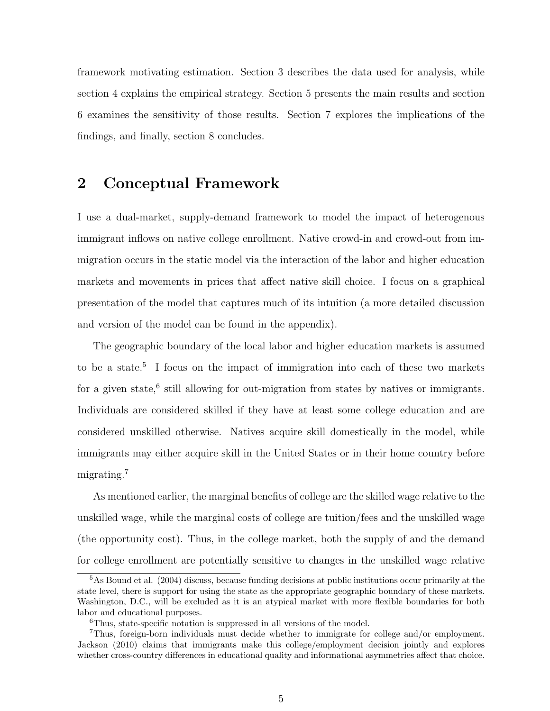framework motivating estimation. Section 3 describes the data used for analysis, while section 4 explains the empirical strategy. Section 5 presents the main results and section 6 examines the sensitivity of those results. Section 7 explores the implications of the findings, and finally, section 8 concludes.

## 2 Conceptual Framework

I use a dual-market, supply-demand framework to model the impact of heterogenous immigrant inflows on native college enrollment. Native crowd-in and crowd-out from immigration occurs in the static model via the interaction of the labor and higher education markets and movements in prices that affect native skill choice. I focus on a graphical presentation of the model that captures much of its intuition (a more detailed discussion and version of the model can be found in the appendix).

The geographic boundary of the local labor and higher education markets is assumed to be a state.<sup>5</sup> I focus on the impact of immigration into each of these two markets for a given state,<sup>6</sup> still allowing for out-migration from states by natives or immigrants. Individuals are considered skilled if they have at least some college education and are considered unskilled otherwise. Natives acquire skill domestically in the model, while immigrants may either acquire skill in the United States or in their home country before migrating.<sup>7</sup>

As mentioned earlier, the marginal benefits of college are the skilled wage relative to the unskilled wage, while the marginal costs of college are tuition/fees and the unskilled wage (the opportunity cost). Thus, in the college market, both the supply of and the demand for college enrollment are potentially sensitive to changes in the unskilled wage relative

<sup>5</sup>As Bound et al. (2004) discuss, because funding decisions at public institutions occur primarily at the state level, there is support for using the state as the appropriate geographic boundary of these markets. Washington, D.C., will be excluded as it is an atypical market with more flexible boundaries for both labor and educational purposes.

<sup>6</sup>Thus, state-specific notation is suppressed in all versions of the model.

<sup>7</sup>Thus, foreign-born individuals must decide whether to immigrate for college and/or employment. Jackson (2010) claims that immigrants make this college/employment decision jointly and explores whether cross-country differences in educational quality and informational asymmetries affect that choice.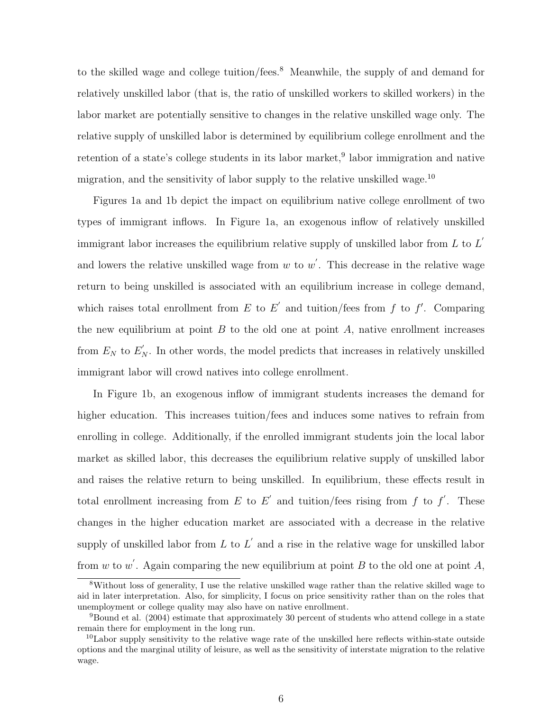to the skilled wage and college tuition/fees.<sup>8</sup> Meanwhile, the supply of and demand for relatively unskilled labor (that is, the ratio of unskilled workers to skilled workers) in the labor market are potentially sensitive to changes in the relative unskilled wage only. The relative supply of unskilled labor is determined by equilibrium college enrollment and the retention of a state's college students in its labor market,<sup>9</sup> labor immigration and native migration, and the sensitivity of labor supply to the relative unskilled wage.<sup>10</sup>

Figures 1a and 1b depict the impact on equilibrium native college enrollment of two types of immigrant inflows. In Figure 1a, an exogenous inflow of relatively unskilled immigrant labor increases the equilibrium relative supply of unskilled labor from L to  $L'$ and lowers the relative unskilled wage from  $w$  to  $w'$ . This decrease in the relative wage return to being unskilled is associated with an equilibrium increase in college demand, which raises total enrollment from E to E' and tuition/fees from f to f'. Comparing the new equilibrium at point  $B$  to the old one at point  $A$ , native enrollment increases from  $E_N$  to  $E'_N$ . In other words, the model predicts that increases in relatively unskilled immigrant labor will crowd natives into college enrollment.

In Figure 1b, an exogenous inflow of immigrant students increases the demand for higher education. This increases tuition/fees and induces some natives to refrain from enrolling in college. Additionally, if the enrolled immigrant students join the local labor market as skilled labor, this decreases the equilibrium relative supply of unskilled labor and raises the relative return to being unskilled. In equilibrium, these effects result in total enrollment increasing from E to E' and tuition/fees rising from f to f'. These changes in the higher education market are associated with a decrease in the relative supply of unskilled labor from L to L' and a rise in the relative wage for unskilled labor from w to w'. Again comparing the new equilibrium at point B to the old one at point A,

<sup>8</sup>Without loss of generality, I use the relative unskilled wage rather than the relative skilled wage to aid in later interpretation. Also, for simplicity, I focus on price sensitivity rather than on the roles that unemployment or college quality may also have on native enrollment.

<sup>9</sup>Bound et al. (2004) estimate that approximately 30 percent of students who attend college in a state remain there for employment in the long run.

 $10<sup>10</sup>$ Labor supply sensitivity to the relative wage rate of the unskilled here reflects within-state outside options and the marginal utility of leisure, as well as the sensitivity of interstate migration to the relative wage.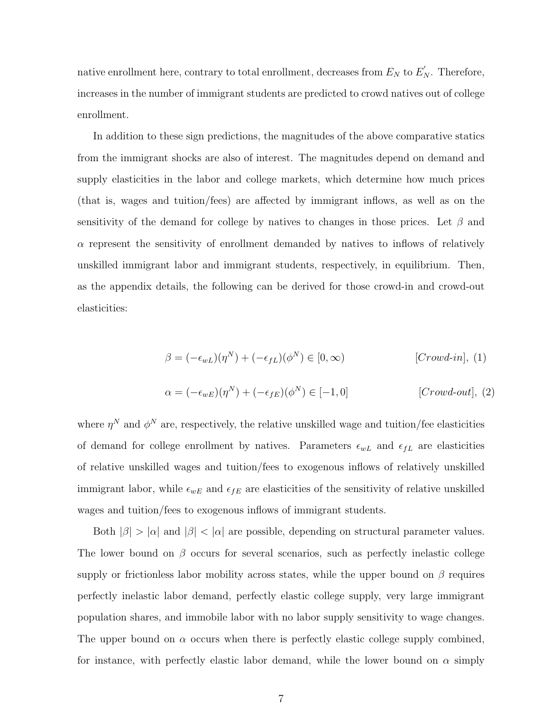native enrollment here, contrary to total enrollment, decreases from  $E_N$  to  $E'_N$ . Therefore, increases in the number of immigrant students are predicted to crowd natives out of college enrollment.

In addition to these sign predictions, the magnitudes of the above comparative statics from the immigrant shocks are also of interest. The magnitudes depend on demand and supply elasticities in the labor and college markets, which determine how much prices (that is, wages and tuition/fees) are affected by immigrant inflows, as well as on the sensitivity of the demand for college by natives to changes in those prices. Let  $\beta$  and  $\alpha$  represent the sensitivity of enrollment demanded by natives to inflows of relatively unskilled immigrant labor and immigrant students, respectively, in equilibrium. Then, as the appendix details, the following can be derived for those crowd-in and crowd-out elasticities:

$$
\beta = (-\epsilon_{wL})(\eta^N) + (-\epsilon_{fL})(\phi^N) \in [0, \infty)
$$
 [*Crowd-in*], (1)

$$
\alpha = (-\epsilon_{wE})(\eta^N) + (-\epsilon_{fE})(\phi^N) \in [-1, 0]
$$
 [*Crowd-out*], (2)

where  $\eta^N$  and  $\phi^N$  are, respectively, the relative unskilled wage and tuition/fee elasticities of demand for college enrollment by natives. Parameters  $\epsilon_{wL}$  and  $\epsilon_{fL}$  are elasticities of relative unskilled wages and tuition/fees to exogenous inflows of relatively unskilled immigrant labor, while  $\epsilon_{wE}$  and  $\epsilon_{fE}$  are elasticities of the sensitivity of relative unskilled wages and tuition/fees to exogenous inflows of immigrant students.

Both  $|\beta| > |\alpha|$  and  $|\beta| < |\alpha|$  are possible, depending on structural parameter values. The lower bound on  $\beta$  occurs for several scenarios, such as perfectly inelastic college supply or frictionless labor mobility across states, while the upper bound on  $\beta$  requires perfectly inelastic labor demand, perfectly elastic college supply, very large immigrant population shares, and immobile labor with no labor supply sensitivity to wage changes. The upper bound on  $\alpha$  occurs when there is perfectly elastic college supply combined, for instance, with perfectly elastic labor demand, while the lower bound on  $\alpha$  simply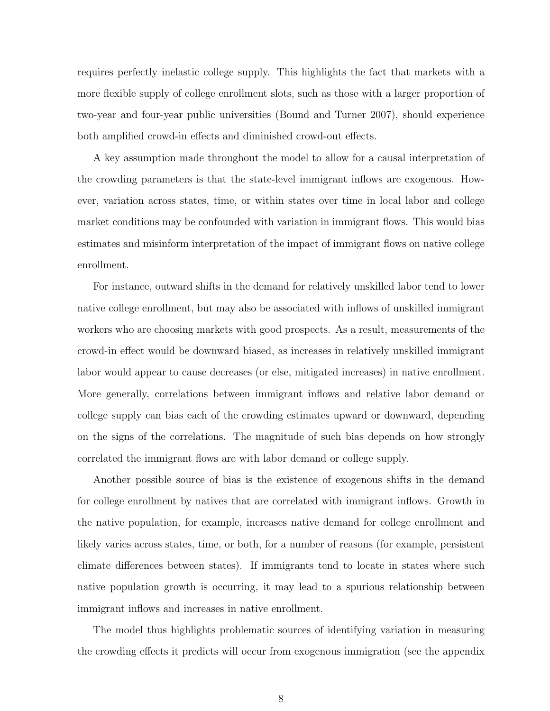requires perfectly inelastic college supply. This highlights the fact that markets with a more flexible supply of college enrollment slots, such as those with a larger proportion of two-year and four-year public universities (Bound and Turner 2007), should experience both amplified crowd-in effects and diminished crowd-out effects.

A key assumption made throughout the model to allow for a causal interpretation of the crowding parameters is that the state-level immigrant inflows are exogenous. However, variation across states, time, or within states over time in local labor and college market conditions may be confounded with variation in immigrant flows. This would bias estimates and misinform interpretation of the impact of immigrant flows on native college enrollment.

For instance, outward shifts in the demand for relatively unskilled labor tend to lower native college enrollment, but may also be associated with inflows of unskilled immigrant workers who are choosing markets with good prospects. As a result, measurements of the crowd-in effect would be downward biased, as increases in relatively unskilled immigrant labor would appear to cause decreases (or else, mitigated increases) in native enrollment. More generally, correlations between immigrant inflows and relative labor demand or college supply can bias each of the crowding estimates upward or downward, depending on the signs of the correlations. The magnitude of such bias depends on how strongly correlated the immigrant flows are with labor demand or college supply.

Another possible source of bias is the existence of exogenous shifts in the demand for college enrollment by natives that are correlated with immigrant inflows. Growth in the native population, for example, increases native demand for college enrollment and likely varies across states, time, or both, for a number of reasons (for example, persistent climate differences between states). If immigrants tend to locate in states where such native population growth is occurring, it may lead to a spurious relationship between immigrant inflows and increases in native enrollment.

The model thus highlights problematic sources of identifying variation in measuring the crowding effects it predicts will occur from exogenous immigration (see the appendix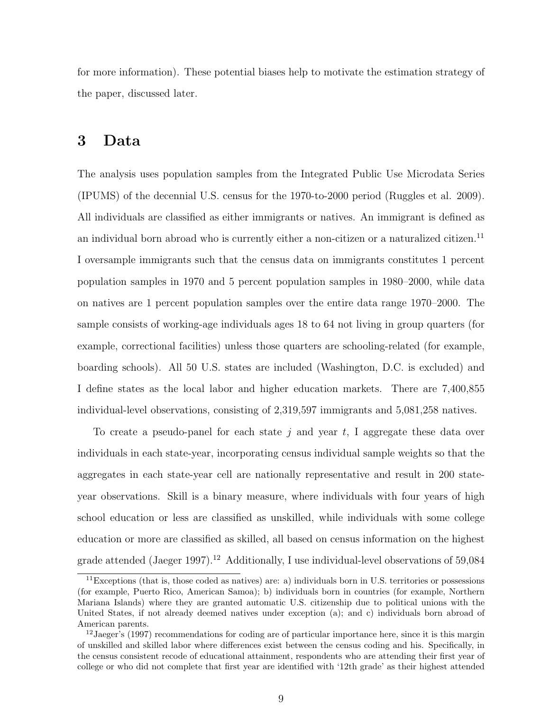for more information). These potential biases help to motivate the estimation strategy of the paper, discussed later.

## 3 Data

The analysis uses population samples from the Integrated Public Use Microdata Series (IPUMS) of the decennial U.S. census for the 1970-to-2000 period (Ruggles et al. 2009). All individuals are classified as either immigrants or natives. An immigrant is defined as an individual born abroad who is currently either a non-citizen or a naturalized citizen.<sup>11</sup> I oversample immigrants such that the census data on immigrants constitutes 1 percent population samples in 1970 and 5 percent population samples in 1980–2000, while data on natives are 1 percent population samples over the entire data range 1970–2000. The sample consists of working-age individuals ages 18 to 64 not living in group quarters (for example, correctional facilities) unless those quarters are schooling-related (for example, boarding schools). All 50 U.S. states are included (Washington, D.C. is excluded) and I define states as the local labor and higher education markets. There are 7,400,855 individual-level observations, consisting of 2,319,597 immigrants and 5,081,258 natives.

To create a pseudo-panel for each state j and year t, I aggregate these data over individuals in each state-year, incorporating census individual sample weights so that the aggregates in each state-year cell are nationally representative and result in 200 stateyear observations. Skill is a binary measure, where individuals with four years of high school education or less are classified as unskilled, while individuals with some college education or more are classified as skilled, all based on census information on the highest grade attended (Jaeger 1997).<sup>12</sup> Additionally, I use individual-level observations of  $59,084$ 

 $11$ Exceptions (that is, those coded as natives) are: a) individuals born in U.S. territories or possessions (for example, Puerto Rico, American Samoa); b) individuals born in countries (for example, Northern Mariana Islands) where they are granted automatic U.S. citizenship due to political unions with the United States, if not already deemed natives under exception (a); and c) individuals born abroad of American parents.

<sup>&</sup>lt;sup>12</sup> Jaeger's (1997) recommendations for coding are of particular importance here, since it is this margin of unskilled and skilled labor where differences exist between the census coding and his. Specifically, in the census consistent recode of educational attainment, respondents who are attending their first year of college or who did not complete that first year are identified with '12th grade' as their highest attended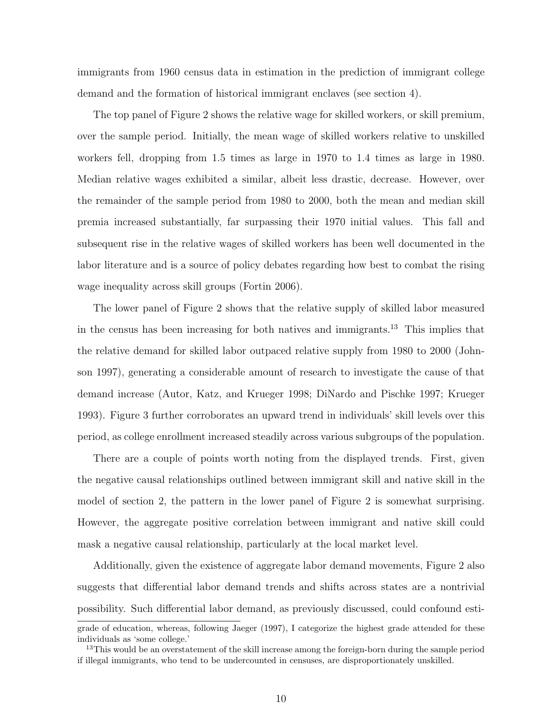immigrants from 1960 census data in estimation in the prediction of immigrant college demand and the formation of historical immigrant enclaves (see section 4).

The top panel of Figure 2 shows the relative wage for skilled workers, or skill premium, over the sample period. Initially, the mean wage of skilled workers relative to unskilled workers fell, dropping from 1.5 times as large in 1970 to 1.4 times as large in 1980. Median relative wages exhibited a similar, albeit less drastic, decrease. However, over the remainder of the sample period from 1980 to 2000, both the mean and median skill premia increased substantially, far surpassing their 1970 initial values. This fall and subsequent rise in the relative wages of skilled workers has been well documented in the labor literature and is a source of policy debates regarding how best to combat the rising wage inequality across skill groups (Fortin 2006).

The lower panel of Figure 2 shows that the relative supply of skilled labor measured in the census has been increasing for both natives and immigrants.<sup>13</sup> This implies that the relative demand for skilled labor outpaced relative supply from 1980 to 2000 (Johnson 1997), generating a considerable amount of research to investigate the cause of that demand increase (Autor, Katz, and Krueger 1998; DiNardo and Pischke 1997; Krueger 1993). Figure 3 further corroborates an upward trend in individuals' skill levels over this period, as college enrollment increased steadily across various subgroups of the population.

There are a couple of points worth noting from the displayed trends. First, given the negative causal relationships outlined between immigrant skill and native skill in the model of section 2, the pattern in the lower panel of Figure 2 is somewhat surprising. However, the aggregate positive correlation between immigrant and native skill could mask a negative causal relationship, particularly at the local market level.

Additionally, given the existence of aggregate labor demand movements, Figure 2 also suggests that differential labor demand trends and shifts across states are a nontrivial possibility. Such differential labor demand, as previously discussed, could confound esti-

grade of education, whereas, following Jaeger (1997), I categorize the highest grade attended for these individuals as 'some college.'

<sup>&</sup>lt;sup>13</sup>This would be an overstatement of the skill increase among the foreign-born during the sample period if illegal immigrants, who tend to be undercounted in censuses, are disproportionately unskilled.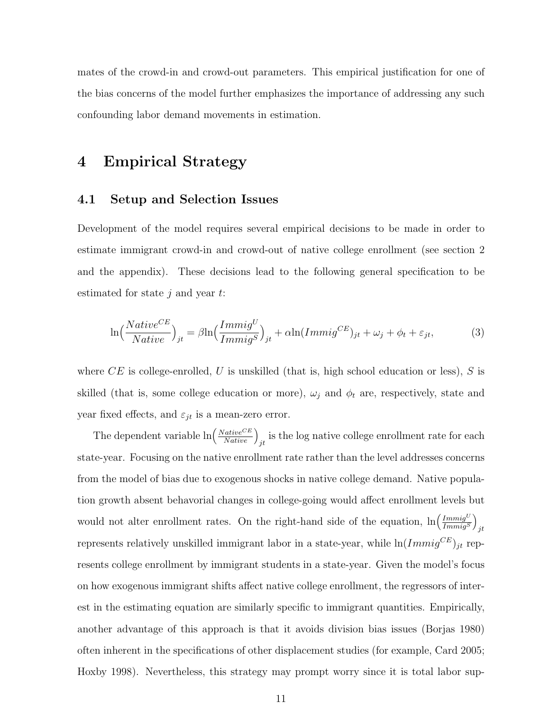mates of the crowd-in and crowd-out parameters. This empirical justification for one of the bias concerns of the model further emphasizes the importance of addressing any such confounding labor demand movements in estimation.

## 4 Empirical Strategy

### 4.1 Setup and Selection Issues

Development of the model requires several empirical decisions to be made in order to estimate immigrant crowd-in and crowd-out of native college enrollment (see section 2 and the appendix). These decisions lead to the following general specification to be estimated for state  $i$  and year  $t$ :

$$
\ln\left(\frac{Native^{CE}}{Native}\right)_{jt} = \beta \ln\left(\frac{Immig^U}{Immig^S}\right)_{jt} + \alpha \ln(Immig^{CE})_{jt} + \omega_j + \phi_t + \varepsilon_{jt},\tag{3}
$$

where  $CE$  is college-enrolled, U is unskilled (that is, high school education or less), S is skilled (that is, some college education or more),  $\omega_j$  and  $\phi_t$  are, respectively, state and year fixed effects, and  $\varepsilon_{jt}$  is a mean-zero error.

The dependent variable  $\ln\left(\frac{Native^{CE}}{Native}\right)_{jt}$  is the log native college enrollment rate for each state-year. Focusing on the native enrollment rate rather than the level addresses concerns from the model of bias due to exogenous shocks in native college demand. Native population growth absent behavorial changes in college-going would affect enrollment levels but would not alter enrollment rates. On the right-hand side of the equation,  $\ln\left(\frac{ImmigU}{ImmigS}\right)$  $Immig^S$  $\setminus$ jt represents relatively unskilled immigrant labor in a state-year, while  $\ln(Immig^{CE})_{jt}$  represents college enrollment by immigrant students in a state-year. Given the model's focus on how exogenous immigrant shifts affect native college enrollment, the regressors of interest in the estimating equation are similarly specific to immigrant quantities. Empirically, another advantage of this approach is that it avoids division bias issues (Borjas 1980) often inherent in the specifications of other displacement studies (for example, Card 2005; Hoxby 1998). Nevertheless, this strategy may prompt worry since it is total labor sup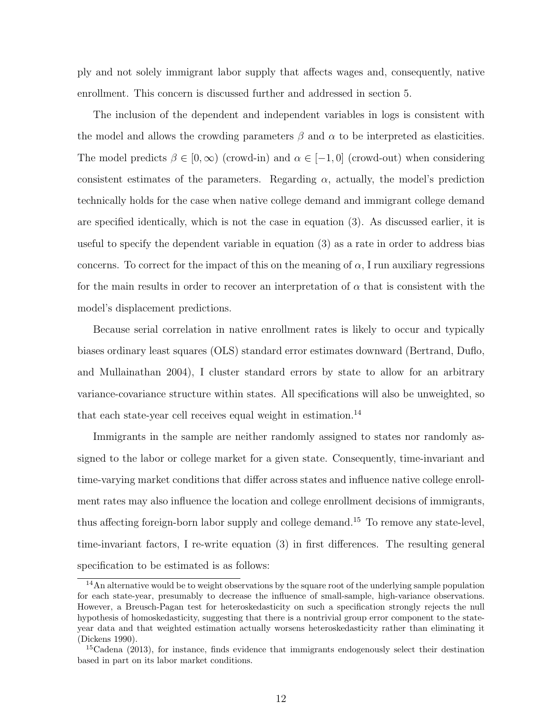ply and not solely immigrant labor supply that affects wages and, consequently, native enrollment. This concern is discussed further and addressed in section 5.

The inclusion of the dependent and independent variables in logs is consistent with the model and allows the crowding parameters  $\beta$  and  $\alpha$  to be interpreted as elasticities. The model predicts  $\beta \in [0,\infty)$  (crowd-in) and  $\alpha \in [-1,0]$  (crowd-out) when considering consistent estimates of the parameters. Regarding  $\alpha$ , actually, the model's prediction technically holds for the case when native college demand and immigrant college demand are specified identically, which is not the case in equation (3). As discussed earlier, it is useful to specify the dependent variable in equation (3) as a rate in order to address bias concerns. To correct for the impact of this on the meaning of  $\alpha$ , I run auxiliary regressions for the main results in order to recover an interpretation of  $\alpha$  that is consistent with the model's displacement predictions.

Because serial correlation in native enrollment rates is likely to occur and typically biases ordinary least squares (OLS) standard error estimates downward (Bertrand, Duflo, and Mullainathan 2004), I cluster standard errors by state to allow for an arbitrary variance-covariance structure within states. All specifications will also be unweighted, so that each state-year cell receives equal weight in estimation.<sup>14</sup>

Immigrants in the sample are neither randomly assigned to states nor randomly assigned to the labor or college market for a given state. Consequently, time-invariant and time-varying market conditions that differ across states and influence native college enrollment rates may also influence the location and college enrollment decisions of immigrants, thus affecting foreign-born labor supply and college demand.<sup>15</sup> To remove any state-level, time-invariant factors, I re-write equation (3) in first differences. The resulting general specification to be estimated is as follows:

<sup>14</sup>An alternative would be to weight observations by the square root of the underlying sample population for each state-year, presumably to decrease the influence of small-sample, high-variance observations. However, a Breusch-Pagan test for heteroskedasticity on such a specification strongly rejects the null hypothesis of homoskedasticity, suggesting that there is a nontrivial group error component to the stateyear data and that weighted estimation actually worsens heteroskedasticity rather than eliminating it (Dickens 1990).

 $15C$ dena (2013), for instance, finds evidence that immigrants endogenously select their destination based in part on its labor market conditions.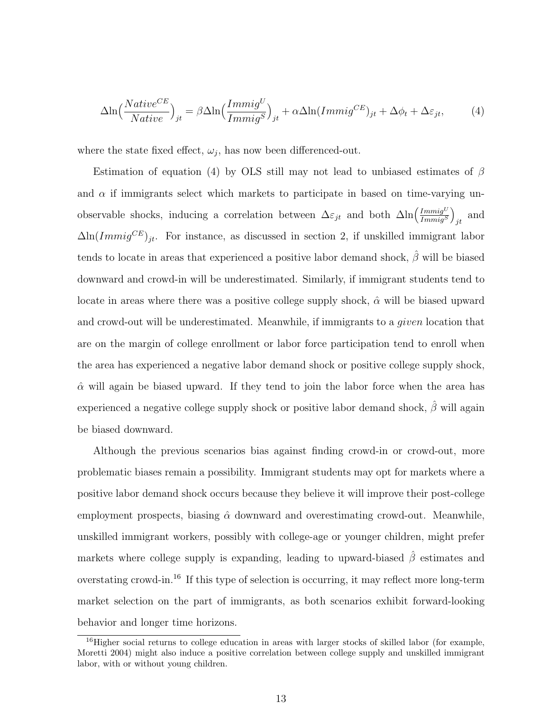$$
\Delta \ln \left( \frac{Native^{CE}}{Native} \right)_{jt} = \beta \Delta \ln \left( \frac{Immig^{U}}{Immig^{S}} \right)_{jt} + \alpha \Delta \ln (Immig^{CE})_{jt} + \Delta \phi_t + \Delta \varepsilon_{jt}, \tag{4}
$$

where the state fixed effect,  $\omega_j$ , has now been differenced-out.

Estimation of equation (4) by OLS still may not lead to unbiased estimates of  $\beta$ and  $\alpha$  if immigrants select which markets to participate in based on time-varying unobservable shocks, inducing a correlation between  $\Delta \varepsilon_{jt}$  and both  $\Delta \ln \left( \frac{ImmigU}{ImmiaS} \right)$  $Immig^S$  $\setminus$  $_{jt}$  and  $\Delta \ln (Immig^{CE})_{it}$ . For instance, as discussed in section 2, if unskilled immigrant labor tends to locate in areas that experienced a positive labor demand shock,  $\hat{\beta}$  will be biased downward and crowd-in will be underestimated. Similarly, if immigrant students tend to locate in areas where there was a positive college supply shock,  $\hat{\alpha}$  will be biased upward and crowd-out will be underestimated. Meanwhile, if immigrants to a *given* location that are on the margin of college enrollment or labor force participation tend to enroll when the area has experienced a negative labor demand shock or positive college supply shock,  $\hat{\alpha}$  will again be biased upward. If they tend to join the labor force when the area has experienced a negative college supply shock or positive labor demand shock,  $\hat{\beta}$  will again be biased downward.

Although the previous scenarios bias against finding crowd-in or crowd-out, more problematic biases remain a possibility. Immigrant students may opt for markets where a positive labor demand shock occurs because they believe it will improve their post-college employment prospects, biasing  $\hat{\alpha}$  downward and overestimating crowd-out. Meanwhile, unskilled immigrant workers, possibly with college-age or younger children, might prefer markets where college supply is expanding, leading to upward-biased  $\hat{\beta}$  estimates and overstating crowd-in.<sup>16</sup> If this type of selection is occurring, it may reflect more long-term market selection on the part of immigrants, as both scenarios exhibit forward-looking behavior and longer time horizons.

<sup>&</sup>lt;sup>16</sup>Higher social returns to college education in areas with larger stocks of skilled labor (for example, Moretti 2004) might also induce a positive correlation between college supply and unskilled immigrant labor, with or without young children.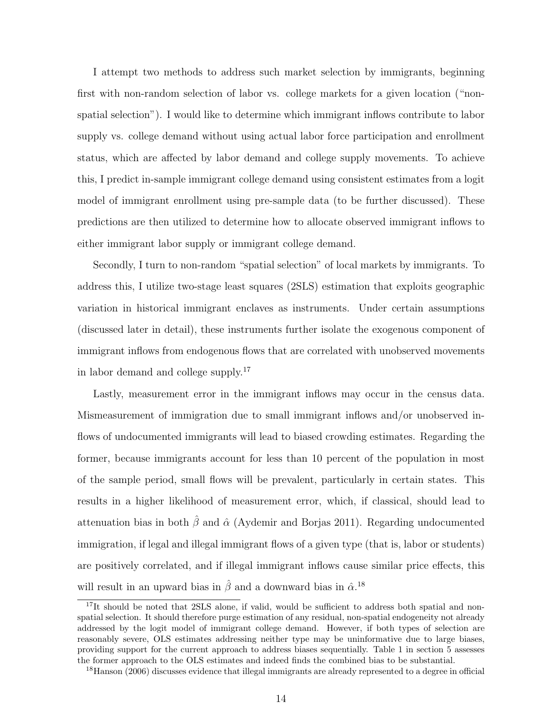I attempt two methods to address such market selection by immigrants, beginning first with non-random selection of labor vs. college markets for a given location ("nonspatial selection"). I would like to determine which immigrant inflows contribute to labor supply vs. college demand without using actual labor force participation and enrollment status, which are affected by labor demand and college supply movements. To achieve this, I predict in-sample immigrant college demand using consistent estimates from a logit model of immigrant enrollment using pre-sample data (to be further discussed). These predictions are then utilized to determine how to allocate observed immigrant inflows to either immigrant labor supply or immigrant college demand.

Secondly, I turn to non-random "spatial selection" of local markets by immigrants. To address this, I utilize two-stage least squares (2SLS) estimation that exploits geographic variation in historical immigrant enclaves as instruments. Under certain assumptions (discussed later in detail), these instruments further isolate the exogenous component of immigrant inflows from endogenous flows that are correlated with unobserved movements in labor demand and college supply.<sup>17</sup>

Lastly, measurement error in the immigrant inflows may occur in the census data. Mismeasurement of immigration due to small immigrant inflows and/or unobserved inflows of undocumented immigrants will lead to biased crowding estimates. Regarding the former, because immigrants account for less than 10 percent of the population in most of the sample period, small flows will be prevalent, particularly in certain states. This results in a higher likelihood of measurement error, which, if classical, should lead to attenuation bias in both  $\hat{\beta}$  and  $\hat{\alpha}$  (Aydemir and Borjas 2011). Regarding undocumented immigration, if legal and illegal immigrant flows of a given type (that is, labor or students) are positively correlated, and if illegal immigrant inflows cause similar price effects, this will result in an upward bias in  $\hat{\beta}$  and a downward bias in  $\hat{\alpha}$ <sup>18</sup>

<sup>&</sup>lt;sup>17</sup>It should be noted that 2SLS alone, if valid, would be sufficient to address both spatial and nonspatial selection. It should therefore purge estimation of any residual, non-spatial endogeneity not already addressed by the logit model of immigrant college demand. However, if both types of selection are reasonably severe, OLS estimates addressing neither type may be uninformative due to large biases, providing support for the current approach to address biases sequentially. Table 1 in section 5 assesses the former approach to the OLS estimates and indeed finds the combined bias to be substantial.

<sup>&</sup>lt;sup>18</sup>Hanson (2006) discusses evidence that illegal immigrants are already represented to a degree in official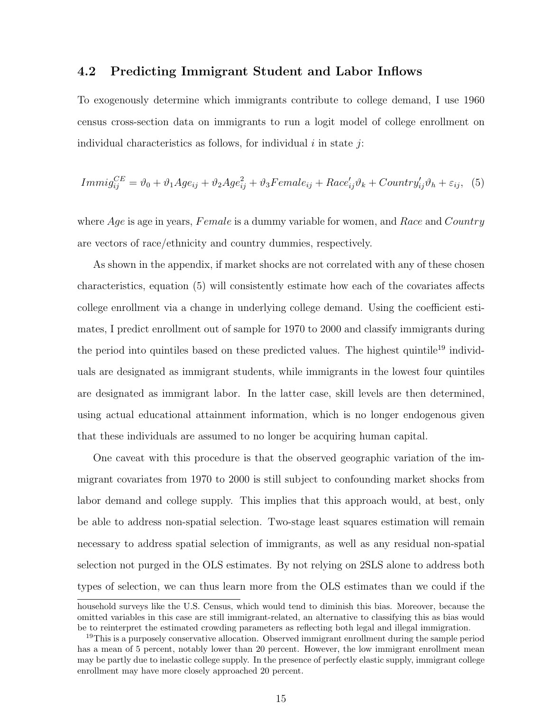#### 4.2 Predicting Immigrant Student and Labor Inflows

To exogenously determine which immigrants contribute to college demand, I use 1960 census cross-section data on immigrants to run a logit model of college enrollment on individual characteristics as follows, for individual  $i$  in state  $j$ :

$$
Immig_{ij}^{CE} = \vartheta_0 + \vartheta_1 Age_{ij} + \vartheta_2 Age_{ij}^2 + \vartheta_3Female_{ij} + Race'_{ij}\vartheta_k + Country'_{ij}\vartheta_h + \varepsilon_{ij},
$$
 (5)

where  $Age$  is age in years,  $Female$  is a dummy variable for women, and Race and Country are vectors of race/ethnicity and country dummies, respectively.

As shown in the appendix, if market shocks are not correlated with any of these chosen characteristics, equation (5) will consistently estimate how each of the covariates affects college enrollment via a change in underlying college demand. Using the coefficient estimates, I predict enrollment out of sample for 1970 to 2000 and classify immigrants during the period into quintiles based on these predicted values. The highest quintile<sup>19</sup> individuals are designated as immigrant students, while immigrants in the lowest four quintiles are designated as immigrant labor. In the latter case, skill levels are then determined, using actual educational attainment information, which is no longer endogenous given that these individuals are assumed to no longer be acquiring human capital.

One caveat with this procedure is that the observed geographic variation of the immigrant covariates from 1970 to 2000 is still subject to confounding market shocks from labor demand and college supply. This implies that this approach would, at best, only be able to address non-spatial selection. Two-stage least squares estimation will remain necessary to address spatial selection of immigrants, as well as any residual non-spatial selection not purged in the OLS estimates. By not relying on 2SLS alone to address both types of selection, we can thus learn more from the OLS estimates than we could if the

household surveys like the U.S. Census, which would tend to diminish this bias. Moreover, because the omitted variables in this case are still immigrant-related, an alternative to classifying this as bias would be to reinterpret the estimated crowding parameters as reflecting both legal and illegal immigration.

<sup>&</sup>lt;sup>19</sup>This is a purposely conservative allocation. Observed immigrant enrollment during the sample period has a mean of 5 percent, notably lower than 20 percent. However, the low immigrant enrollment mean may be partly due to inelastic college supply. In the presence of perfectly elastic supply, immigrant college enrollment may have more closely approached 20 percent.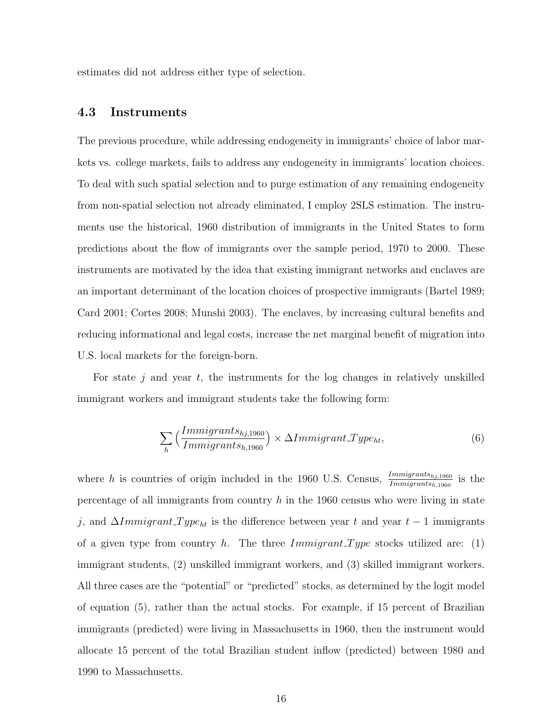estimates did not address either type of selection.

#### 4.3 Instruments

The previous procedure, while addressing endogeneity in immigrants' choice of labor markets vs. college markets, fails to address any endogeneity in immigrants' location choices. To deal with such spatial selection and to purge estimation of any remaining endogeneity from non-spatial selection not already eliminated, I employ 2SLS estimation. The instruments use the historical, 1960 distribution of immigrants in the United States to form predictions about the flow of immigrants over the sample period, 1970 to 2000. These instruments are motivated by the idea that existing immigrant networks and enclaves are an important determinant of the location choices of prospective immigrants (Bartel 1989; Card 2001; Cortes 2008; Munshi 2003). The enclaves, by increasing cultural benefits and reducing informational and legal costs, increase the net marginal benefit of migration into U.S. local markets for the foreign-born.

For state j and year  $t$ , the instruments for the log changes in relatively unskilled immigrant workers and immigrant students take the following form:

$$
\sum_{h} \left( \frac{Immigrants_{hj,1960}}{Immigrants_{h,1960}} \right) \times \Delta Immigrant\_Type_{ht},\tag{6}
$$

where h is countries of origin included in the 1960 U.S. Census,  $\frac{Immigrams_{h,j,1960}}{Immigrams_{h,1960}}$  is the percentage of all immigrants from country  $h$  in the 1960 census who were living in state j, and  $\Delta Immigrant\_Type_{ht}$  is the difference between year t and year  $t-1$  immigrants of a given type from country h. The three  $Immigrant\_Type$  stocks utilized are: (1) immigrant students, (2) unskilled immigrant workers, and (3) skilled immigrant workers. All three cases are the "potential" or "predicted" stocks, as determined by the logit model of equation (5), rather than the actual stocks. For example, if 15 percent of Brazilian immigrants (predicted) were living in Massachusetts in 1960, then the instrument would allocate 15 percent of the total Brazilian student inflow (predicted) between 1980 and 1990 to Massachusetts.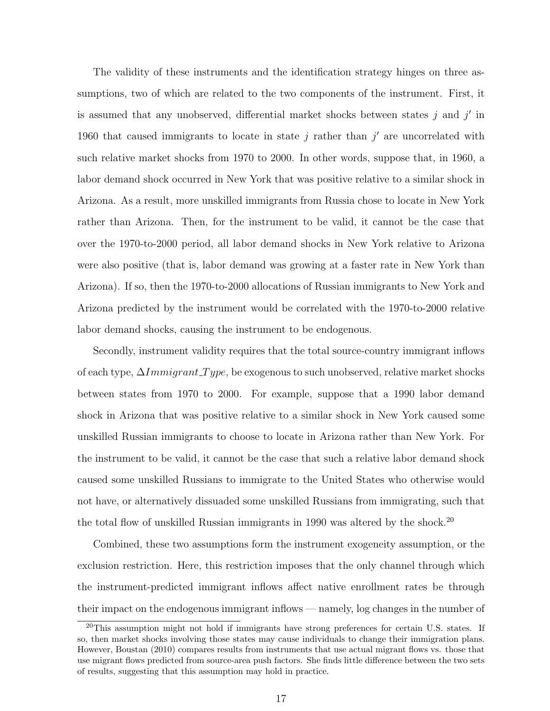The validity of these instruments and the identification strategy hinges on three assumptions, two of which are related to the two components of the instrument. First, it is assumed that any unobserved, differential market shocks between states  $j$  and  $j'$  in 1960 that caused immigrants to locate in state  $j$  rather than  $j'$  are uncorrelated with such relative market shocks from 1970 to 2000. In other words, suppose that, in 1960, a labor demand shock occurred in New York that was positive relative to a similar shock in Arizona. As a result, more unskilled immigrants from Russia chose to locate in New York rather than Arizona. Then, for the instrument to be valid, it cannot be the case that over the 1970-to-2000 period, all labor demand shocks in New York relative to Arizona were also positive (that is, labor demand was growing at a faster rate in New York than Arizona). If so, then the 1970-to-2000 allocations of Russian immigrants to New York and Arizona predicted by the instrument would be correlated with the 1970-to-2000 relative labor demand shocks, causing the instrument to be endogenous.

Secondly, instrument validity requires that the total source-country immigrant inflows of each type,  $\Delta Immigrant$  Type, be exogenous to such unobserved, relative market shocks between states from 1970 to 2000. For example, suppose that a 1990 labor demand shock in Arizona that was positive relative to a similar shock in New York caused some unskilled Russian immigrants to choose to locate in Arizona rather than New York. For the instrument to be valid, it cannot be the case that such a relative labor demand shock caused some unskilled Russians to immigrate to the United States who otherwise would not have, or alternatively dissuaded some unskilled Russians from immigrating, such that the total flow of unskilled Russian immigrants in 1990 was altered by the shock.<sup>20</sup>

Combined, these two assumptions form the instrument exogeneity assumption, or the exclusion restriction. Here, this restriction imposes that the only channel through which the instrument-predicted immigrant inflows affect native enrollment rates be through their impact on the endogenous immigrant inflows — namely, log changes in the number of

 $^{20}$ This assumption might not hold if immigrants have strong preferences for certain U.S. states. If so, then market shocks involving those states may cause individuals to change their immigration plans. However, Boustan (2010) compares results from instruments that use actual migrant flows vs. those that use migrant flows predicted from source-area push factors. She finds little difference between the two sets of results, suggesting that this assumption may hold in practice.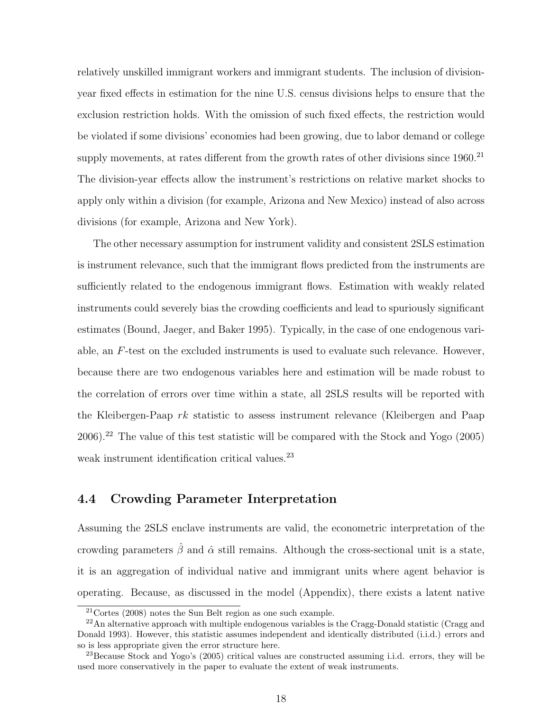relatively unskilled immigrant workers and immigrant students. The inclusion of divisionyear fixed effects in estimation for the nine U.S. census divisions helps to ensure that the exclusion restriction holds. With the omission of such fixed effects, the restriction would be violated if some divisions' economies had been growing, due to labor demand or college supply movements, at rates different from the growth rates of other divisions since 1960.<sup>21</sup> The division-year effects allow the instrument's restrictions on relative market shocks to apply only within a division (for example, Arizona and New Mexico) instead of also across divisions (for example, Arizona and New York).

The other necessary assumption for instrument validity and consistent 2SLS estimation is instrument relevance, such that the immigrant flows predicted from the instruments are sufficiently related to the endogenous immigrant flows. Estimation with weakly related instruments could severely bias the crowding coefficients and lead to spuriously significant estimates (Bound, Jaeger, and Baker 1995). Typically, in the case of one endogenous variable, an F-test on the excluded instruments is used to evaluate such relevance. However, because there are two endogenous variables here and estimation will be made robust to the correlation of errors over time within a state, all 2SLS results will be reported with the Kleibergen-Paap rk statistic to assess instrument relevance (Kleibergen and Paap  $2006$ ).<sup>22</sup> The value of this test statistic will be compared with the Stock and Yogo (2005) weak instrument identification critical values.<sup>23</sup>

### 4.4 Crowding Parameter Interpretation

Assuming the 2SLS enclave instruments are valid, the econometric interpretation of the crowding parameters  $\hat{\beta}$  and  $\hat{\alpha}$  still remains. Although the cross-sectional unit is a state, it is an aggregation of individual native and immigrant units where agent behavior is operating. Because, as discussed in the model (Appendix), there exists a latent native

 $21$ Cortes (2008) notes the Sun Belt region as one such example.

 $^{22}$ An alternative approach with multiple endogenous variables is the Cragg-Donald statistic (Cragg and Donald 1993). However, this statistic assumes independent and identically distributed (i.i.d.) errors and so is less appropriate given the error structure here.

<sup>23</sup>Because Stock and Yogo's (2005) critical values are constructed assuming i.i.d. errors, they will be used more conservatively in the paper to evaluate the extent of weak instruments.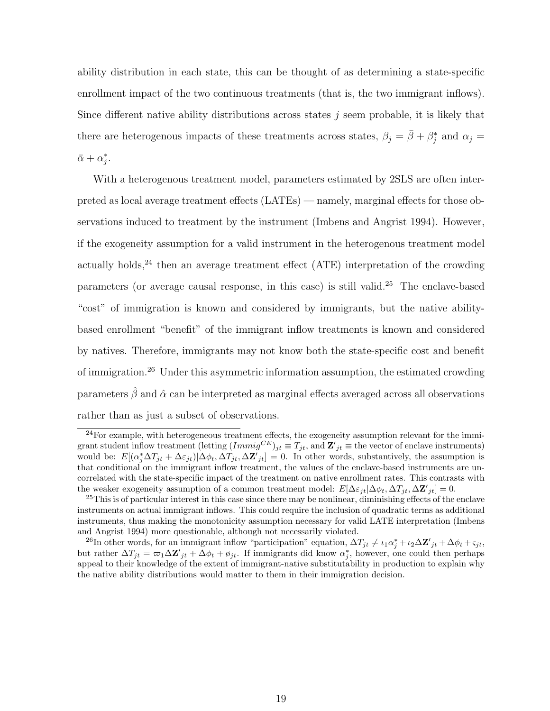ability distribution in each state, this can be thought of as determining a state-specific enrollment impact of the two continuous treatments (that is, the two immigrant inflows). Since different native ability distributions across states  $j$  seem probable, it is likely that there are heterogenous impacts of these treatments across states,  $\beta_j = \bar{\beta} + \beta_j^*$  and  $\alpha_j =$  $\bar{\alpha} + \alpha_j^*$ .

With a heterogenous treatment model, parameters estimated by 2SLS are often interpreted as local average treatment effects (LATEs) — namely, marginal effects for those observations induced to treatment by the instrument (Imbens and Angrist 1994). However, if the exogeneity assumption for a valid instrument in the heterogenous treatment model actually holds, $^{24}$  then an average treatment effect (ATE) interpretation of the crowding parameters (or average causal response, in this case) is still valid.<sup>25</sup> The enclave-based "cost" of immigration is known and considered by immigrants, but the native abilitybased enrollment "benefit" of the immigrant inflow treatments is known and considered by natives. Therefore, immigrants may not know both the state-specific cost and benefit of immigration.<sup>26</sup> Under this asymmetric information assumption, the estimated crowding parameters  $\hat{\beta}$  and  $\hat{\alpha}$  can be interpreted as marginal effects averaged across all observations rather than as just a subset of observations.

 $24$ For example, with heterogeneous treatment effects, the exogeneity assumption relevant for the immigrant student inflow treatment (letting  $(Immig^{CE})_{jt} \equiv T_{jt}$ , and  $\mathbf{Z'}_{jt} \equiv$  the vector of enclave instruments) would be:  $E[(\alpha_j^*\Delta T_{jt} + \Delta \varepsilon_{jt})|\Delta \phi_t, \Delta T_{jt}, \Delta \mathbf{Z'}_{jt}] = 0$ . In other words, substantively, the assumption is that conditional on the immigrant inflow treatment, the values of the enclave-based instruments are uncorrelated with the state-specific impact of the treatment on native enrollment rates. This contrasts with the weaker exogeneity assumption of a common treatment model:  $E[\Delta \varepsilon_{jt} | \Delta \phi_t, \Delta T_{jt}, \Delta \mathbf{Z}_{jt}'] = 0$ .

<sup>&</sup>lt;sup>25</sup>This is of particular interest in this case since there may be nonlinear, diminishing effects of the enclave instruments on actual immigrant inflows. This could require the inclusion of quadratic terms as additional instruments, thus making the monotonicity assumption necessary for valid LATE interpretation (Imbens and Angrist 1994) more questionable, although not necessarily violated.

<sup>&</sup>lt;sup>26</sup>In other words, for an immigrant inflow "participation" equation,  $\Delta T_{jt} \neq \iota_1 \alpha_j^* + \iota_2 \Delta \mathbf{Z'}_{jt} + \Delta \phi_t + \varsigma_{jt}$ but rather  $\Delta T_{jt} = \omega_1 \Delta Z'_{jt} + \Delta \phi_t + \phi_{jt}$ . If immigrants did know  $\alpha_j^*$ , however, one could then perhaps appeal to their knowledge of the extent of immigrant-native substitutability in production to explain why the native ability distributions would matter to them in their immigration decision.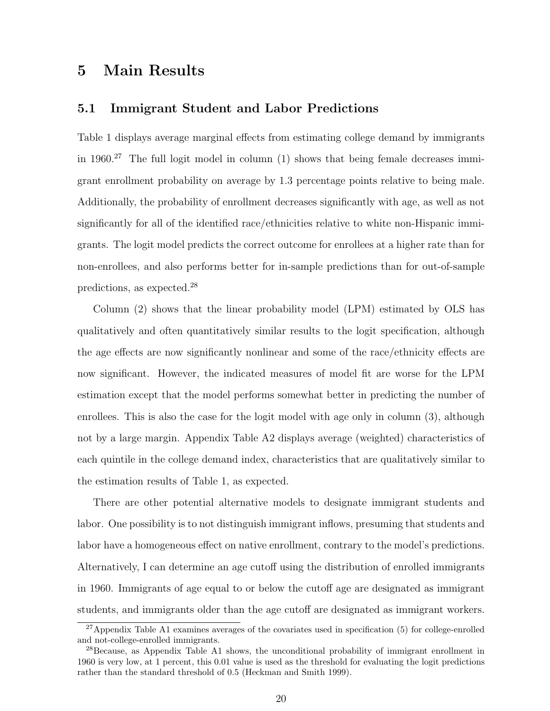## 5 Main Results

### 5.1 Immigrant Student and Labor Predictions

Table 1 displays average marginal effects from estimating college demand by immigrants in 1960.<sup>27</sup> The full logit model in column  $(1)$  shows that being female decreases immigrant enrollment probability on average by 1.3 percentage points relative to being male. Additionally, the probability of enrollment decreases significantly with age, as well as not significantly for all of the identified race/ethnicities relative to white non-Hispanic immigrants. The logit model predicts the correct outcome for enrollees at a higher rate than for non-enrollees, and also performs better for in-sample predictions than for out-of-sample predictions, as expected.<sup>28</sup>

Column (2) shows that the linear probability model (LPM) estimated by OLS has qualitatively and often quantitatively similar results to the logit specification, although the age effects are now significantly nonlinear and some of the race/ethnicity effects are now significant. However, the indicated measures of model fit are worse for the LPM estimation except that the model performs somewhat better in predicting the number of enrollees. This is also the case for the logit model with age only in column (3), although not by a large margin. Appendix Table A2 displays average (weighted) characteristics of each quintile in the college demand index, characteristics that are qualitatively similar to the estimation results of Table 1, as expected.

There are other potential alternative models to designate immigrant students and labor. One possibility is to not distinguish immigrant inflows, presuming that students and labor have a homogeneous effect on native enrollment, contrary to the model's predictions. Alternatively, I can determine an age cutoff using the distribution of enrolled immigrants in 1960. Immigrants of age equal to or below the cutoff age are designated as immigrant students, and immigrants older than the age cutoff are designated as immigrant workers.

<sup>27</sup>Appendix Table A1 examines averages of the covariates used in specification (5) for college-enrolled and not-college-enrolled immigrants.

 $^{28}$ Because, as Appendix Table A1 shows, the unconditional probability of immigrant enrollment in 1960 is very low, at 1 percent, this 0.01 value is used as the threshold for evaluating the logit predictions rather than the standard threshold of 0.5 (Heckman and Smith 1999).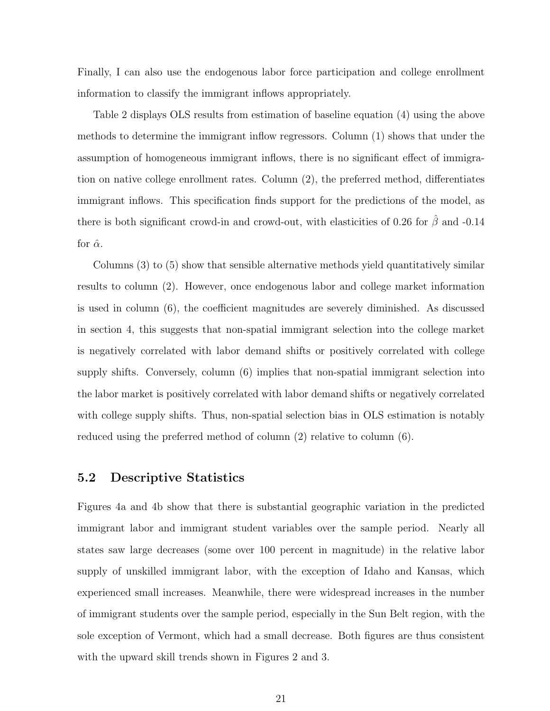Finally, I can also use the endogenous labor force participation and college enrollment information to classify the immigrant inflows appropriately.

Table 2 displays OLS results from estimation of baseline equation (4) using the above methods to determine the immigrant inflow regressors. Column (1) shows that under the assumption of homogeneous immigrant inflows, there is no significant effect of immigration on native college enrollment rates. Column (2), the preferred method, differentiates immigrant inflows. This specification finds support for the predictions of the model, as there is both significant crowd-in and crowd-out, with elasticities of 0.26 for  $\hat{\beta}$  and -0.14 for  $\hat{\alpha}$ .

Columns (3) to (5) show that sensible alternative methods yield quantitatively similar results to column (2). However, once endogenous labor and college market information is used in column (6), the coefficient magnitudes are severely diminished. As discussed in section 4, this suggests that non-spatial immigrant selection into the college market is negatively correlated with labor demand shifts or positively correlated with college supply shifts. Conversely, column (6) implies that non-spatial immigrant selection into the labor market is positively correlated with labor demand shifts or negatively correlated with college supply shifts. Thus, non-spatial selection bias in OLS estimation is notably reduced using the preferred method of column (2) relative to column (6).

#### 5.2 Descriptive Statistics

Figures 4a and 4b show that there is substantial geographic variation in the predicted immigrant labor and immigrant student variables over the sample period. Nearly all states saw large decreases (some over 100 percent in magnitude) in the relative labor supply of unskilled immigrant labor, with the exception of Idaho and Kansas, which experienced small increases. Meanwhile, there were widespread increases in the number of immigrant students over the sample period, especially in the Sun Belt region, with the sole exception of Vermont, which had a small decrease. Both figures are thus consistent with the upward skill trends shown in Figures 2 and 3.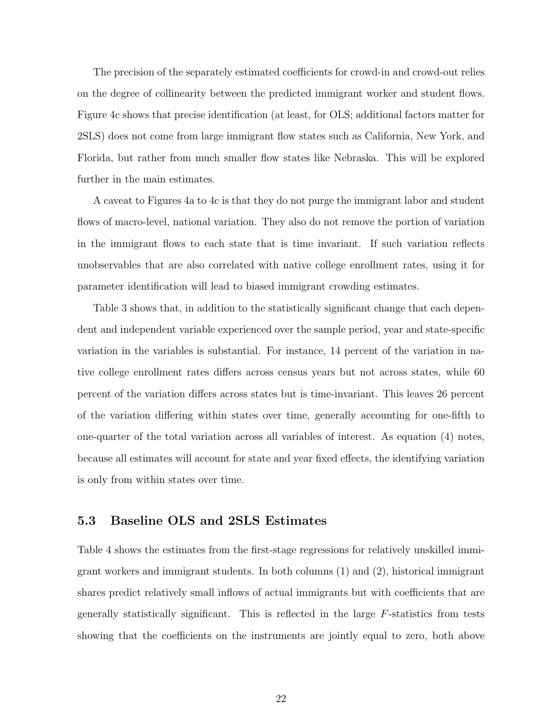The precision of the separately estimated coefficients for crowd-in and crowd-out relies on the degree of collinearity between the predicted immigrant worker and student flows. Figure 4c shows that precise identification (at least, for OLS; additional factors matter for 2SLS) does not come from large immigrant flow states such as California, New York, and Florida, but rather from much smaller flow states like Nebraska. This will be explored further in the main estimates.

A caveat to Figures 4a to 4c is that they do not purge the immigrant labor and student flows of macro-level, national variation. They also do not remove the portion of variation in the immigrant flows to each state that is time invariant. If such variation reflects unobservables that are also correlated with native college enrollment rates, using it for parameter identification will lead to biased immigrant crowding estimates.

Table 3 shows that, in addition to the statistically significant change that each dependent and independent variable experienced over the sample period, year and state-specific variation in the variables is substantial. For instance, 14 percent of the variation in native college enrollment rates differs across census years but not across states, while 60 percent of the variation differs across states but is time-invariant. This leaves 26 percent of the variation differing within states over time, generally accounting for one-fifth to one-quarter of the total variation across all variables of interest. As equation (4) notes, because all estimates will account for state and year fixed effects, the identifying variation is only from within states over time.

### 5.3 Baseline OLS and 2SLS Estimates

Table 4 shows the estimates from the first-stage regressions for relatively unskilled immigrant workers and immigrant students. In both columns (1) and (2), historical immigrant shares predict relatively small inflows of actual immigrants but with coefficients that are generally statistically significant. This is reflected in the large F-statistics from tests showing that the coefficients on the instruments are jointly equal to zero, both above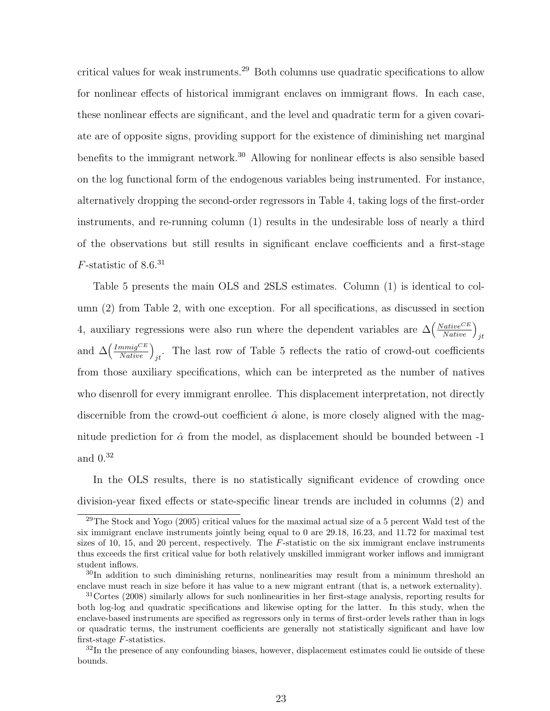critical values for weak instruments.<sup>29</sup> Both columns use quadratic specifications to allow for nonlinear effects of historical immigrant enclaves on immigrant flows. In each case, these nonlinear effects are significant, and the level and quadratic term for a given covariate are of opposite signs, providing support for the existence of diminishing net marginal benefits to the immigrant network.<sup>30</sup> Allowing for nonlinear effects is also sensible based on the log functional form of the endogenous variables being instrumented. For instance, alternatively dropping the second-order regressors in Table 4, taking logs of the first-order instruments, and re-running column (1) results in the undesirable loss of nearly a third of the observations but still results in significant enclave coefficients and a first-stage  $F$ -statistic of 8.6.<sup>31</sup>

Table 5 presents the main OLS and 2SLS estimates. Column (1) is identical to column (2) from Table 2, with one exception. For all specifications, as discussed in section 4, auxiliary regressions were also run where the dependent variables are  $\Delta\left(\frac{Native^{CE}}{Native}\right)_{jt}$ and  $\Delta\left(\frac{Immig^{CE}}{Native}\right)_{jt}$ . The last row of Table 5 reflects the ratio of crowd-out coefficients from those auxiliary specifications, which can be interpreted as the number of natives who disenroll for every immigrant enrollee. This displacement interpretation, not directly discernible from the crowd-out coefficient  $\hat{\alpha}$  alone, is more closely aligned with the magnitude prediction for  $\hat{\alpha}$  from the model, as displacement should be bounded between -1 and 0.<sup>32</sup>

In the OLS results, there is no statistically significant evidence of crowding once division-year fixed effects or state-specific linear trends are included in columns (2) and

 $^{29}$ The Stock and Yogo (2005) critical values for the maximal actual size of a 5 percent Wald test of the six immigrant enclave instruments jointly being equal to 0 are 29.18, 16.23, and 11.72 for maximal test sizes of 10, 15, and 20 percent, respectively. The F-statistic on the six immigrant enclave instruments thus exceeds the first critical value for both relatively unskilled immigrant worker inflows and immigrant student inflows.

<sup>&</sup>lt;sup>30</sup>In addition to such diminishing returns, nonlinearities may result from a minimum threshold an enclave must reach in size before it has value to a new migrant entrant (that is, a network externality).

<sup>31</sup>Cortes (2008) similarly allows for such nonlinearities in her first-stage analysis, reporting results for both log-log and quadratic specifications and likewise opting for the latter. In this study, when the enclave-based instruments are specified as regressors only in terms of first-order levels rather than in logs or quadratic terms, the instrument coefficients are generally not statistically significant and have low first-stage F-statistics.

 $32$ In the presence of any confounding biases, however, displacement estimates could lie outside of these bounds.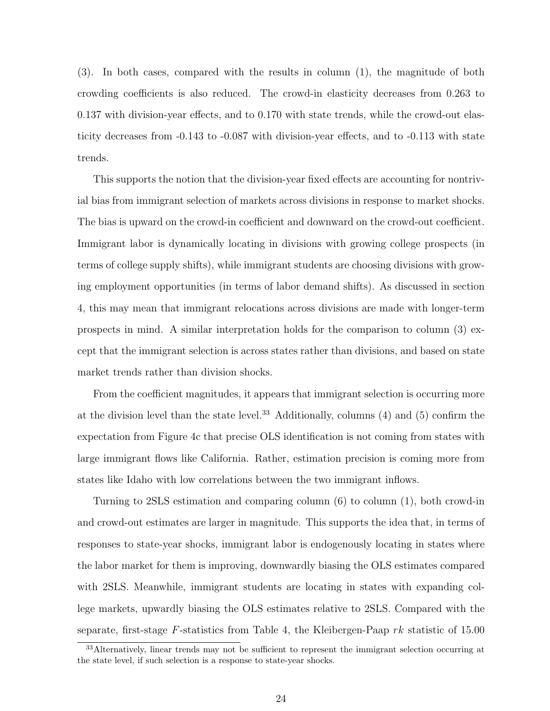(3). In both cases, compared with the results in column (1), the magnitude of both crowding coefficients is also reduced. The crowd-in elasticity decreases from 0.263 to 0.137 with division-year effects, and to 0.170 with state trends, while the crowd-out elasticity decreases from -0.143 to -0.087 with division-year effects, and to -0.113 with state trends.

This supports the notion that the division-year fixed effects are accounting for nontrivial bias from immigrant selection of markets across divisions in response to market shocks. The bias is upward on the crowd-in coefficient and downward on the crowd-out coefficient. Immigrant labor is dynamically locating in divisions with growing college prospects (in terms of college supply shifts), while immigrant students are choosing divisions with growing employment opportunities (in terms of labor demand shifts). As discussed in section 4, this may mean that immigrant relocations across divisions are made with longer-term prospects in mind. A similar interpretation holds for the comparison to column (3) except that the immigrant selection is across states rather than divisions, and based on state market trends rather than division shocks.

From the coefficient magnitudes, it appears that immigrant selection is occurring more at the division level than the state level.<sup>33</sup> Additionally, columns  $(4)$  and  $(5)$  confirm the expectation from Figure 4c that precise OLS identification is not coming from states with large immigrant flows like California. Rather, estimation precision is coming more from states like Idaho with low correlations between the two immigrant inflows.

Turning to 2SLS estimation and comparing column (6) to column (1), both crowd-in and crowd-out estimates are larger in magnitude. This supports the idea that, in terms of responses to state-year shocks, immigrant labor is endogenously locating in states where the labor market for them is improving, downwardly biasing the OLS estimates compared with 2SLS. Meanwhile, immigrant students are locating in states with expanding college markets, upwardly biasing the OLS estimates relative to 2SLS. Compared with the separate, first-stage  $F$ -statistics from Table 4, the Kleibergen-Paap  $rk$  statistic of 15.00

 $33$ Alternatively, linear trends may not be sufficient to represent the immigrant selection occurring at the state level, if such selection is a response to state-year shocks.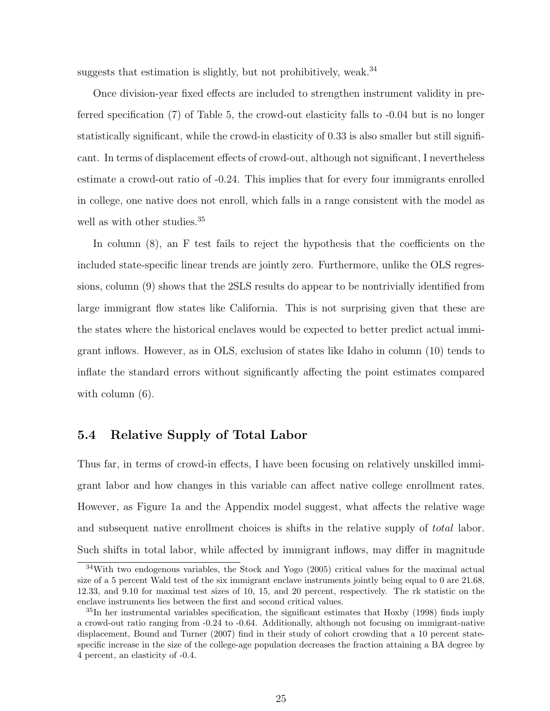suggests that estimation is slightly, but not prohibitively, weak. $34$ 

Once division-year fixed effects are included to strengthen instrument validity in preferred specification (7) of Table 5, the crowd-out elasticity falls to -0.04 but is no longer statistically significant, while the crowd-in elasticity of 0.33 is also smaller but still significant. In terms of displacement effects of crowd-out, although not significant, I nevertheless estimate a crowd-out ratio of -0.24. This implies that for every four immigrants enrolled in college, one native does not enroll, which falls in a range consistent with the model as well as with other studies.<sup>35</sup>

In column (8), an F test fails to reject the hypothesis that the coefficients on the included state-specific linear trends are jointly zero. Furthermore, unlike the OLS regressions, column (9) shows that the 2SLS results do appear to be nontrivially identified from large immigrant flow states like California. This is not surprising given that these are the states where the historical enclaves would be expected to better predict actual immigrant inflows. However, as in OLS, exclusion of states like Idaho in column (10) tends to inflate the standard errors without significantly affecting the point estimates compared with column  $(6)$ .

### 5.4 Relative Supply of Total Labor

Thus far, in terms of crowd-in effects, I have been focusing on relatively unskilled immigrant labor and how changes in this variable can affect native college enrollment rates. However, as Figure 1a and the Appendix model suggest, what affects the relative wage and subsequent native enrollment choices is shifts in the relative supply of total labor. Such shifts in total labor, while affected by immigrant inflows, may differ in magnitude

<sup>&</sup>lt;sup>34</sup>With two endogenous variables, the Stock and Yogo (2005) critical values for the maximal actual size of a 5 percent Wald test of the six immigrant enclave instruments jointly being equal to 0 are 21.68, 12.33, and 9.10 for maximal test sizes of 10, 15, and 20 percent, respectively. The rk statistic on the enclave instruments lies between the first and second critical values.

<sup>35</sup>In her instrumental variables specification, the significant estimates that Hoxby (1998) finds imply a crowd-out ratio ranging from -0.24 to -0.64. Additionally, although not focusing on immigrant-native displacement, Bound and Turner (2007) find in their study of cohort crowding that a 10 percent statespecific increase in the size of the college-age population decreases the fraction attaining a BA degree by 4 percent, an elasticity of -0.4.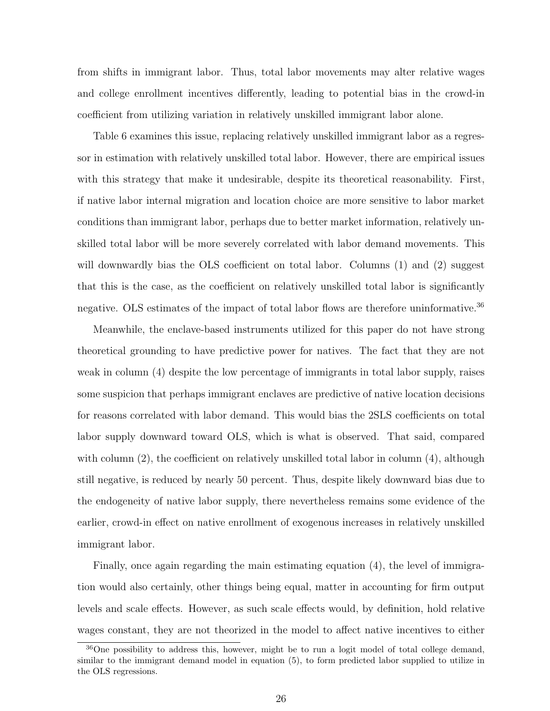from shifts in immigrant labor. Thus, total labor movements may alter relative wages and college enrollment incentives differently, leading to potential bias in the crowd-in coefficient from utilizing variation in relatively unskilled immigrant labor alone.

Table 6 examines this issue, replacing relatively unskilled immigrant labor as a regressor in estimation with relatively unskilled total labor. However, there are empirical issues with this strategy that make it undesirable, despite its theoretical reasonability. First, if native labor internal migration and location choice are more sensitive to labor market conditions than immigrant labor, perhaps due to better market information, relatively unskilled total labor will be more severely correlated with labor demand movements. This will downwardly bias the OLS coefficient on total labor. Columns (1) and (2) suggest that this is the case, as the coefficient on relatively unskilled total labor is significantly negative. OLS estimates of the impact of total labor flows are therefore uninformative.<sup>36</sup>

Meanwhile, the enclave-based instruments utilized for this paper do not have strong theoretical grounding to have predictive power for natives. The fact that they are not weak in column (4) despite the low percentage of immigrants in total labor supply, raises some suspicion that perhaps immigrant enclaves are predictive of native location decisions for reasons correlated with labor demand. This would bias the 2SLS coefficients on total labor supply downward toward OLS, which is what is observed. That said, compared with column  $(2)$ , the coefficient on relatively unskilled total labor in column  $(4)$ , although still negative, is reduced by nearly 50 percent. Thus, despite likely downward bias due to the endogeneity of native labor supply, there nevertheless remains some evidence of the earlier, crowd-in effect on native enrollment of exogenous increases in relatively unskilled immigrant labor.

Finally, once again regarding the main estimating equation (4), the level of immigration would also certainly, other things being equal, matter in accounting for firm output levels and scale effects. However, as such scale effects would, by definition, hold relative wages constant, they are not theorized in the model to affect native incentives to either

<sup>36</sup>One possibility to address this, however, might be to run a logit model of total college demand, similar to the immigrant demand model in equation (5), to form predicted labor supplied to utilize in the OLS regressions.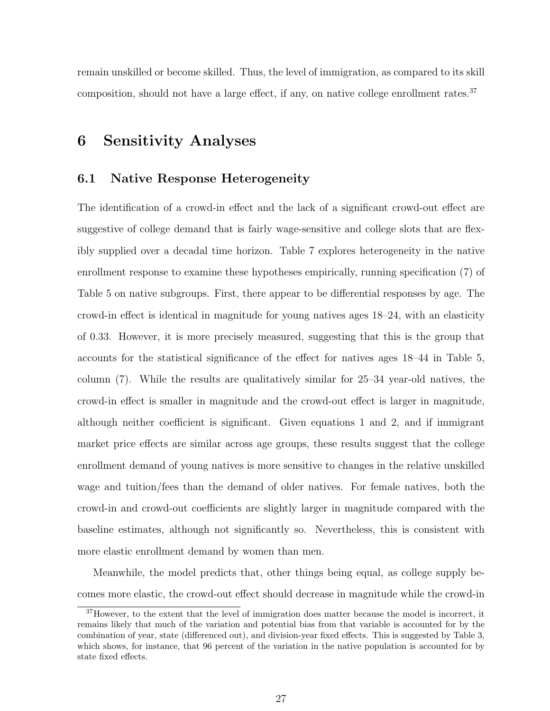remain unskilled or become skilled. Thus, the level of immigration, as compared to its skill composition, should not have a large effect, if any, on native college enrollment rates. $37$ 

## 6 Sensitivity Analyses

#### 6.1 Native Response Heterogeneity

The identification of a crowd-in effect and the lack of a significant crowd-out effect are suggestive of college demand that is fairly wage-sensitive and college slots that are flexibly supplied over a decadal time horizon. Table 7 explores heterogeneity in the native enrollment response to examine these hypotheses empirically, running specification (7) of Table 5 on native subgroups. First, there appear to be differential responses by age. The crowd-in effect is identical in magnitude for young natives ages 18–24, with an elasticity of 0.33. However, it is more precisely measured, suggesting that this is the group that accounts for the statistical significance of the effect for natives ages 18–44 in Table 5, column (7). While the results are qualitatively similar for 25–34 year-old natives, the crowd-in effect is smaller in magnitude and the crowd-out effect is larger in magnitude, although neither coefficient is significant. Given equations 1 and 2, and if immigrant market price effects are similar across age groups, these results suggest that the college enrollment demand of young natives is more sensitive to changes in the relative unskilled wage and tuition/fees than the demand of older natives. For female natives, both the crowd-in and crowd-out coefficients are slightly larger in magnitude compared with the baseline estimates, although not significantly so. Nevertheless, this is consistent with more elastic enrollment demand by women than men.

Meanwhile, the model predicts that, other things being equal, as college supply becomes more elastic, the crowd-out effect should decrease in magnitude while the crowd-in

<sup>&</sup>lt;sup>37</sup>However, to the extent that the level of immigration does matter because the model is incorrect, it remains likely that much of the variation and potential bias from that variable is accounted for by the combination of year, state (differenced out), and division-year fixed effects. This is suggested by Table 3, which shows, for instance, that 96 percent of the variation in the native population is accounted for by state fixed effects.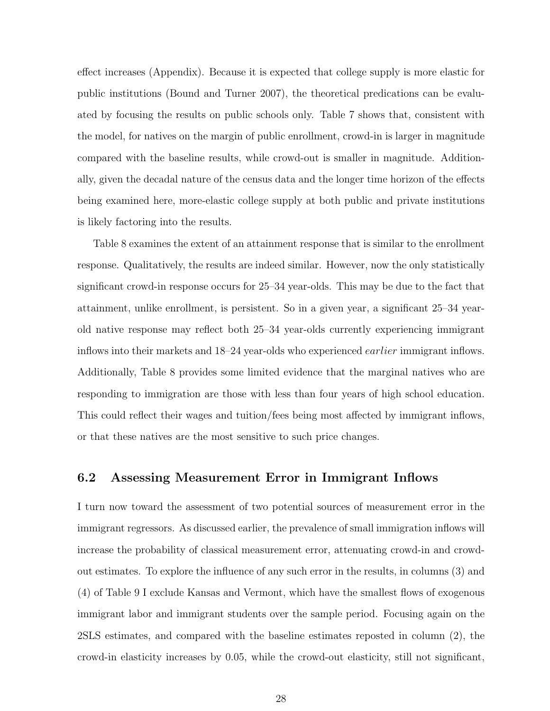effect increases (Appendix). Because it is expected that college supply is more elastic for public institutions (Bound and Turner 2007), the theoretical predications can be evaluated by focusing the results on public schools only. Table 7 shows that, consistent with the model, for natives on the margin of public enrollment, crowd-in is larger in magnitude compared with the baseline results, while crowd-out is smaller in magnitude. Additionally, given the decadal nature of the census data and the longer time horizon of the effects being examined here, more-elastic college supply at both public and private institutions is likely factoring into the results.

Table 8 examines the extent of an attainment response that is similar to the enrollment response. Qualitatively, the results are indeed similar. However, now the only statistically significant crowd-in response occurs for 25–34 year-olds. This may be due to the fact that attainment, unlike enrollment, is persistent. So in a given year, a significant 25–34 yearold native response may reflect both 25–34 year-olds currently experiencing immigrant inflows into their markets and 18–24 year-olds who experienced earlier immigrant inflows. Additionally, Table 8 provides some limited evidence that the marginal natives who are responding to immigration are those with less than four years of high school education. This could reflect their wages and tuition/fees being most affected by immigrant inflows, or that these natives are the most sensitive to such price changes.

### 6.2 Assessing Measurement Error in Immigrant Inflows

I turn now toward the assessment of two potential sources of measurement error in the immigrant regressors. As discussed earlier, the prevalence of small immigration inflows will increase the probability of classical measurement error, attenuating crowd-in and crowdout estimates. To explore the influence of any such error in the results, in columns (3) and (4) of Table 9 I exclude Kansas and Vermont, which have the smallest flows of exogenous immigrant labor and immigrant students over the sample period. Focusing again on the 2SLS estimates, and compared with the baseline estimates reposted in column (2), the crowd-in elasticity increases by 0.05, while the crowd-out elasticity, still not significant,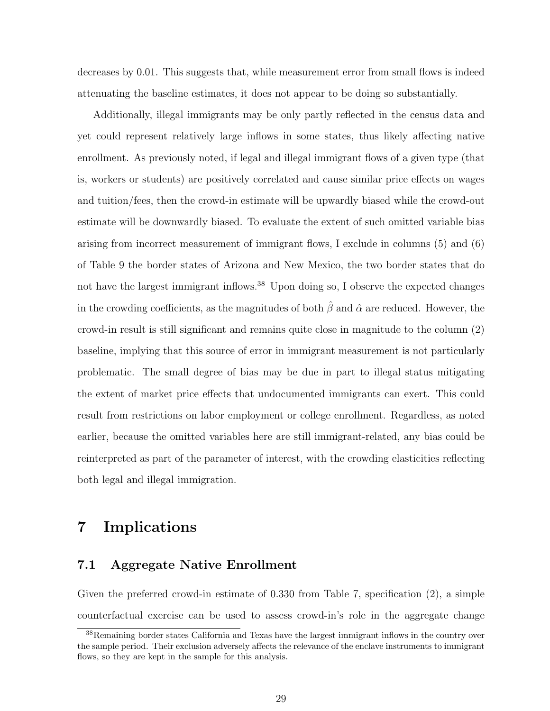decreases by 0.01. This suggests that, while measurement error from small flows is indeed attenuating the baseline estimates, it does not appear to be doing so substantially.

Additionally, illegal immigrants may be only partly reflected in the census data and yet could represent relatively large inflows in some states, thus likely affecting native enrollment. As previously noted, if legal and illegal immigrant flows of a given type (that is, workers or students) are positively correlated and cause similar price effects on wages and tuition/fees, then the crowd-in estimate will be upwardly biased while the crowd-out estimate will be downwardly biased. To evaluate the extent of such omitted variable bias arising from incorrect measurement of immigrant flows, I exclude in columns (5) and (6) of Table 9 the border states of Arizona and New Mexico, the two border states that do not have the largest immigrant inflows.<sup>38</sup> Upon doing so, I observe the expected changes in the crowding coefficients, as the magnitudes of both  $\hat{\beta}$  and  $\hat{\alpha}$  are reduced. However, the crowd-in result is still significant and remains quite close in magnitude to the column (2) baseline, implying that this source of error in immigrant measurement is not particularly problematic. The small degree of bias may be due in part to illegal status mitigating the extent of market price effects that undocumented immigrants can exert. This could result from restrictions on labor employment or college enrollment. Regardless, as noted earlier, because the omitted variables here are still immigrant-related, any bias could be reinterpreted as part of the parameter of interest, with the crowding elasticities reflecting both legal and illegal immigration.

## 7 Implications

### 7.1 Aggregate Native Enrollment

Given the preferred crowd-in estimate of 0.330 from Table 7, specification (2), a simple counterfactual exercise can be used to assess crowd-in's role in the aggregate change

<sup>38</sup>Remaining border states California and Texas have the largest immigrant inflows in the country over the sample period. Their exclusion adversely affects the relevance of the enclave instruments to immigrant flows, so they are kept in the sample for this analysis.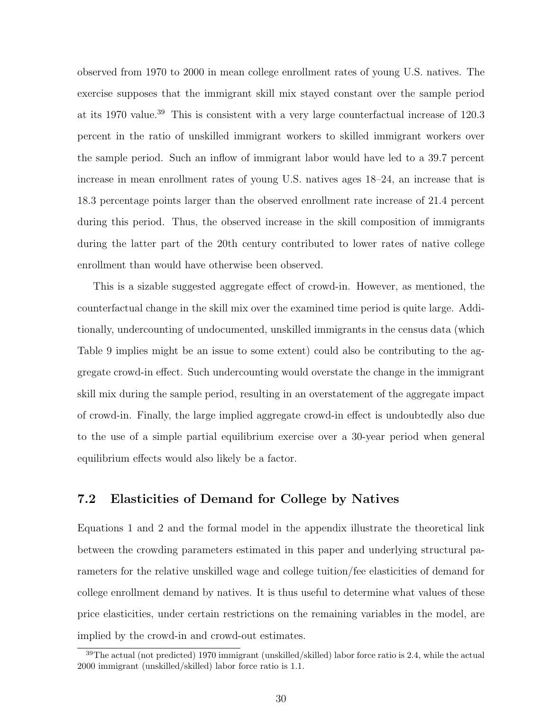observed from 1970 to 2000 in mean college enrollment rates of young U.S. natives. The exercise supposes that the immigrant skill mix stayed constant over the sample period at its 1970 value.<sup>39</sup> This is consistent with a very large counterfactual increase of 120.3 percent in the ratio of unskilled immigrant workers to skilled immigrant workers over the sample period. Such an inflow of immigrant labor would have led to a 39.7 percent increase in mean enrollment rates of young U.S. natives ages 18–24, an increase that is 18.3 percentage points larger than the observed enrollment rate increase of 21.4 percent during this period. Thus, the observed increase in the skill composition of immigrants during the latter part of the 20th century contributed to lower rates of native college enrollment than would have otherwise been observed.

This is a sizable suggested aggregate effect of crowd-in. However, as mentioned, the counterfactual change in the skill mix over the examined time period is quite large. Additionally, undercounting of undocumented, unskilled immigrants in the census data (which Table 9 implies might be an issue to some extent) could also be contributing to the aggregate crowd-in effect. Such undercounting would overstate the change in the immigrant skill mix during the sample period, resulting in an overstatement of the aggregate impact of crowd-in. Finally, the large implied aggregate crowd-in effect is undoubtedly also due to the use of a simple partial equilibrium exercise over a 30-year period when general equilibrium effects would also likely be a factor.

### 7.2 Elasticities of Demand for College by Natives

Equations 1 and 2 and the formal model in the appendix illustrate the theoretical link between the crowding parameters estimated in this paper and underlying structural parameters for the relative unskilled wage and college tuition/fee elasticities of demand for college enrollment demand by natives. It is thus useful to determine what values of these price elasticities, under certain restrictions on the remaining variables in the model, are implied by the crowd-in and crowd-out estimates.

<sup>39</sup>The actual (not predicted) 1970 immigrant (unskilled/skilled) labor force ratio is 2.4, while the actual 2000 immigrant (unskilled/skilled) labor force ratio is 1.1.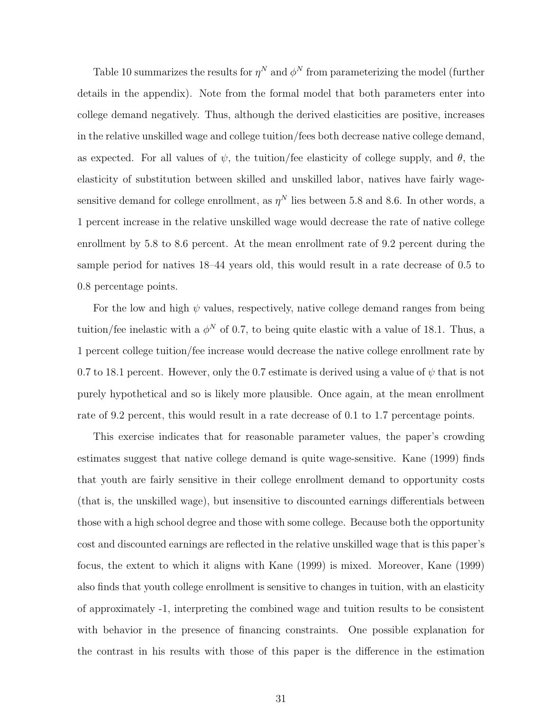Table 10 summarizes the results for  $\eta^N$  and  $\phi^N$  from parameterizing the model (further details in the appendix). Note from the formal model that both parameters enter into college demand negatively. Thus, although the derived elasticities are positive, increases in the relative unskilled wage and college tuition/fees both decrease native college demand, as expected. For all values of  $\psi$ , the tuition/fee elasticity of college supply, and  $\theta$ , the elasticity of substitution between skilled and unskilled labor, natives have fairly wagesensitive demand for college enrollment, as  $\eta^N$  lies between 5.8 and 8.6. In other words, a 1 percent increase in the relative unskilled wage would decrease the rate of native college enrollment by 5.8 to 8.6 percent. At the mean enrollment rate of 9.2 percent during the sample period for natives 18–44 years old, this would result in a rate decrease of 0.5 to 0.8 percentage points.

For the low and high  $\psi$  values, respectively, native college demand ranges from being tuition/fee inelastic with a  $\phi^N$  of 0.7, to being quite elastic with a value of 18.1. Thus, a 1 percent college tuition/fee increase would decrease the native college enrollment rate by 0.7 to 18.1 percent. However, only the 0.7 estimate is derived using a value of  $\psi$  that is not purely hypothetical and so is likely more plausible. Once again, at the mean enrollment rate of 9.2 percent, this would result in a rate decrease of 0.1 to 1.7 percentage points.

This exercise indicates that for reasonable parameter values, the paper's crowding estimates suggest that native college demand is quite wage-sensitive. Kane (1999) finds that youth are fairly sensitive in their college enrollment demand to opportunity costs (that is, the unskilled wage), but insensitive to discounted earnings differentials between those with a high school degree and those with some college. Because both the opportunity cost and discounted earnings are reflected in the relative unskilled wage that is this paper's focus, the extent to which it aligns with Kane (1999) is mixed. Moreover, Kane (1999) also finds that youth college enrollment is sensitive to changes in tuition, with an elasticity of approximately -1, interpreting the combined wage and tuition results to be consistent with behavior in the presence of financing constraints. One possible explanation for the contrast in his results with those of this paper is the difference in the estimation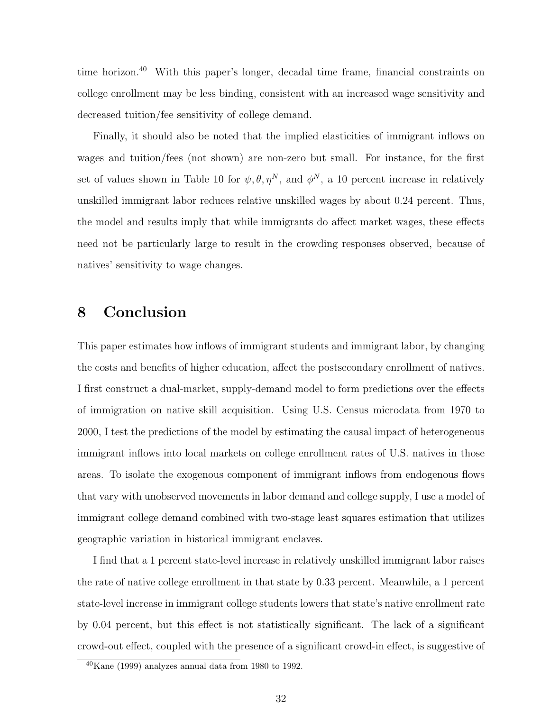time horizon.<sup>40</sup> With this paper's longer, decadal time frame, financial constraints on college enrollment may be less binding, consistent with an increased wage sensitivity and decreased tuition/fee sensitivity of college demand.

Finally, it should also be noted that the implied elasticities of immigrant inflows on wages and tuition/fees (not shown) are non-zero but small. For instance, for the first set of values shown in Table 10 for  $\psi, \theta, \eta^N$ , and  $\phi^N$ , a 10 percent increase in relatively unskilled immigrant labor reduces relative unskilled wages by about 0.24 percent. Thus, the model and results imply that while immigrants do affect market wages, these effects need not be particularly large to result in the crowding responses observed, because of natives' sensitivity to wage changes.

## 8 Conclusion

This paper estimates how inflows of immigrant students and immigrant labor, by changing the costs and benefits of higher education, affect the postsecondary enrollment of natives. I first construct a dual-market, supply-demand model to form predictions over the effects of immigration on native skill acquisition. Using U.S. Census microdata from 1970 to 2000, I test the predictions of the model by estimating the causal impact of heterogeneous immigrant inflows into local markets on college enrollment rates of U.S. natives in those areas. To isolate the exogenous component of immigrant inflows from endogenous flows that vary with unobserved movements in labor demand and college supply, I use a model of immigrant college demand combined with two-stage least squares estimation that utilizes geographic variation in historical immigrant enclaves.

I find that a 1 percent state-level increase in relatively unskilled immigrant labor raises the rate of native college enrollment in that state by 0.33 percent. Meanwhile, a 1 percent state-level increase in immigrant college students lowers that state's native enrollment rate by 0.04 percent, but this effect is not statistically significant. The lack of a significant crowd-out effect, coupled with the presence of a significant crowd-in effect, is suggestive of

 $40$ Kane (1999) analyzes annual data from 1980 to 1992.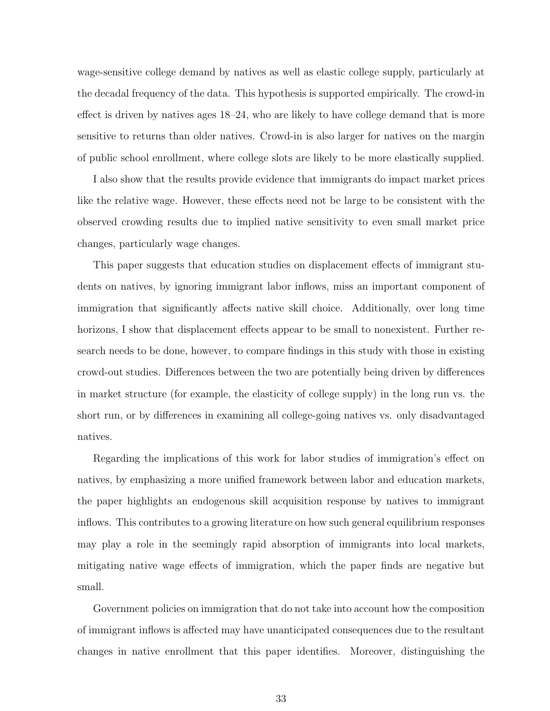wage-sensitive college demand by natives as well as elastic college supply, particularly at the decadal frequency of the data. This hypothesis is supported empirically. The crowd-in effect is driven by natives ages 18–24, who are likely to have college demand that is more sensitive to returns than older natives. Crowd-in is also larger for natives on the margin of public school enrollment, where college slots are likely to be more elastically supplied.

I also show that the results provide evidence that immigrants do impact market prices like the relative wage. However, these effects need not be large to be consistent with the observed crowding results due to implied native sensitivity to even small market price changes, particularly wage changes.

This paper suggests that education studies on displacement effects of immigrant students on natives, by ignoring immigrant labor inflows, miss an important component of immigration that significantly affects native skill choice. Additionally, over long time horizons, I show that displacement effects appear to be small to nonexistent. Further research needs to be done, however, to compare findings in this study with those in existing crowd-out studies. Differences between the two are potentially being driven by differences in market structure (for example, the elasticity of college supply) in the long run vs. the short run, or by differences in examining all college-going natives vs. only disadvantaged natives.

Regarding the implications of this work for labor studies of immigration's effect on natives, by emphasizing a more unified framework between labor and education markets, the paper highlights an endogenous skill acquisition response by natives to immigrant inflows. This contributes to a growing literature on how such general equilibrium responses may play a role in the seemingly rapid absorption of immigrants into local markets, mitigating native wage effects of immigration, which the paper finds are negative but small.

Government policies on immigration that do not take into account how the composition of immigrant inflows is affected may have unanticipated consequences due to the resultant changes in native enrollment that this paper identifies. Moreover, distinguishing the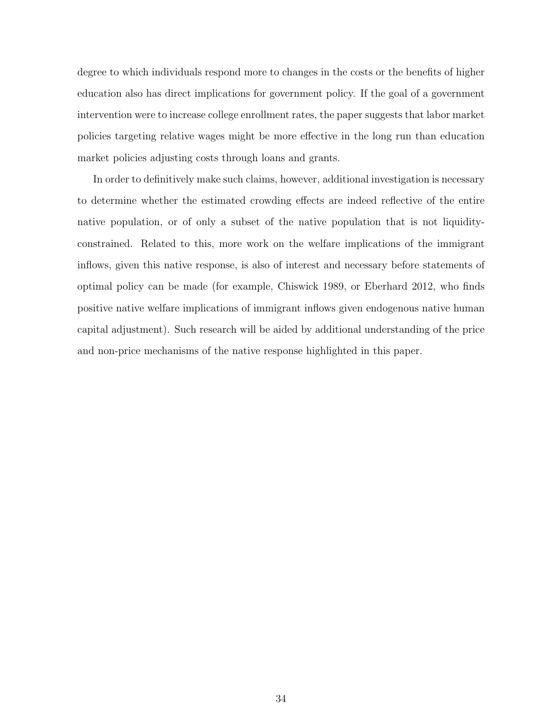degree to which individuals respond more to changes in the costs or the benefits of higher education also has direct implications for government policy. If the goal of a government intervention were to increase college enrollment rates, the paper suggests that labor market policies targeting relative wages might be more effective in the long run than education market policies adjusting costs through loans and grants.

In order to definitively make such claims, however, additional investigation is necessary to determine whether the estimated crowding effects are indeed reflective of the entire native population, or of only a subset of the native population that is not liquidityconstrained. Related to this, more work on the welfare implications of the immigrant inflows, given this native response, is also of interest and necessary before statements of optimal policy can be made (for example, Chiswick 1989, or Eberhard 2012, who finds positive native welfare implications of immigrant inflows given endogenous native human capital adjustment). Such research will be aided by additional understanding of the price and non-price mechanisms of the native response highlighted in this paper.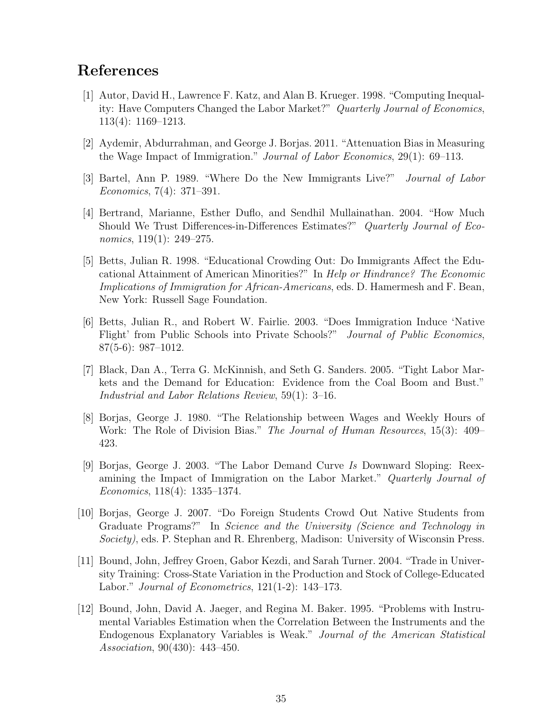## References

- [1] Autor, David H., Lawrence F. Katz, and Alan B. Krueger. 1998. "Computing Inequality: Have Computers Changed the Labor Market?" Quarterly Journal of Economics, 113(4): 1169–1213.
- [2] Aydemir, Abdurrahman, and George J. Borjas. 2011. "Attenuation Bias in Measuring the Wage Impact of Immigration." Journal of Labor Economics, 29(1): 69–113.
- [3] Bartel, Ann P. 1989. "Where Do the New Immigrants Live?" Journal of Labor Economics, 7(4): 371–391.
- [4] Bertrand, Marianne, Esther Duflo, and Sendhil Mullainathan. 2004. "How Much Should We Trust Differences-in-Differences Estimates?" Quarterly Journal of Economics, 119(1): 249–275.
- [5] Betts, Julian R. 1998. "Educational Crowding Out: Do Immigrants Affect the Educational Attainment of American Minorities?" In Help or Hindrance? The Economic Implications of Immigration for African-Americans, eds. D. Hamermesh and F. Bean, New York: Russell Sage Foundation.
- [6] Betts, Julian R., and Robert W. Fairlie. 2003. "Does Immigration Induce 'Native Flight' from Public Schools into Private Schools?" Journal of Public Economics, 87(5-6): 987–1012.
- [7] Black, Dan A., Terra G. McKinnish, and Seth G. Sanders. 2005. "Tight Labor Markets and the Demand for Education: Evidence from the Coal Boom and Bust." Industrial and Labor Relations Review, 59(1): 3–16.
- [8] Borjas, George J. 1980. "The Relationship between Wages and Weekly Hours of Work: The Role of Division Bias." The Journal of Human Resources, 15(3): 409– 423.
- [9] Borjas, George J. 2003. "The Labor Demand Curve Is Downward Sloping: Reexamining the Impact of Immigration on the Labor Market." Quarterly Journal of Economics, 118(4): 1335–1374.
- [10] Borjas, George J. 2007. "Do Foreign Students Crowd Out Native Students from Graduate Programs?" In Science and the University (Science and Technology in Society), eds. P. Stephan and R. Ehrenberg, Madison: University of Wisconsin Press.
- [11] Bound, John, Jeffrey Groen, Gabor Kezdi, and Sarah Turner. 2004. "Trade in University Training: Cross-State Variation in the Production and Stock of College-Educated Labor." Journal of Econometrics,  $121(1-2)$ : 143–173.
- [12] Bound, John, David A. Jaeger, and Regina M. Baker. 1995. "Problems with Instrumental Variables Estimation when the Correlation Between the Instruments and the Endogenous Explanatory Variables is Weak." Journal of the American Statistical Association, 90(430): 443–450.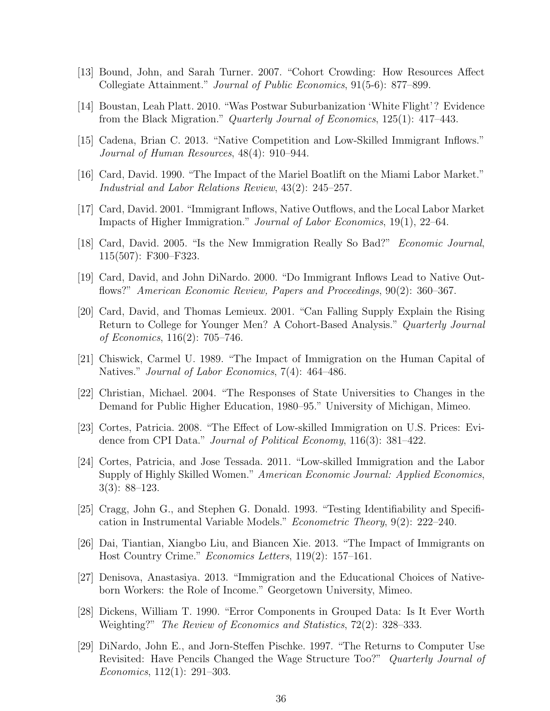- [13] Bound, John, and Sarah Turner. 2007. "Cohort Crowding: How Resources Affect Collegiate Attainment." Journal of Public Economics, 91(5-6): 877–899.
- [14] Boustan, Leah Platt. 2010. "Was Postwar Suburbanization 'White Flight'? Evidence from the Black Migration." Quarterly Journal of Economics, 125(1): 417–443.
- [15] Cadena, Brian C. 2013. "Native Competition and Low-Skilled Immigrant Inflows." Journal of Human Resources, 48(4): 910–944.
- [16] Card, David. 1990. "The Impact of the Mariel Boatlift on the Miami Labor Market." Industrial and Labor Relations Review, 43(2): 245–257.
- [17] Card, David. 2001. "Immigrant Inflows, Native Outflows, and the Local Labor Market Impacts of Higher Immigration." Journal of Labor Economics, 19(1), 22–64.
- [18] Card, David. 2005. "Is the New Immigration Really So Bad?" Economic Journal, 115(507): F300–F323.
- [19] Card, David, and John DiNardo. 2000. "Do Immigrant Inflows Lead to Native Outflows?" American Economic Review, Papers and Proceedings, 90(2): 360–367.
- [20] Card, David, and Thomas Lemieux. 2001. "Can Falling Supply Explain the Rising Return to College for Younger Men? A Cohort-Based Analysis." Quarterly Journal of Economics, 116(2): 705–746.
- [21] Chiswick, Carmel U. 1989. "The Impact of Immigration on the Human Capital of Natives." Journal of Labor Economics, 7(4): 464–486.
- [22] Christian, Michael. 2004. "The Responses of State Universities to Changes in the Demand for Public Higher Education, 1980–95." University of Michigan, Mimeo.
- [23] Cortes, Patricia. 2008. "The Effect of Low-skilled Immigration on U.S. Prices: Evidence from CPI Data." *Journal of Political Economy*, 116(3): 381–422.
- [24] Cortes, Patricia, and Jose Tessada. 2011. "Low-skilled Immigration and the Labor Supply of Highly Skilled Women." American Economic Journal: Applied Economics, 3(3): 88–123.
- [25] Cragg, John G., and Stephen G. Donald. 1993. "Testing Identifiability and Specification in Instrumental Variable Models." Econometric Theory, 9(2): 222–240.
- [26] Dai, Tiantian, Xiangbo Liu, and Biancen Xie. 2013. "The Impact of Immigrants on Host Country Crime." Economics Letters, 119(2): 157–161.
- [27] Denisova, Anastasiya. 2013. "Immigration and the Educational Choices of Nativeborn Workers: the Role of Income." Georgetown University, Mimeo.
- [28] Dickens, William T. 1990. "Error Components in Grouped Data: Is It Ever Worth Weighting?" The Review of Economics and Statistics, 72(2): 328–333.
- [29] DiNardo, John E., and Jorn-Steffen Pischke. 1997. "The Returns to Computer Use Revisited: Have Pencils Changed the Wage Structure Too?" Quarterly Journal of Economics, 112(1): 291–303.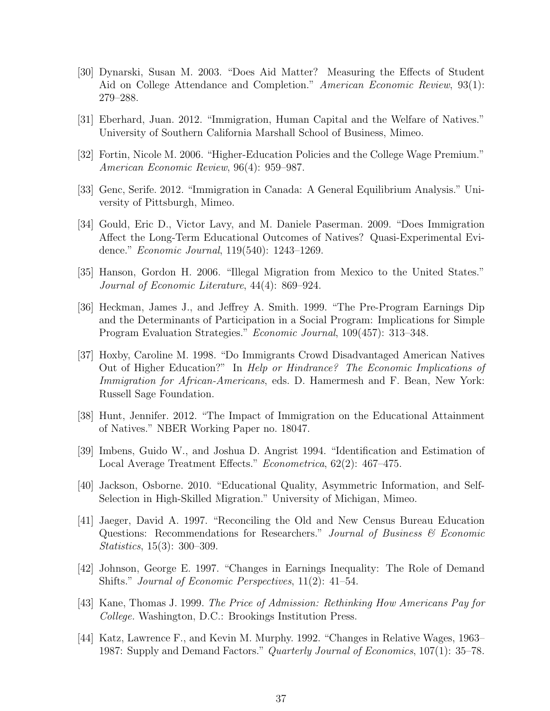- [30] Dynarski, Susan M. 2003. "Does Aid Matter? Measuring the Effects of Student Aid on College Attendance and Completion." American Economic Review, 93(1): 279–288.
- [31] Eberhard, Juan. 2012. "Immigration, Human Capital and the Welfare of Natives." University of Southern California Marshall School of Business, Mimeo.
- [32] Fortin, Nicole M. 2006. "Higher-Education Policies and the College Wage Premium." American Economic Review, 96(4): 959–987.
- [33] Genc, Serife. 2012. "Immigration in Canada: A General Equilibrium Analysis." University of Pittsburgh, Mimeo.
- [34] Gould, Eric D., Victor Lavy, and M. Daniele Paserman. 2009. "Does Immigration Affect the Long-Term Educational Outcomes of Natives? Quasi-Experimental Evidence." Economic Journal, 119(540): 1243–1269.
- [35] Hanson, Gordon H. 2006. "Illegal Migration from Mexico to the United States." Journal of Economic Literature, 44(4): 869–924.
- [36] Heckman, James J., and Jeffrey A. Smith. 1999. "The Pre-Program Earnings Dip and the Determinants of Participation in a Social Program: Implications for Simple Program Evaluation Strategies." Economic Journal, 109(457): 313–348.
- [37] Hoxby, Caroline M. 1998. "Do Immigrants Crowd Disadvantaged American Natives Out of Higher Education?" In Help or Hindrance? The Economic Implications of Immigration for African-Americans, eds. D. Hamermesh and F. Bean, New York: Russell Sage Foundation.
- [38] Hunt, Jennifer. 2012. "The Impact of Immigration on the Educational Attainment of Natives." NBER Working Paper no. 18047.
- [39] Imbens, Guido W., and Joshua D. Angrist 1994. "Identification and Estimation of Local Average Treatment Effects." Econometrica, 62(2): 467–475.
- [40] Jackson, Osborne. 2010. "Educational Quality, Asymmetric Information, and Self-Selection in High-Skilled Migration." University of Michigan, Mimeo.
- [41] Jaeger, David A. 1997. "Reconciling the Old and New Census Bureau Education Questions: Recommendations for Researchers." Journal of Business & Economic Statistics, 15(3): 300–309.
- [42] Johnson, George E. 1997. "Changes in Earnings Inequality: The Role of Demand Shifts." Journal of Economic Perspectives, 11(2): 41–54.
- [43] Kane, Thomas J. 1999. The Price of Admission: Rethinking How Americans Pay for College. Washington, D.C.: Brookings Institution Press.
- [44] Katz, Lawrence F., and Kevin M. Murphy. 1992. "Changes in Relative Wages, 1963– 1987: Supply and Demand Factors." *Quarterly Journal of Economics*, 107(1): 35–78.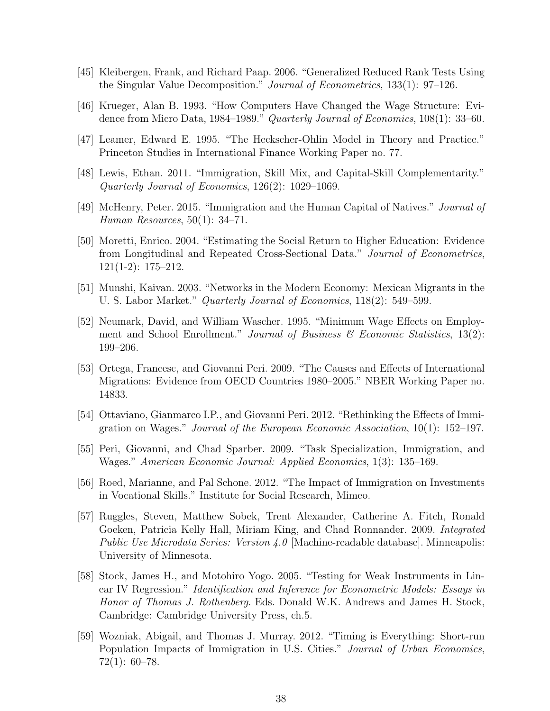- [45] Kleibergen, Frank, and Richard Paap. 2006. "Generalized Reduced Rank Tests Using the Singular Value Decomposition." Journal of Econometrics, 133(1): 97–126.
- [46] Krueger, Alan B. 1993. "How Computers Have Changed the Wage Structure: Evidence from Micro Data, 1984–1989." Quarterly Journal of Economics, 108(1): 33–60.
- [47] Leamer, Edward E. 1995. "The Heckscher-Ohlin Model in Theory and Practice." Princeton Studies in International Finance Working Paper no. 77.
- [48] Lewis, Ethan. 2011. "Immigration, Skill Mix, and Capital-Skill Complementarity." Quarterly Journal of Economics, 126(2): 1029–1069.
- [49] McHenry, Peter. 2015. "Immigration and the Human Capital of Natives." Journal of Human Resources, 50(1): 34–71.
- [50] Moretti, Enrico. 2004. "Estimating the Social Return to Higher Education: Evidence from Longitudinal and Repeated Cross-Sectional Data." Journal of Econometrics, 121(1-2): 175–212.
- [51] Munshi, Kaivan. 2003. "Networks in the Modern Economy: Mexican Migrants in the U. S. Labor Market." Quarterly Journal of Economics, 118(2): 549–599.
- [52] Neumark, David, and William Wascher. 1995. "Minimum Wage Effects on Employment and School Enrollment." Journal of Business  $\mathcal C$  Economic Statistics, 13(2): 199–206.
- [53] Ortega, Francesc, and Giovanni Peri. 2009. "The Causes and Effects of International Migrations: Evidence from OECD Countries 1980–2005." NBER Working Paper no. 14833.
- [54] Ottaviano, Gianmarco I.P., and Giovanni Peri. 2012. "Rethinking the Effects of Immigration on Wages." Journal of the European Economic Association, 10(1): 152–197.
- [55] Peri, Giovanni, and Chad Sparber. 2009. "Task Specialization, Immigration, and Wages." American Economic Journal: Applied Economics, 1(3): 135–169.
- [56] Roed, Marianne, and Pal Schone. 2012. "The Impact of Immigration on Investments in Vocational Skills." Institute for Social Research, Mimeo.
- [57] Ruggles, Steven, Matthew Sobek, Trent Alexander, Catherine A. Fitch, Ronald Goeken, Patricia Kelly Hall, Miriam King, and Chad Ronnander. 2009. Integrated Public Use Microdata Series: Version 4.0 [Machine-readable database]. Minneapolis: University of Minnesota.
- [58] Stock, James H., and Motohiro Yogo. 2005. "Testing for Weak Instruments in Linear IV Regression." Identification and Inference for Econometric Models: Essays in Honor of Thomas J. Rothenberg. Eds. Donald W.K. Andrews and James H. Stock, Cambridge: Cambridge University Press, ch.5.
- [59] Wozniak, Abigail, and Thomas J. Murray. 2012. "Timing is Everything: Short-run Population Impacts of Immigration in U.S. Cities." Journal of Urban Economics, 72(1): 60–78.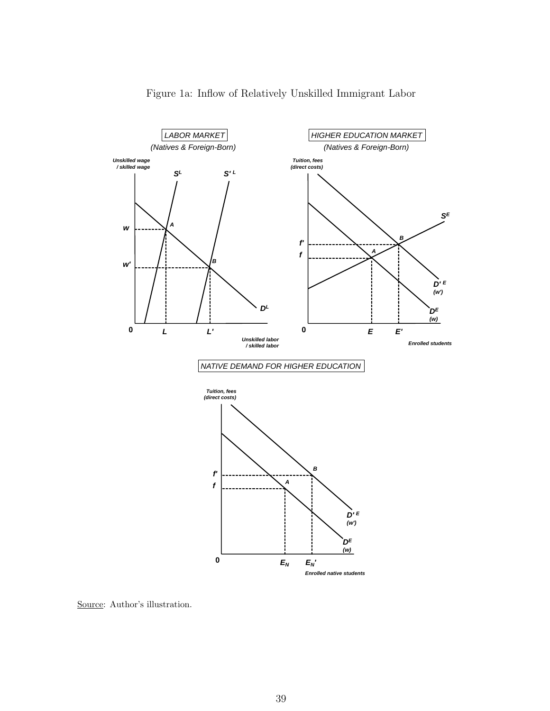

### Figure 1a: Inflow of Relatively Unskilled Immigrant Labor

Source: Author's illustration.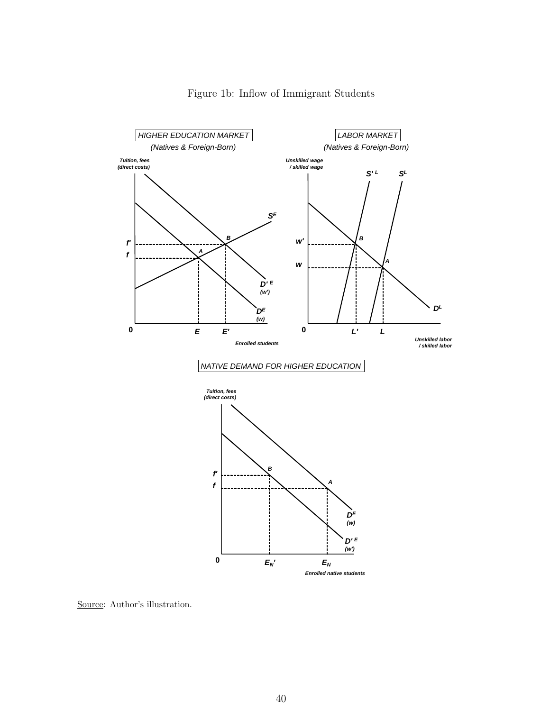

### Figure 1b: Inflow of Immigrant Students

Source: Author's illustration.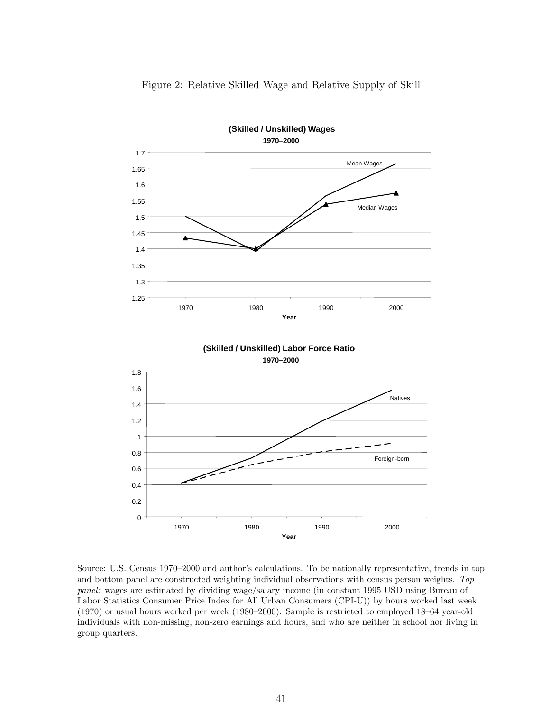

Figure 2: Relative Skilled Wage and Relative Supply of Skill

Source: U.S. Census 1970–2000 and author's calculations. To be nationally representative, trends in top and bottom panel are constructed weighting individual observations with census person weights. Top panel: wages are estimated by dividing wage/salary income (in constant 1995 USD using Bureau of Labor Statistics Consumer Price Index for All Urban Consumers (CPI-U)) by hours worked last week (1970) or usual hours worked per week (1980–2000). Sample is restricted to employed 18–64 year-old individuals with non-missing, non-zero earnings and hours, and who are neither in school nor living in group quarters.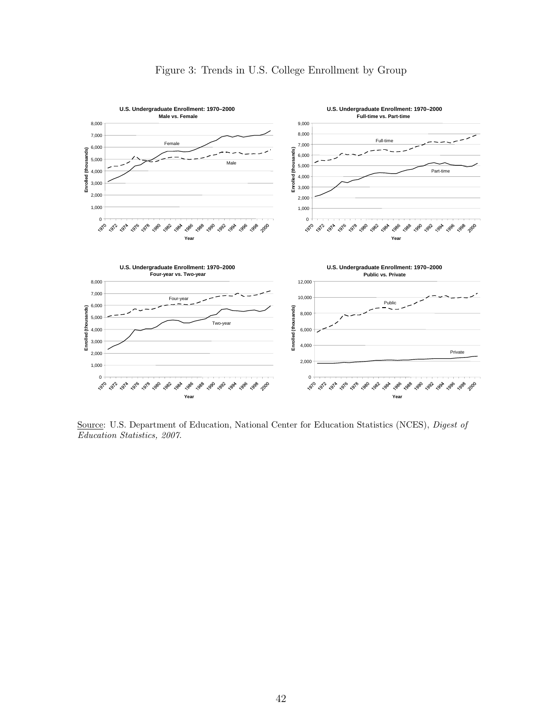

Figure 3: Trends in U.S. College Enrollment by Group

Source: U.S. Department of Education, National Center for Education Statistics (NCES), Digest of Education Statistics, 2007.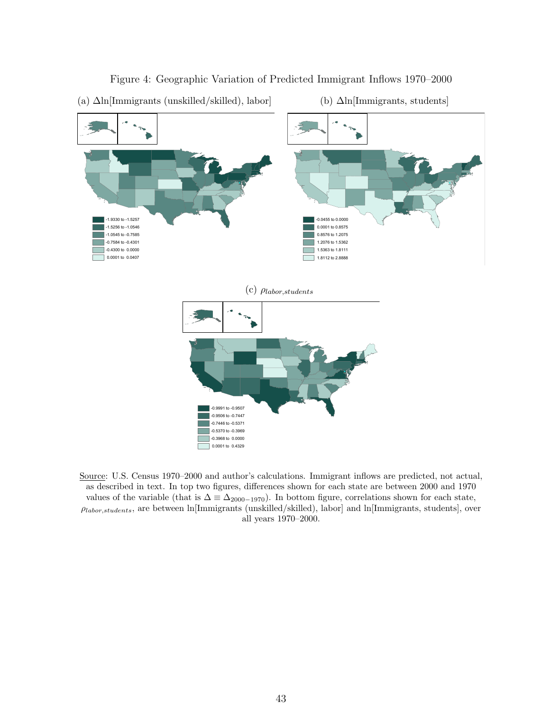

#### Figure 4: Geographic Variation of Predicted Immigrant Inflows 1970–2000



(a) ∆ln[Immigrants (unskilled/skilled), labor]

(b) ∆ln[Immigrants, students]

Source: U.S. Census 1970–2000 and author's calculations. Immigrant inflows are predicted, not actual, as described in text. In top two figures, differences shown for each state are between 2000 and 1970 values of the variable (that is  $\Delta \equiv \Delta_{2000-1970}$ ). In bottom figure, correlations shown for each state,  $p_{labor, students}$ , are between ln[Immigrants (unskilled/skilled), labor] and ln[Immigrants, students], over all years 1970–2000.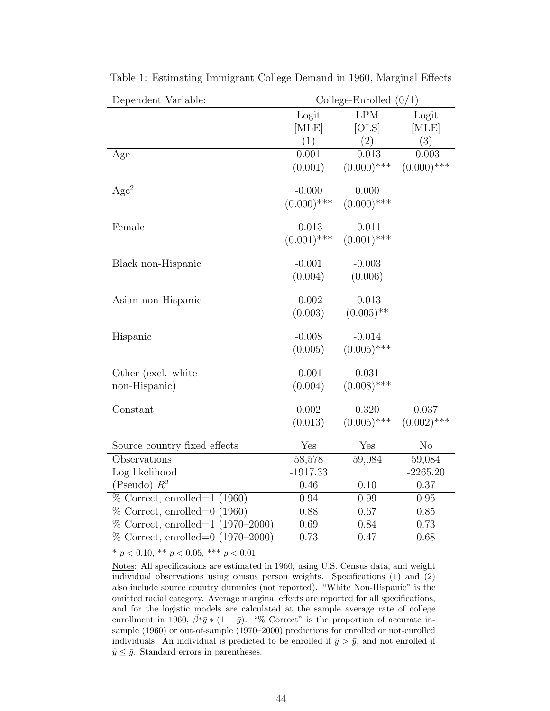| Dependent Variable:               |               | College-Enrolled $(0/1)$ |               |
|-----------------------------------|---------------|--------------------------|---------------|
|                                   | Logit         | <b>LPM</b>               | Logit         |
|                                   | [MLE]         | [OLS]                    | [MLE]         |
|                                   | (1)           | (2)                      | (3)           |
| Age                               | 0.001         | $-0.013$                 | $-0.003$      |
|                                   | (0.001)       | $(0.000)$ ***            | $(0.000)$ *** |
| Age <sup>2</sup>                  | $-0.000$      | 0.000                    |               |
|                                   | $(0.000)$ *** | $(0.000)$ ***            |               |
| Female                            | $-0.013$      | $-0.011$                 |               |
|                                   | $(0.001)$ *** | $(0.001)$ ***            |               |
| Black non-Hispanic                | $-0.001$      | $-0.003$                 |               |
|                                   | (0.004)       | (0.006)                  |               |
| Asian non-Hispanic                | $-0.002$      | $-0.013$                 |               |
|                                   | (0.003)       | $(0.005)$ **             |               |
| Hispanic                          | $-0.008$      | $-0.014$                 |               |
|                                   | (0.005)       | $(0.005)$ ***            |               |
| Other (excl. white                | $-0.001$      | 0.031                    |               |
| non-Hispanic)                     | (0.004)       | $(0.008)$ ***            |               |
| Constant                          | 0.002         | 0.320                    | 0.037         |
|                                   | (0.013)       | $(0.005)$ ***            | $(0.002)$ *** |
| Source country fixed effects      | Yes           | Yes                      | $\rm No$      |
| Observations                      | 58,578        | 59,084                   | 59,084        |
| Log likelihood                    | $-1917.33$    |                          | $-2265.20$    |
| (Pseudo) $R^2$                    | 0.46          | 0.10                     | 0.37          |
| $\%$ Correct, enrolled=1 (1960)   | 0.94          | 0.99                     | 0.95          |
| $\%$ Correct, enrolled=0 (1960)   | 0.88          | 0.67                     | 0.85          |
| % Correct, enrolled=1 (1970-2000) | 0.69          | 0.84                     | 0.73          |
| % Correct, enrolled=0 (1970–2000) | 0.73          | 0.47                     | 0.68          |

Table 1: Estimating Immigrant College Demand in 1960, Marginal Effects

 $\boxed{ \begin{array}{c} * \text{ } p < 0.10, \; ^{**} \text{ } p < 0.05, \; ^{***} \text{ } p < 0.01 \end{array} }$ 

Notes: All specifications are estimated in 1960, using U.S. Census data, and weight individual observations using census person weights. Specifications (1) and (2) also include source country dummies (not reported). "White Non-Hispanic" is the omitted racial category. Average marginal effects are reported for all specifications, and for the logistic models are calculated at the sample average rate of college enrollment in 1960,  $\hat{\beta}^*\bar{y}*(1-\bar{y})$ . "% Correct" is the proportion of accurate insample (1960) or out-of-sample (1970–2000) predictions for enrolled or not-enrolled individuals. An individual is predicted to be enrolled if  $\hat{y} > \bar{y}$ , and not enrolled if  $\hat{y} \leq \bar{y}$ . Standard errors in parentheses.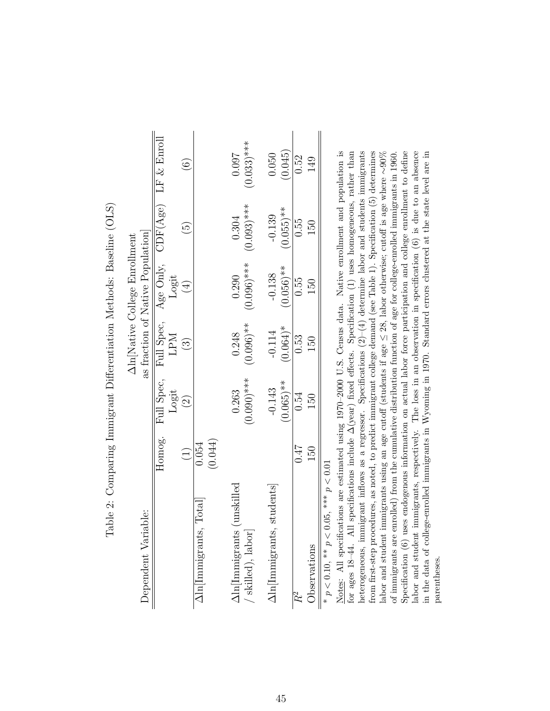|                                                                             |                  |                          |                          | Aln[Native College Enrollment            |                          |                        |
|-----------------------------------------------------------------------------|------------------|--------------------------|--------------------------|------------------------------------------|--------------------------|------------------------|
| Dependent Variable:                                                         |                  |                          |                          | as fraction of Native Population         |                          |                        |
|                                                                             | Homog.           | Logit                    | <b>LPM</b>               | Full Spec, Full Spec, Age Only,<br>Logit | CDF(Age)                 | LF $&$ Enroll          |
|                                                                             | $\widehat{\Xi}$  | $\widehat{\Omega}$       | $\widetilde{\mathbb{C}}$ | $\left( \frac{1}{2} \right)$             | 6                        | $\widehat{\odot}$      |
| ., Total<br>$\Delta$ ln Immigrants                                          | (0.044)<br>0.054 |                          |                          |                                          |                          |                        |
| unskilled<br>$\Delta \textrm{ln}[\textrm{Inmigrants}]$<br>' skilled), labor |                  | $(0.090)$ ***<br>0.263   | $(0.096)$ **<br>0.248    | $0.096$ <sup>***</sup><br>0.290          | $(0.093)$ ***<br>0.304   | $(0.033)$ ***<br>0.097 |
| students<br>$\Delta$ ln[Immigrants                                          |                  | $(0.065)$ **<br>$-0.143$ | $(0.064)$ *<br>$-0.114$  | $(0.056)$ **<br>$-0.138$                 | $(0.055)$ **<br>$-0.139$ | (0.045)<br>0.050       |
|                                                                             | 7F0              | 0.54                     | 0.53                     | 0.55                                     | 0.55                     | 0.52                   |
| Observations                                                                | 50               | 150                      | 50                       | 150                                      | 150                      | 149                    |
|                                                                             |                  |                          |                          |                                          |                          |                        |

Table 2: Comparing Immigrant Differentiation Methods: Baseline (OLS) Table 2: Comparing Immigrant Differentiation Methods: Baseline (OLS)

\*  $p < 0.10$ , \*\*  $p < 0.05$ , \*\*\*  $p < 0.01$  $p < 0.10$ , \*\*  $p < 0.05$ , \*\*\*  $p < 0.01$ 

Notes: All specifications are estimated using 1970-2000 U.S. Census data. Native enrollment and population is heterogeneous, immigrant inflows as a regressor. Specifications  $(2)-(4)$  determine labor and students immigrants from first-step procedures, as noted, to predict immigrant college demand (see Table 1). Specification (5) determines Notes: All specifications are estimated using 1970–2000 U.S. Census data. Native enrollment and population is for ages 18-44. All specifications include  $\Delta$ (year) fixed effects. Specification (1) uses homogeneous, rather than Specification (6) uses endogenous information on actual labor force participation and college enrollment to define labor and student immigrants, respectively. The loss in an observation in specification (6) is due to an absence for ages 18–44. All specifications include ∆(year) fixed effects. Specification (1) uses homogeneous, rather than heterogeneous, immigrant inflows as a regressor. Specifications  $(2)-(4)$  determine labor and students immigrants from first-step procedures, as noted, to predict immigrant college demand (see Table 1). Specification (5) determines ∼90% Specification (6) uses endogenous information on actual labor force participation and college enrollment to define labor and student immigrants, respectively. The loss in an observation in specification (6) is due to an absence in the data of college-enrolled immigrants in Wyoming in 1970. Standard errors clustered at the state level are in in the data of college-enrolled immigrants in Wyoming in 1970. Standard errors clustered at the state level are in of immigrants are enrolled) from the cumulative distribution function of age for college-enrolled immigrants in 1960.  $\leq 28$ , labor otherwise; cutoff is age where ≤labor and student immigrants using an age cutoff (students if age parentheses. parentheses.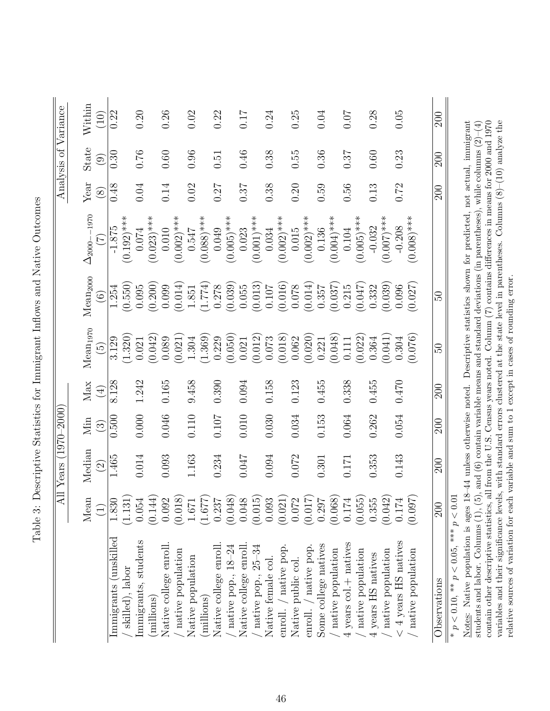|                                                                                                                                                                                                                                                                                       |                 | All Years (1970–2000     |           |                  |                          |                      |                                                                                                     |          | Analysis of Variance     |            |
|---------------------------------------------------------------------------------------------------------------------------------------------------------------------------------------------------------------------------------------------------------------------------------------|-----------------|--------------------------|-----------|------------------|--------------------------|----------------------|-----------------------------------------------------------------------------------------------------|----------|--------------------------|------------|
|                                                                                                                                                                                                                                                                                       | Mean            | Median                   | Min       | Max              | Mean <sub>1970</sub>     | Mean <sub>2000</sub> | $-1970$<br>$\Delta_{2000}$ -                                                                        | Year     | State                    | Within     |
|                                                                                                                                                                                                                                                                                       | $\widehat{\Xi}$ | $\widehat{\mathfrak{D}}$ | $\odot$   | $\bigoplus$      | $\widetilde{\mathbb{G}}$ | $\widehat{\odot}$    |                                                                                                     | $\infty$ | $\widehat{\mathfrak{S}}$ | (10)       |
| Immigrants (unskilled                                                                                                                                                                                                                                                                 | 1.830           | 1.465                    | 0.500     | 8.128            | 3.129                    | 1.254                | $-1.875$                                                                                            | 0.48     | 0.30                     | 0.22       |
| skilled), labor                                                                                                                                                                                                                                                                       | (1.131)         |                          |           |                  | (1.320)                  | (0.550)              | $(0.192)$ ***                                                                                       |          |                          |            |
| mmigrants, students                                                                                                                                                                                                                                                                   | 0.054           | $0.014\,$                | 0.000     | 1.242            | 0.021                    | 0.095                | 0.074                                                                                               | 0.04     | 0.76                     | 0.20       |
| millions)                                                                                                                                                                                                                                                                             | (0.144)         |                          |           |                  | (0.042)                  | (0.200)              | $(0.023)$ ***                                                                                       |          |                          |            |
| Native college enroll.                                                                                                                                                                                                                                                                | 0.092           | 0.093                    | 0.046     | 0.165            | 0.089                    | 0.099                | 0.010                                                                                               | 0.14     | 0.60                     | 0.26       |
| native population                                                                                                                                                                                                                                                                     | (0.018)         |                          |           |                  | (0.021)                  | (0.014)              | $(0.002)$ ***                                                                                       |          |                          |            |
| Native population                                                                                                                                                                                                                                                                     | 1.671           | 1.163                    | $0.110\,$ | 9.458            | 1.304                    | 1.851                | 0.547                                                                                               | 0.02     | 0.96                     | 0.02       |
| (millions)                                                                                                                                                                                                                                                                            | (1.677)         |                          |           |                  | (1.369)                  | (1.774)              | $(0.088)$ ***                                                                                       |          |                          |            |
| Native college enroll.                                                                                                                                                                                                                                                                | 0.237           | 0.234                    | 0.107     | 0.390            | 0.229                    | 0.278                | 0.049                                                                                               | 0.27     | 0.51                     | 0.22       |
| aative pop., $18-24$                                                                                                                                                                                                                                                                  | (0.048)         |                          |           |                  | (0.050)                  | (0.039)              | $(0.005)$ ***                                                                                       |          |                          |            |
| Native college enroll                                                                                                                                                                                                                                                                 | 0.048           | 0.047                    | 0.010     | 0.094            | 0.021                    | 0.055                | 0.023                                                                                               | 0.37     | 0.46                     | <b>117</b> |
| native pop., 25-34                                                                                                                                                                                                                                                                    | (0.015)         |                          |           |                  | (0.012)                  | (0.013)              | $(0.001)$ ***                                                                                       |          |                          |            |
| Native female col                                                                                                                                                                                                                                                                     | 0.093           | 0.094                    | 0.030     | 0.158            | 0.073                    | 0.107                | 0.034                                                                                               | 0.38     | 0.38                     | 0.24       |
| enroll. / native pop.                                                                                                                                                                                                                                                                 | (0.021)         |                          |           |                  | (0.018)                  | (0.016)              | $(0.002)$ ***                                                                                       |          |                          |            |
| Native public col.                                                                                                                                                                                                                                                                    | 0.072           | 0.072                    | 0.034     | 0.123            | 0.062                    | 0.078                | 0.015                                                                                               | 0.20     | 0.55                     | 0.25       |
| enroll. / native pop.                                                                                                                                                                                                                                                                 | (0.017)         |                          |           |                  | (0.020)                  | (0.014)              | $(0.002)$ ***                                                                                       |          |                          |            |
| Some college natives                                                                                                                                                                                                                                                                  | 0.297           | 0.301                    | 0.153     | 0.455            | 0.221                    | 0.357                | 0.136                                                                                               | 0.59     | 0.36                     | 0.04       |
| native population                                                                                                                                                                                                                                                                     | (0.068)         |                          |           |                  | (0.048)                  | (0.037)              | $(0.004)$ ***                                                                                       |          |                          |            |
| 4 years col. + natives                                                                                                                                                                                                                                                                | 0.174           | $0.171\,$                | 0.064     | 0.338            | 0.111                    | 0.215                | 0.104                                                                                               | 0.56     | 0.37                     | 0.07       |
| native population                                                                                                                                                                                                                                                                     | (0.055)         |                          |           |                  | (0.022)                  | (0.047)              | $(0.005)$ ***                                                                                       |          |                          |            |
| 4 years HS natives                                                                                                                                                                                                                                                                    | 0.355           | 0.353                    | 0.262     | 0.455            | 0.364                    | 0.332                | $-0.032$                                                                                            | 0.13     | 0.60                     | 0.28       |
| native population                                                                                                                                                                                                                                                                     | (0.042)         |                          |           |                  | (0.041)                  | (0.039)              | $(0.007)^{***}$                                                                                     |          |                          |            |
| $<$ 4 years HS natives                                                                                                                                                                                                                                                                | 0.174           | 0.143                    | 0.054     | 0.470            | 0.304                    | 0.096                | $-0.208$                                                                                            | 0.72     | 0.23                     | 0.05       |
| native population                                                                                                                                                                                                                                                                     | (0.097)         |                          |           |                  | (0.076)                  | (0.027)              | $(0.008)$ ***                                                                                       |          |                          |            |
| Observations                                                                                                                                                                                                                                                                          | 200             | 200                      | 200       | $\overline{200}$ | 50                       | Z                    |                                                                                                     | 200      | 200                      | 200        |
| * $p < 0.10$ , ** $p < 0.05$ , *** $p < 0.0$                                                                                                                                                                                                                                          |                 |                          |           |                  |                          |                      |                                                                                                     |          |                          |            |
| Notes: Native population is ages 18-44 unless otherwise noted. Descriptive statistics shown for predicted, not actual, immigrant                                                                                                                                                      |                 |                          |           |                  |                          |                      |                                                                                                     |          |                          |            |
| students and labor. Columns $(1)$ , $(5)$                                                                                                                                                                                                                                             |                 |                          |           |                  |                          |                      | ), and (6) contain variable means and standard deviations (in parentheses), while columns $(2)-(4)$ |          |                          |            |
| variables and their significance levels, with standard errors clustered at the state level in parentheses. Columns $(8)-(10)$ analyze the<br>contain other descriptive statistics, all from the U.S. Census years noted. Column $(7)$ contains differences in means for 2000 and 1970 |                 |                          |           |                  |                          |                      |                                                                                                     |          |                          |            |

relative sources of variation for each variable and sum to 1 except in cases of rounding error.

relative sources of variation for each variable and sum to 1 except in cases of rounding error.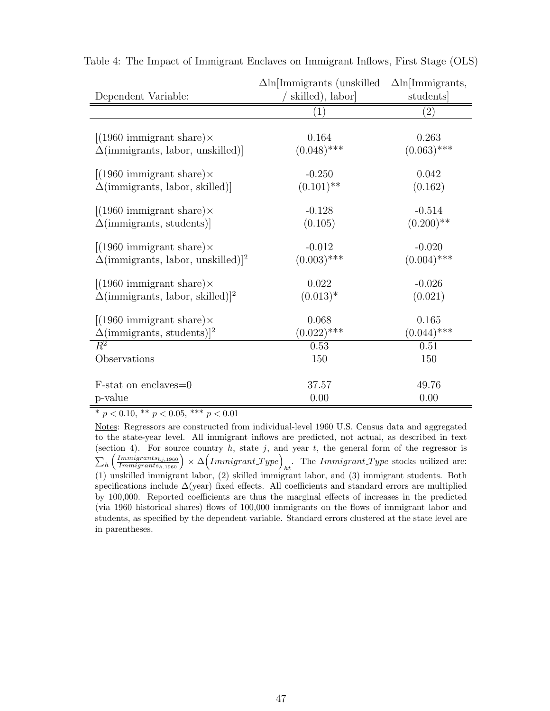|                                                       | $\Delta$ ln[Immigrants (unskilled | $\Delta$ ln[Immigrants, |
|-------------------------------------------------------|-----------------------------------|-------------------------|
| Dependent Variable:                                   | skilled), labor                   | students                |
|                                                       | $\left( 1\right)$                 | $\left( 2\right)$       |
|                                                       |                                   |                         |
| $[(1960 \text{ immigrant share})\times$               | 0.164                             | 0.263                   |
| $\Delta$ (immigrants, labor, unskilled)]              | $(0.048)$ ***                     | $(0.063)$ ***           |
| $[(1960 \text{ immigrant share})\times$               | $-0.250$                          | 0.042                   |
| $\Delta$ (immigrants, labor, skilled)                 | $(0.101)$ **                      | (0.162)                 |
| $[(1960 \text{ immigrant share})\times$               | $-0.128$                          | $-0.514$                |
| $\Delta$ (immigrants, students)                       | (0.105)                           | $(0.200)$ **            |
| $[(1960 \text{ immigrant share})\times$               | $-0.012$                          | $-0.020$                |
| $\Delta$ (immigrants, labor, unskilled)] <sup>2</sup> | $(0.003)$ ***                     | $(0.004)$ ***           |
| $[(1960 \text{ immigrant share})\times$               | 0.022                             | $-0.026$                |
| $\Delta$ (immigrants, labor, skilled)] <sup>2</sup>   | $(0.013)*$                        | (0.021)                 |
| $[(1960 \text{ immigrant share})\times$               | 0.068                             | 0.165                   |
| $\Delta$ (immigrants, students)] <sup>2</sup>         | $(0.022)$ ***                     | $(0.044)$ ***           |
| $\overline{R^2}$                                      | 0.53                              | 0.51                    |
| Observations                                          | 150                               | 150                     |
| F-stat on enclaves=0                                  | 37.57                             | 49.76                   |
| p-value                                               | 0.00                              | 0.00                    |
|                                                       |                                   |                         |

Table 4: The Impact of Immigrant Enclaves on Immigrant Inflows, First Stage (OLS)

\*  $p < 0.10$ , \*\*  $p < 0.05$ , \*\*\*  $p < 0.01$ 

Notes: Regressors are constructed from individual-level 1960 U.S. Census data and aggregated to the state-year level. All immigrant inflows are predicted, not actual, as described in text (section 4). For source country h, state j, and year t, the general form of the regressor is  $\sum_h \left( \frac{Immingrants_{hj,1960}}{Immigrants_{h,1960}} \right) \times \Delta \left( Immigrant\_Type \right)_{ht}.$  The  $Immigrant\_Type$  stocks utilized are: (1) unskilled immigrant labor, (2) skilled immigrant labor, and (3) immigrant students. Both specifications include  $\Delta$ (year) fixed effects. All coefficients and standard errors are multiplied by 100,000. Reported coefficients are thus the marginal effects of increases in the predicted (via 1960 historical shares) flows of 100,000 immigrants on the flows of immigrant labor and students, as specified by the dependent variable. Standard errors clustered at the state level are in parentheses.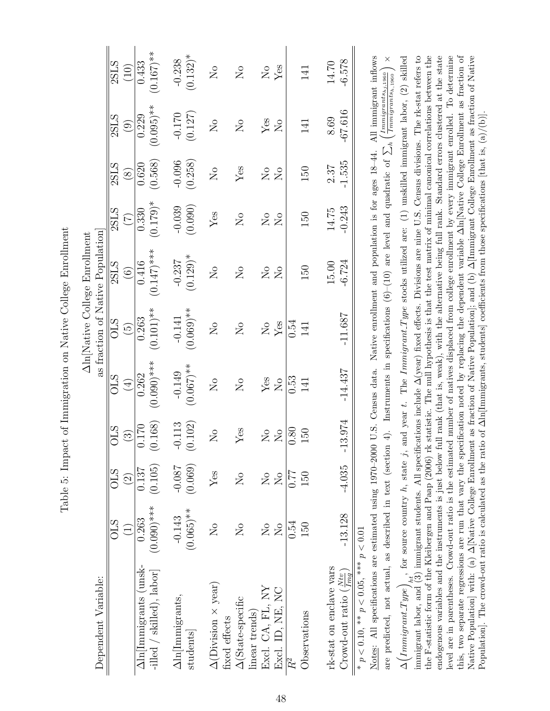Table 5: Impact of Immigration on Native College Enrollment Table 5: Impact of Immigration on Native College Enrollment

| $(0.132)^*$<br>$-0.238$<br>$-6.578$<br>14.70<br>Yes<br>$\overline{\mathsf{N}}\,{{\mathsf{o}}}$<br>$\overline{N}$<br>$\overline{\mathsf{N}}$<br>141<br>$-67.616$<br>$-0.170$<br>(0.127)<br>8.69<br>Yes<br>$\overline{\mathsf{S}}$<br>$\overline{S}$<br>141<br>$\sum_{i=1}^{n}$<br>$-0.096$<br>$-1.535$<br>(0.258)<br>2.37<br>150<br>Yes<br>$\overline{\mathsf{S}}$<br>$\overline{N}$<br>$\overline{\mathsf{S}}$<br>(0.090)<br>$-0.039$<br>$-0.243$<br>14.75<br>Yes<br>150<br>$\overline{S}$<br>$\overline{S}$<br>$\overline{N}$<br>$(0.129)$ *<br>$-0.237$<br>$-6.724$<br>15.00<br>150<br>$\overline{N}_{\overline{O}}$<br>$\overline{N}_{\overline{O}}$<br>$\overline{N}$<br>$_{\rm N_o}$<br>$(0.069)$ **<br>$-11.687$<br>$-0.141$<br>0.54<br>${\rm Yes}$<br>$\overline{\mathsf{S}}$<br>$\overline{N}_{\overline{O}}$<br>$\rm \stackrel{\circ}{Z}$<br>141<br>$(0.067)$ **<br>$-14.437$<br>$-0.149$<br>Yes<br>$\overline{0.53}$<br>$\overline{\mathsf{S}}$<br>$\overline{N}_{\overline{O}}$<br>$\rm \stackrel{\circ}{X}$<br>141<br>13.974<br>(0.102)<br>$-0.113$<br>0.80<br>$\rm Yes$<br>150<br>$\overline{N}$<br>$\overline{N}_{\overline{Q}}$<br>$\overline{M}$<br>ᆕ<br>(0.069)<br>$-4.035$<br>$-0.087$<br>$Y$ es<br>0.77<br>150<br>$\overline{N}_{\overline{O}}$<br>$\overline{N}_{\overline{O}}$<br>$\overline{\mathsf{X}}$<br>$(0.065)$ **<br>$-13.128$<br>$-0.143$<br>0.54<br>150<br>$\overline{N}_{\overline{O}}$<br>$\overline{\Sigma}$<br>$\overline{\mathrm{N}}$<br>$\overline{\mathsf{N}}$ | All immigrant inflows<br>$\times$<br>$\left( \frac{Immingrants_{hj,1960}}{Immigrants_{h,1960}} \right)$<br>4). Instruments in specifications (6)–(10) are level and quadratic of $\sum_h$<br>U.S. Census data. Native enrollment and population is for ages $18-44$ .<br>Notes: All specifications are estimated using 1970-2000<br>are predicted, not actual, as described in text (section<br>* $p < 0.10$ , ** $p < 0.05$ , *** $p < 0.01$ | 0.137<br>0.263<br>$\Delta \ln  \text{Inmigrants} \ \text{unsk-}$<br>-illed / skilled), labor]                                                                                                                                                                                                                                                                                                                                                                                                                                                                                                                                                                             | (0.168)<br>0.170<br>$\widehat{S}$ | $(0.090)$ ***<br>0.262<br>CLS<br>$\bigoplus$ | 0.263<br><b>OLS</b><br>$\widetilde{\Xi}$ | $(0.147)$ ***<br>0.416<br>2SLS<br>$\odot$ | 2SLS<br>0.330<br>$(\overline{z})$<br>as fraction of Native Population | 2SLS<br>0.620<br>$\circledS$ | 0.229<br>2SLS<br>$\widehat{\odot}$ | 0.433<br>2SLS<br>(10) |
|------------------------------------------------------------------------------------------------------------------------------------------------------------------------------------------------------------------------------------------------------------------------------------------------------------------------------------------------------------------------------------------------------------------------------------------------------------------------------------------------------------------------------------------------------------------------------------------------------------------------------------------------------------------------------------------------------------------------------------------------------------------------------------------------------------------------------------------------------------------------------------------------------------------------------------------------------------------------------------------------------------------------------------------------------------------------------------------------------------------------------------------------------------------------------------------------------------------------------------------------------------------------------------------------------------------------------------------------------------------------------------------------------------------------------------------------------------------------------------------------------|-----------------------------------------------------------------------------------------------------------------------------------------------------------------------------------------------------------------------------------------------------------------------------------------------------------------------------------------------------------------------------------------------------------------------------------------------|---------------------------------------------------------------------------------------------------------------------------------------------------------------------------------------------------------------------------------------------------------------------------------------------------------------------------------------------------------------------------------------------------------------------------------------------------------------------------------------------------------------------------------------------------------------------------------------------------------------------------------------------------------------------------|-----------------------------------|----------------------------------------------|------------------------------------------|-------------------------------------------|-----------------------------------------------------------------------|------------------------------|------------------------------------|-----------------------|
|                                                                                                                                                                                                                                                                                                                                                                                                                                                                                                                                                                                                                                                                                                                                                                                                                                                                                                                                                                                                                                                                                                                                                                                                                                                                                                                                                                                                                                                                                                      |                                                                                                                                                                                                                                                                                                                                                                                                                                               | (0.105)<br>$(0.090)$ ***                                                                                                                                                                                                                                                                                                                                                                                                                                                                                                                                                                                                                                                  |                                   |                                              | $(0.101)$ **                             |                                           | $(0.179)$ *                                                           | (0.568)                      | $(0.095)$ **                       | $(0.167)$ **          |
|                                                                                                                                                                                                                                                                                                                                                                                                                                                                                                                                                                                                                                                                                                                                                                                                                                                                                                                                                                                                                                                                                                                                                                                                                                                                                                                                                                                                                                                                                                      |                                                                                                                                                                                                                                                                                                                                                                                                                                               |                                                                                                                                                                                                                                                                                                                                                                                                                                                                                                                                                                                                                                                                           |                                   |                                              |                                          |                                           |                                                                       |                              |                                    |                       |
|                                                                                                                                                                                                                                                                                                                                                                                                                                                                                                                                                                                                                                                                                                                                                                                                                                                                                                                                                                                                                                                                                                                                                                                                                                                                                                                                                                                                                                                                                                      |                                                                                                                                                                                                                                                                                                                                                                                                                                               |                                                                                                                                                                                                                                                                                                                                                                                                                                                                                                                                                                                                                                                                           |                                   |                                              |                                          |                                           |                                                                       |                              |                                    |                       |
|                                                                                                                                                                                                                                                                                                                                                                                                                                                                                                                                                                                                                                                                                                                                                                                                                                                                                                                                                                                                                                                                                                                                                                                                                                                                                                                                                                                                                                                                                                      |                                                                                                                                                                                                                                                                                                                                                                                                                                               |                                                                                                                                                                                                                                                                                                                                                                                                                                                                                                                                                                                                                                                                           |                                   |                                              |                                          |                                           |                                                                       |                              |                                    |                       |
|                                                                                                                                                                                                                                                                                                                                                                                                                                                                                                                                                                                                                                                                                                                                                                                                                                                                                                                                                                                                                                                                                                                                                                                                                                                                                                                                                                                                                                                                                                      |                                                                                                                                                                                                                                                                                                                                                                                                                                               |                                                                                                                                                                                                                                                                                                                                                                                                                                                                                                                                                                                                                                                                           |                                   |                                              |                                          |                                           |                                                                       |                              |                                    |                       |
|                                                                                                                                                                                                                                                                                                                                                                                                                                                                                                                                                                                                                                                                                                                                                                                                                                                                                                                                                                                                                                                                                                                                                                                                                                                                                                                                                                                                                                                                                                      |                                                                                                                                                                                                                                                                                                                                                                                                                                               |                                                                                                                                                                                                                                                                                                                                                                                                                                                                                                                                                                                                                                                                           |                                   |                                              |                                          |                                           |                                                                       |                              |                                    |                       |
|                                                                                                                                                                                                                                                                                                                                                                                                                                                                                                                                                                                                                                                                                                                                                                                                                                                                                                                                                                                                                                                                                                                                                                                                                                                                                                                                                                                                                                                                                                      |                                                                                                                                                                                                                                                                                                                                                                                                                                               | rk-stat on enclave vars<br>Crowd-out ratio $\left(\frac{Ntv}{Imq}\right)$                                                                                                                                                                                                                                                                                                                                                                                                                                                                                                                                                                                                 |                                   |                                              |                                          |                                           |                                                                       |                              |                                    |                       |
| $\Delta \left( \text{Immigrant-Type} \right)_{ht}$ , for source country h, state j, and year t. The Immigrant Type stocks utilized are: (1) unskilled immigrant labor, (2) skilled immigrant labor, (2) skilled immigrant labor, (2) skilled immigrant lab<br>the F-statistic form of the Kleibergen and Paap (2006) rk statistic. The null hypothesis is that the test matrix of minimal canonical correlations between the<br>endogenous variables and the instruments is just below full rank (that is, weak), with the alternative being full rank. Standard errors clustered at the state                                                                                                                                                                                                                                                                                                                                                                                                                                                                                                                                                                                                                                                                                                                                                                                                                                                                                                       |                                                                                                                                                                                                                                                                                                                                                                                                                                               | this, two separate regressions are run that vary the specification noted by replacing the dependent variable $\Delta\ln[N$ ative College Enrollment as fraction of<br>level are in parentheses. Crowd-out ratio is the estimated number of natives displaced from college enrollment by every immigrant enrolled. To determine<br>Native Population] with: (a) $\Delta$ [Native College Enrollment as fraction of Native Population]; and (b) $\Delta$ [Immigrant College Enrollment as fraction of Native<br>Population]. The crowd-out ratio is calculated as the ratio of $\Delta$ ln[Immigrants, students] coefficients from those specifications [that is, (a)/(b)]. |                                   |                                              |                                          |                                           |                                                                       |                              |                                    |                       |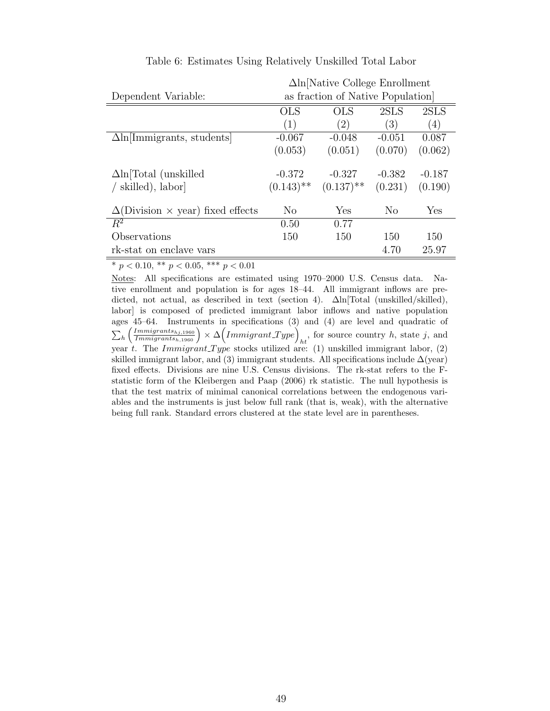|                                                 |                         | $\Delta$ ln Native College Enrollment |          |          |
|-------------------------------------------------|-------------------------|---------------------------------------|----------|----------|
| Dependent Variable:                             |                         | as fraction of Native Population      |          |          |
|                                                 | <b>OLS</b>              | OLS                                   | 2SLS     | 2SLS     |
|                                                 | (1)                     | (2)                                   | (3)      | (4)      |
| $\Delta$ ln[Immigrants, students]               | $-0.067$                | $-0.048$                              | $-0.051$ | 0.087    |
|                                                 | (0.053)                 | (0.051)                               | (0.070)  | (0.062)  |
| $\Delta$ ln Total (unskilled                    | $-0.372$                | $-0.327$                              | $-0.382$ | $-0.187$ |
| skilled), labor                                 | $(0.143)$ <sup>**</sup> | $(0.137)$ <sup>**</sup>               | (0.231)  | (0.190)  |
| $\Delta$ (Division $\times$ year) fixed effects | No                      | Yes                                   | No       | Yes      |
| $\overline{R^2}$                                | 0.50                    | 0.77                                  |          |          |
| Observations                                    | 150                     | 150                                   | 150      | 150      |
| rk-stat on enclave vars                         |                         |                                       | 4.70     | 25.97    |

#### Table 6: Estimates Using Relatively Unskilled Total Labor

\*  $p < 0.10,$  \*\*  $p < 0.05,$  \*\*\*  $p < 0.01$ 

Notes: All specifications are estimated using 1970–2000 U.S. Census data. Native enrollment and population is for ages 18–44. All immigrant inflows are predicted, not actual, as described in text (section 4). ∆ln[Total (unskilled/skilled), labor] is composed of predicted immigrant labor inflows and native population ages 45–64. Instruments in specifications (3) and (4) are level and quadratic of  $\sum_{h} \left( \frac{Immingrants_{hj,1960}}{Immingrants_{h,1960}} \right) \times \Delta \left( Immigrant\_Type \right)_{ht}$ , for source country h, state j, and year t. The Immigrant Type stocks utilized are: (1) unskilled immigrant labor, (2) skilled immigrant labor, and (3) immigrant students. All specifications include  $\Delta$ (year) fixed effects. Divisions are nine U.S. Census divisions. The rk-stat refers to the Fstatistic form of the Kleibergen and Paap (2006) rk statistic. The null hypothesis is that the test matrix of minimal canonical correlations between the endogenous variables and the instruments is just below full rank (that is, weak), with the alternative being full rank. Standard errors clustered at the state level are in parentheses.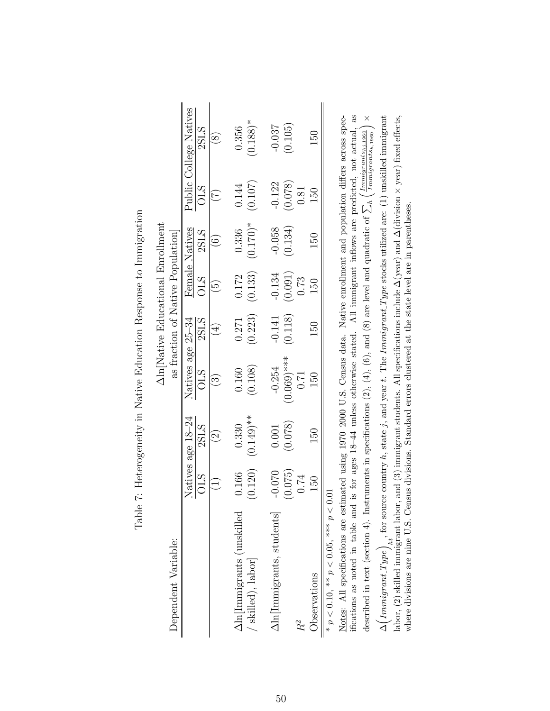|                                                                                                                                                  |            |                    |                                                                                                                | $\Delta$ ln Native Educational Enrollment |                          |                   |            |                        |
|--------------------------------------------------------------------------------------------------------------------------------------------------|------------|--------------------|----------------------------------------------------------------------------------------------------------------|-------------------------------------------|--------------------------|-------------------|------------|------------------------|
| Dependent Variable:                                                                                                                              |            |                    |                                                                                                                | as fraction of Native Population          |                          |                   |            |                        |
|                                                                                                                                                  |            | Natives age 18-24  | Natives age 25-34                                                                                              |                                           |                          | Female Natives    |            | Public College Natives |
|                                                                                                                                                  | <b>OLS</b> | 2SLS               | <b>OLS</b>                                                                                                     | 2SLS                                      | <b>OLS</b>               | 2SLS              | <b>OLS</b> | 2SLS                   |
|                                                                                                                                                  | $\bigcap$  | $\widehat{\Omega}$ | $\widetilde{\mathbb{C}}$                                                                                       | $(\bar{F})$                               | $\widetilde{\mathbb{G}}$ | $\widehat{\odot}$ | E          | $\circledS$            |
| $\Delta$ ln[Immigrants (unskilled                                                                                                                | 0.166      | 0.330              | 0.160                                                                                                          | 0.271                                     | 0.172                    | 0.336             | 0.144      | 0.356                  |
| skilled), labor                                                                                                                                  | (0.120)    | $(0.149)$ **       | (0.108)                                                                                                        | (0.223)                                   | (0.133)                  | $(0.170)*$        | (0.107)    | $(0.188)$ <sup>*</sup> |
| $\Delta$ ln[Immigrants, students]                                                                                                                | $-0.070$   | 0.001              | $-0.254$                                                                                                       | $-0.141$                                  | $-0.134$                 | $-0.058$          | $-0.122$   | $-0.037$               |
|                                                                                                                                                  | (0.075)    | (0.078)            | $(0.069)$ ***                                                                                                  | (0.118)                                   | (0.091)                  | (0.134)           | (0.078)    | (0.105)                |
| $R^2$                                                                                                                                            | 0.74       |                    | 0.71                                                                                                           |                                           | 0.73                     |                   | 0.81       |                        |
| Observations                                                                                                                                     | 150        | 150                | 50                                                                                                             | 150                                       | 150                      | 150               | 150        | 150                    |
| * $p < 0.10$ , ** $p < 0.05$ , *** $p <$                                                                                                         | 0.01       |                    |                                                                                                                |                                           |                          |                   |            |                        |
| $\frac{1}{2}$ . The contract of $\frac{1}{2}$ is the contract of $\frac{1}{2}$ is the contract of $\frac{1}{2}$ is the contract of $\frac{1}{2}$ |            |                    | de de la de la de la de la de de de de la de la de la de la de la de la de la de la de la de la de la de la de |                                           |                          |                   |            |                        |

Table 7: Heterogeneity in Native Education Response to Immigration Table 7: Heterogeneity in Native Education Response to Immigration

ifications as noted in table and is for ages 18-44 unless otherwise stated. All immigrant inflows are predicted, not actual, as Notes: All specifications are estimated using 1970–2000 U.S. Census data. Native enrollment and population differs across speclabor, (2) skilled immigrant labor, and (3) immigrant students. All specifications include  $\Delta$ (year) and  $\Delta$ (division  $\times$  year) fixed effects, Notes: All specifications are estimated using 1970–2000 U.S. Census data. Native enrollment and population differs across specifications as noted in table and is for ages 18–44 unless otherwise stated. All immigrant inflows are predicted, not actual, as h, state j, and year t. The Immigrant T ype stocks utilized are:  $(1)$  unskilled immigrant  $\times$  year) fixed effects, × $\left(\frac{Immingrants_{hj,1960}}{Immigrants_{h,1960}}\right)$ labor, (2) skilled immigrant labor, and (3) immigrant students. All specifications include ∆(year) and ∆(division hwhere divisions are nine U.S. Census divisions. Standard errors clustered at the state level are in parentheses. where divisions are nine U.S. Census divisions. Standard errors clustered at the state level are in parentheses.  $\triangleright$ described in text (section 4). Instruments in specifications  $(2)$ ,  $(4)$ ,  $(6)$ , and  $(8)$  are level and quadratic of  $\big)_{ht},$  for source country  $\begin{pmatrix} Immigrant\_Type \end{pmatrix}$ ∆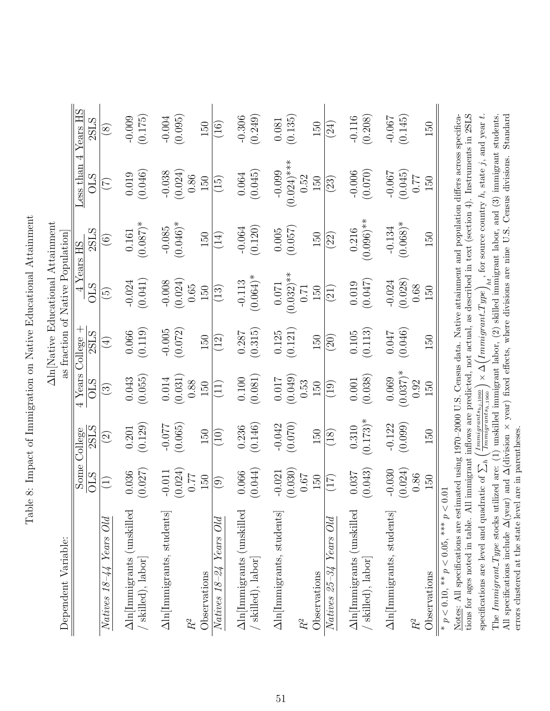| Dependent Variable:                                                                                                                                                                                                                                                           |                   |                                                                    |                          |                 | $\Delta$ ln[Native Educational Attainment<br>as fraction of Native Population |                |                                                       |               |
|-------------------------------------------------------------------------------------------------------------------------------------------------------------------------------------------------------------------------------------------------------------------------------|-------------------|--------------------------------------------------------------------|--------------------------|-----------------|-------------------------------------------------------------------------------|----------------|-------------------------------------------------------|---------------|
|                                                                                                                                                                                                                                                                               | Some              | <b>College</b>                                                     | 4 Years                  | College         | $\frac{\Sigma}{4}$                                                            | $rac{e}{2}$ HS | 4<br>ess than                                         | Years HS      |
|                                                                                                                                                                                                                                                                               | <b>CLIO</b>       | 2SLS                                                               | <b>CLIO</b>              | 2SLS            | <b>CTO</b>                                                                    | 2SLS           | <b>STO</b>                                            | 2SLS          |
| $Natives$ 18–44 Years Old                                                                                                                                                                                                                                                     | $\Xi$             | $\widehat{\odot}$                                                  | $\widetilde{\mathbb{G}}$ | $\bigoplus$     | $\widehat{\mathfrak{S}}$                                                      | $\odot$        | E                                                     | $\circled{s}$ |
| $\Delta\!$ In<br>[Immigrants (unskilled                                                                                                                                                                                                                                       | 0.036             | 0.201                                                              | 0.043                    | 0.066           | $-0.024$                                                                      | 0.161          | 0.019                                                 | $-0.009$      |
| / skilled), labor                                                                                                                                                                                                                                                             | (0.027)           | (0.129)                                                            | (0.055)                  | (0.119)         | (0.041)                                                                       | $(0.087)$ *    | (0.046)                                               | (0.175)       |
| Aln[Immigrants, students]                                                                                                                                                                                                                                                     | $-0.011$          | $-0.077$                                                           | $0.014\,$                | $-0.005$        | $-0.008$                                                                      | $-0.085$       | $-0.038$                                              | $-0.004$      |
|                                                                                                                                                                                                                                                                               | (0.024)           | (0.065)                                                            | (0.031)                  | (0.072)         | (0.024)                                                                       | $(0.046)*$     | (0.024)                                               | (0.095)       |
| $\ensuremath{R^2}$                                                                                                                                                                                                                                                            | 0.77              |                                                                    | 0.88                     |                 | 0.65                                                                          |                | 0.86                                                  |               |
| Observations                                                                                                                                                                                                                                                                  | 150               | 150                                                                | 150                      | 150             | 150                                                                           | 150            | 150                                                   | 150           |
| Years Old<br>$Natives$ $18-24$                                                                                                                                                                                                                                                | $\widehat{\odot}$ | (10)                                                               | $\left(11\right)$        | $\widetilde{2}$ | $\left(13\right)$                                                             | (14)           | (15)                                                  | (16)          |
| Aln[Immigrants (unskilled                                                                                                                                                                                                                                                     | 0.066             | 0.236                                                              | 0.100                    | 0.287           | $-0.113$                                                                      | $-0.064$       | 0.064                                                 | $-0.306$      |
| / skilled), labor]                                                                                                                                                                                                                                                            | (0.044)           | (0.146)                                                            | (0.081)                  | (0.315)         | $(0.064)$ *                                                                   | (0.120)        | (0.045)                                               | (0.249)       |
| Aln[Immigrants, students]                                                                                                                                                                                                                                                     | $-0.021$          | $-0.042$                                                           | $0.017\,$                | 0.125           | $0.071\,$                                                                     | $0.005\,$      | $-0.099$                                              | $0.081\,$     |
|                                                                                                                                                                                                                                                                               | (0.030)           | (0.070)                                                            | (0.049)                  | (0.121)         | $(0.032)$ **                                                                  | (0.057)        | $(0.024)$ ***                                         | (0.135)       |
| $R^2$                                                                                                                                                                                                                                                                         | 0.67              |                                                                    | 0.53                     |                 | 0.71                                                                          |                | 0.52                                                  |               |
| Observations                                                                                                                                                                                                                                                                  | 150               | 150                                                                | 150                      | 150             | 150                                                                           | 150            | 150                                                   | 150           |
| Years Old<br>$Natives$ 25-34                                                                                                                                                                                                                                                  | (17)              | $\left( \frac{18}{2} \right)$                                      | $\left( 19\right)$       | (20)            | (21)                                                                          | (22)           | (23)                                                  | (24)          |
| Aln[Immigrants (unskilled                                                                                                                                                                                                                                                     | 0.037             | 0.310                                                              | $0.001\,$                | $0.105$         | 0.019                                                                         | 0.216          | $-0.006$                                              | $-0.116$      |
| skilled), labor]                                                                                                                                                                                                                                                              | (0.043)           | $(0.173)*$                                                         | (0.038)                  | (0.113)         | (0.047)                                                                       | $(0.096)$ **   | (0.070)                                               | (0.208)       |
| Aln[Immigrants, students]                                                                                                                                                                                                                                                     | $-0.030$          | $-0.122$                                                           | 0.069                    | $0.047\,$       | $-0.024$                                                                      | $-0.134$       | $-0.067$                                              | $-0.067$      |
|                                                                                                                                                                                                                                                                               | (0.024)           | (0.099)                                                            | $(0.037)$ *              | (0.046)         | (0.028)                                                                       | $(0.068)*$     | (0.045)                                               | (0.145)       |
| $\ensuremath{R^2}$                                                                                                                                                                                                                                                            | 0.86              |                                                                    | 0.92                     |                 | $0.68\,$                                                                      |                | 77                                                    |               |
| Observations                                                                                                                                                                                                                                                                  | 150               | 150                                                                | 150                      | 150             | 150                                                                           | 150            | 150                                                   | 150           |
| * $p < 0.10$ , ** $p < 0.05$ , *** $p < 0.01$                                                                                                                                                                                                                                 |                   |                                                                    |                          |                 |                                                                               |                |                                                       |               |
| tions for ages noted in table. All immigrant inflows are predicted, not actual, as described in text (section 4). Instruments in 2SLS<br>Notes: All specifications are estimated using 1970–2000 U.S. Census data. Native attainment and population differs across specifica- |                   |                                                                    |                          |                 |                                                                               |                |                                                       |               |
| specifications are level and quadratic of $\sum_h$                                                                                                                                                                                                                            |                   | $\left( \frac{Immingrants_{hj,1960}}{Immigrants_{h,1960}} \right)$ | $ \times \Delta $        | ImmigrantType   |                                                                               |                | $h_t$ , for source country $h$ , state j, and year t. |               |

All specifications include ∆(year) and ∆(division

errors clustered at the state level are in parentheses.

errors clustered at the state level are in parentheses.

The Immigrant Type stocks utilized are: (1) unskilled immigrant labor, (2) skilled immigrant labor, and (3) immigrant students.

year) fixed effects, where divisions are nine U.S. Census divisions. Standard

×

Table 8: Impact of Immigration on Native Educational Attainment Table 8: Impact of Immigration on Native Educational Attainment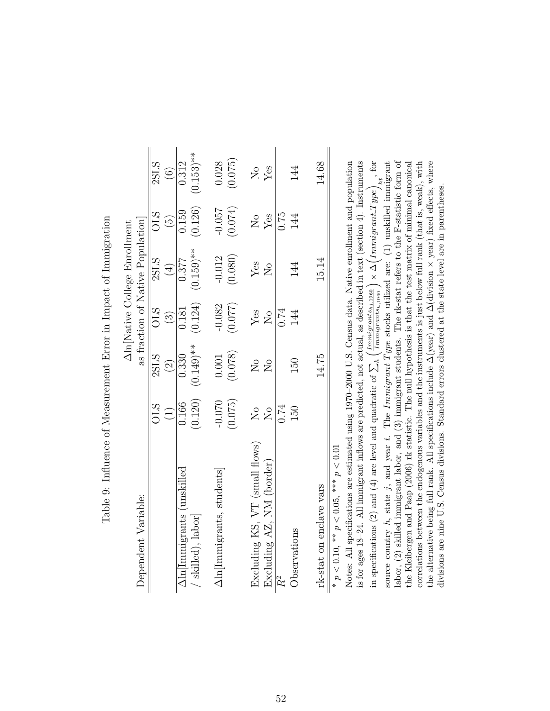| í<br>)<br>i<br>I<br>i<br>I                                                                                                                    |
|-----------------------------------------------------------------------------------------------------------------------------------------------|
|                                                                                                                                               |
| <b>SASSED BEAT</b><br>I<br>i                                                                                                                  |
| į                                                                                                                                             |
| ֧֧֧ׅ֧֧֧֧ׅ֧֧ׅ֧֧ׅ֧֧֧֚֚֚֚֚֚֚֚֚֚֚֚֚֚֚֚֚֚֚֚֚֚֚֚֚֚֚֚֚֚֡֓֡֝֓֜֓֝֓֓֓֜֝֬֜֝֬֜֓֝֬֝֬<br>I                                                                  |
| $\sim$<br>֧֧֧֧֧֦֧֧֦֧֧֛֛֧֧֧֧֧֧֧֧֧֧֛֛֧֧֧֛֚֚֚֚֚֚֚֚֚֚֚֚֚֚֚֚֚֚֚֚֚֝֓֓֓֡֓֓֝֓֝֓֝֬֝֓֝֬֝֓֝֬֜֝֓֝֬֝֬֝֬֝֬֝֬֝֬֝֬֝֬֝֬֝֬<br>$\frac{1}{2}$<br>j<br>Ī<br>j<br>i |
|                                                                                                                                               |
| $\overline{a}$<br>こうこく<br>;<br>[<br>j                                                                                                         |

|                                                        |                            |                               |                               | Aln Native College Enrollment    |                            |                         |
|--------------------------------------------------------|----------------------------|-------------------------------|-------------------------------|----------------------------------|----------------------------|-------------------------|
| Dependent Variable:                                    |                            |                               |                               | as fraction of Native Population |                            |                         |
|                                                        | STC                        | 2SLS                          | <b>OLS</b>                    | <b>2SLS</b>                      | <b>OLS</b>                 | 2SLS                    |
|                                                        | $\left(\frac{1}{2}\right)$ | $\widehat{c}$                 | $\left( \frac{3}{2} \right)$  | $\bigoplus$                      | $\widehat{\Theta}$         | $\widehat{\circ}$       |
| Aln lmmigrants (unskilled                              | 0.166                      | 0.330                         | 0.181                         | 0.377                            | 0.159                      | 0.312                   |
| skilled), labor                                        | (0.120)                    | $(0.149)$ **                  | (0.124)                       | $(0.159)$ **                     | (0.126)                    | $(0.153)$ **            |
| $\Delta \text{ln}[\text{Inmigrants}, \text{students}]$ | $-0.070$                   | 0.001                         | $-0.082$                      | $-0.012$                         | $-0.057$                   | 0.028                   |
|                                                        | (0.075)                    | (0.078)                       | (770.077)                     | (0.080)                          | (0.074)                    | (0.075)                 |
| Excluding KS, VT (small flows)                         | $\overline{N}$             | $\overline{N}_{\overline{Q}}$ | Yes                           | $Y$ es                           | $\mathcal{S}_{\mathsf{N}}$ | $\overline{\mathsf{S}}$ |
| Excluding AZ, NM (border)                              | $\overline{N}$             | $\overline{N}$                | $\overline{N}_{\overline{O}}$ | $\overline{N}_{\overline{O}}$    | Yes                        | Yes                     |
| $R^2$                                                  | 0.74                       |                               | 0.74                          |                                  | 0.75                       |                         |
| Observations                                           | 150                        | 150                           | 144                           | 144                              | 144                        | 144                     |
|                                                        |                            |                               |                               |                                  |                            |                         |
| rk-stat on enclave vars                                |                            | 14.75                         |                               | 15.14                            |                            | 14.68                   |

\*  $p < 0.10$ , \*\*  $p < 0.05$ , \*\*\*  $p < 0.01$  ${}^*p$  < 0.10,  ${}^*p$  < 0.05,  ${}^*{}^*p$  < 0.01

 $\mathcal{L}_{ht}$ , for is for ages 18-24. All immigrant inflows are predicted, not actual, as described in text (section 4). Instruments labor, (2) skilled immigrant labor, and (3) immigrant students. The rk-stat refers to the F-statistic form of the alternative being full rank. All specifications include  $\Delta$ (year) and  $\Delta$ (division  $\times$  year) fixed effects, where Notes: All specifications are estimated using 1970-2000 U.S. Census data. Native enrollment and population the Kleibergen and Paap (2006) rk statistic. The null hypothesis is that the test matrix of minimal canonical correlations between the endogenous variables and the instruments is just below full rank (that is, weak), with Notes: All specifications are estimated using 1970–2000 U.S. Census data. Native enrollment and population is for ages 18–24. All immigrant inflows are predicted, not actual, as described in text (section 4). Instruments h, state j, and year t. The Immigrant Type stocks utilized are: (1) unskilled immigrant labor, (2) skilled immigrant labor, and (3) immigrant students. The rk-stat refers to the F-statistic form of the Kleibergen and Paap (2006) rk statistic. The null hypothesis is that the test matrix of minimal canonical correlations between the endogenous variables and the instruments is just below full rank (that is, weak), with  $\times$  year) fixed effects, where divisions are nine U.S. Census divisions. Standard errors clustered at the state level are in parentheses. divisions are nine U.S. Census divisions. Standard errors clustered at the state level are in parentheses.  $\begin{pmatrix} Immigrant\_Type \end{pmatrix}$ ∆the alternative being full rank. All specifications include ∆(year) and ∆(division × $\left(\frac{Immigrants_{hj,1960}}{Immigrants_{h,1960}}\right)$ h $\boxtimes$ in specifications (2) and (4) are level and quadratic of source country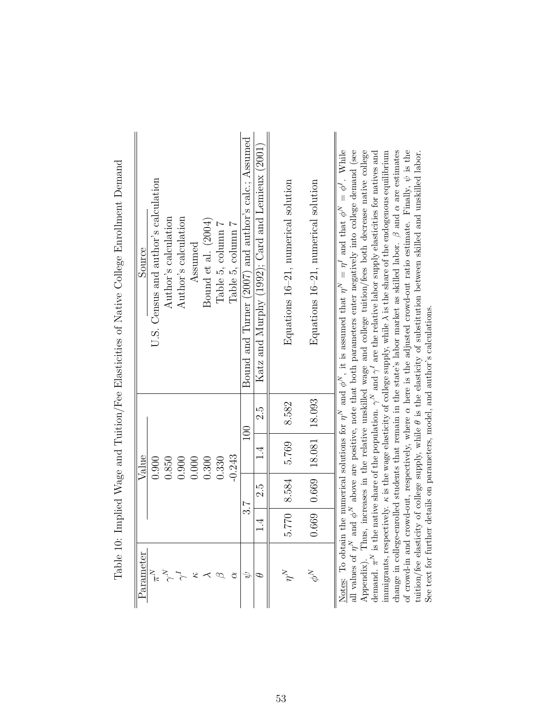| Parameter   |               |               | Value                                   |            | Source                                                                                                                                                                                                                                         |
|-------------|---------------|---------------|-----------------------------------------|------------|------------------------------------------------------------------------------------------------------------------------------------------------------------------------------------------------------------------------------------------------|
|             |               |               | 0.900                                   |            | U.S. Census and author's calculation                                                                                                                                                                                                           |
|             |               |               | 0.850                                   |            | Author's calculation                                                                                                                                                                                                                           |
|             |               |               | 0.900                                   |            | Author's calculation                                                                                                                                                                                                                           |
|             |               |               | 0.000                                   |            | Assumed                                                                                                                                                                                                                                        |
|             |               |               | 0.300                                   |            | Bound et al. (2004)                                                                                                                                                                                                                            |
|             |               |               | 0.330                                   |            | Table 5, column 7                                                                                                                                                                                                                              |
| ₫           |               |               | $-0.243$                                |            | Table 5, column 7                                                                                                                                                                                                                              |
|             |               | 3.7           |                                         | 100        | Bound and Turner (2007) and author's calc.; Assumed                                                                                                                                                                                            |
|             | $\frac{4}{1}$ | 2.5           | $\frac{4}{1}$                           | رم.<br>2.5 | Katz and Murphy (1992); Card and Lemieux (2001)                                                                                                                                                                                                |
|             |               |               |                                         |            |                                                                                                                                                                                                                                                |
| $\tilde{p}$ |               | 5.770   8.584 | 5.769                                   | 8.582      | Equations $16-21$ , numerical solution                                                                                                                                                                                                         |
|             |               |               | $0.669$   $0.669$   $18.081$   $18.093$ |            | Equations $16-21$ , numerical solution                                                                                                                                                                                                         |
|             |               |               |                                         |            |                                                                                                                                                                                                                                                |
|             |               |               |                                         |            | Notes: To obtain the numerical solutions for $\eta^N$ and $\phi^N$ , it is assumed that $\eta^N = \eta^I$ and that $\phi^N = \phi^I$ . While                                                                                                   |
|             |               |               |                                         |            | all values of $\eta^N$ and $\phi^N$ above are positive, note that both parameters enter negatively into college demand (see<br>Appendix). Thus, increases in the relative unskilled wage and college tuition/fees both decrease native college |

Table 10: Implied Wage and Tuition/Fee Elasticities of Native College Enrollment Demand Table 10: Implied Wage and Tuition/Fee Elasticities of Native College Enrollment Demand

 are the relative labor supply elasticities for natives and  $\lambda$  is the share of the endogenous equilibrium<br>in the share of the endogenous equilibrium are estimates  $\psi$  is the Appendix). Thus, increases in the relative unskilled wage and college tuition/fees both decrease native college tuition/fee elasticity of college supply, while  $\theta$  is the elasticity of substitution between skilled and unskilled labor. here is the adjusted crowd-out ratio estimate. Finally, α $\beta$  and change in college-enrolled students that remain in the state's labor market as skilled labor. See text for further details on parameters, model, and author's calculations. See text for further details on parameters, model, and author's calculations.  $\prec$  $\kappa$  is the wage elasticity of college supply, while  $\searrow$  $\gamma^N$  and α is the native share of the population. of crowd-in and crowd-out, respectively, where κimmigrants, respectively. بر<br>π demand.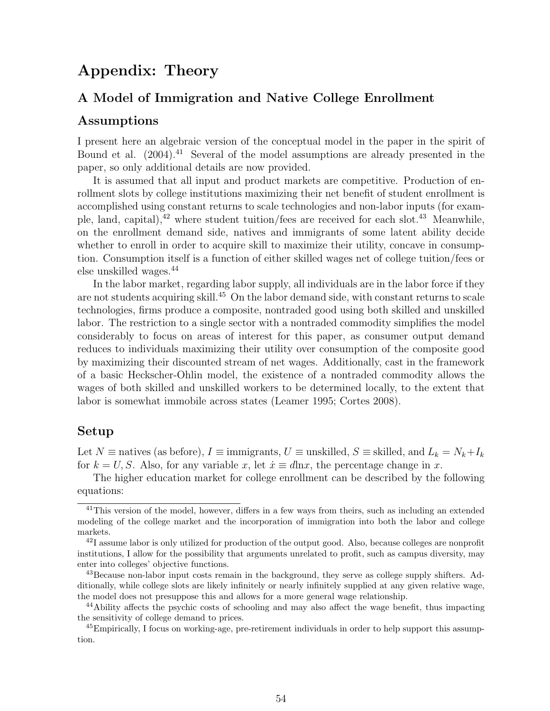## Appendix: Theory

### A Model of Immigration and Native College Enrollment

#### Assumptions

I present here an algebraic version of the conceptual model in the paper in the spirit of Bound et al. (2004).<sup>41</sup> Several of the model assumptions are already presented in the paper, so only additional details are now provided.

It is assumed that all input and product markets are competitive. Production of enrollment slots by college institutions maximizing their net benefit of student enrollment is accomplished using constant returns to scale technologies and non-labor inputs (for example, land, capital), $^{42}$  where student tuition/fees are received for each slot. $^{43}$  Meanwhile, on the enrollment demand side, natives and immigrants of some latent ability decide whether to enroll in order to acquire skill to maximize their utility, concave in consumption. Consumption itself is a function of either skilled wages net of college tuition/fees or else unskilled wages.<sup>44</sup>

In the labor market, regarding labor supply, all individuals are in the labor force if they are not students acquiring skill.<sup>45</sup> On the labor demand side, with constant returns to scale technologies, firms produce a composite, nontraded good using both skilled and unskilled labor. The restriction to a single sector with a nontraded commodity simplifies the model considerably to focus on areas of interest for this paper, as consumer output demand reduces to individuals maximizing their utility over consumption of the composite good by maximizing their discounted stream of net wages. Additionally, cast in the framework of a basic Heckscher-Ohlin model, the existence of a nontraded commodity allows the wages of both skilled and unskilled workers to be determined locally, to the extent that labor is somewhat immobile across states (Leamer 1995; Cortes 2008).

#### Setup

Let  $N \equiv$  natives (as before),  $I \equiv$  immigrants,  $U \equiv$  unskilled,  $S \equiv$  skilled, and  $L_k = N_k + I_k$ for  $k = U, S$ . Also, for any variable x, let  $\dot{x} \equiv d\ln x$ , the percentage change in x.

The higher education market for college enrollment can be described by the following equations:

<sup>&</sup>lt;sup>41</sup>This version of the model, however, differs in a few ways from theirs, such as including an extended modeling of the college market and the incorporation of immigration into both the labor and college markets.

<sup>&</sup>lt;sup>42</sup>I assume labor is only utilized for production of the output good. Also, because colleges are nonprofit institutions, I allow for the possibility that arguments unrelated to profit, such as campus diversity, may enter into colleges' objective functions.

 $^{43}$ Because non-labor input costs remain in the background, they serve as college supply shifters. Additionally, while college slots are likely infinitely or nearly infinitely supplied at any given relative wage, the model does not presuppose this and allows for a more general wage relationship.

<sup>44</sup>Ability affects the psychic costs of schooling and may also affect the wage benefit, thus impacting the sensitivity of college demand to prices.

 $^{45}$ Empirically, I focus on working-age, pre-retirement individuals in order to help support this assumption.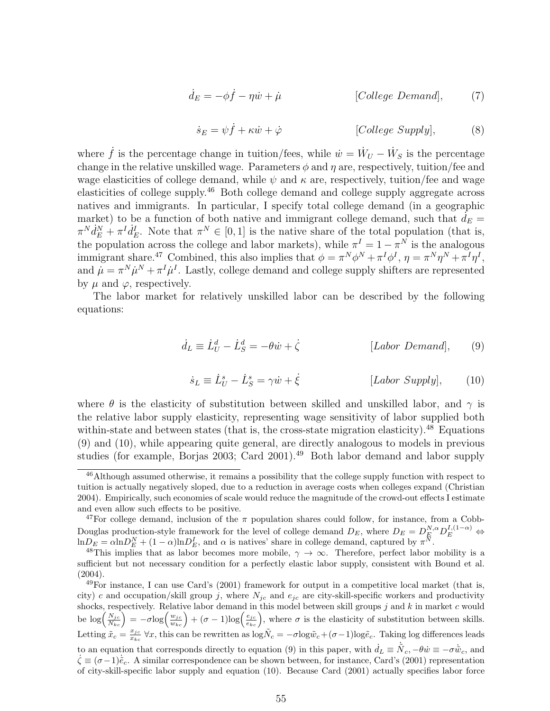$$
\dot{d}_E = -\phi \dot{f} - \eta \dot{w} + \dot{\mu} \qquad [College\ Demand], \qquad (7)
$$

$$
\dot{s}_E = \psi \dot{f} + \kappa \dot{w} + \dot{\varphi} \qquad [College \, Supply], \qquad (8)
$$

where  $\dot{f}$  is the percentage change in tuition/fees, while  $\dot{w} = \dot{W}_U - \dot{W}_S$  is the percentage change in the relative unskilled wage. Parameters  $\phi$  and  $\eta$  are, respectively, tuition/fee and wage elasticities of college demand, while  $\psi$  and  $\kappa$  are, respectively, tuition/fee and wage elasticities of college supply.<sup>46</sup> Both college demand and college supply aggregate across natives and immigrants. In particular, I specify total college demand (in a geographic market) to be a function of both native and immigrant college demand, such that  $d_E =$  $\pi^N d_E^N + \pi^I d_E^I$ . Note that  $\pi^N \in [0,1]$  is the native share of the total population (that is, the population across the college and labor markets), while  $\pi^I = 1 - \pi^N$  is the analogous immigrant share.<sup>47</sup> Combined, this also implies that  $\phi = \pi^N \phi^N + \pi^I \phi^I$ ,  $\eta = \pi^N \eta^N + \pi^I \eta^I$ , and  $\dot{\mu} = \pi^N \dot{\mu}^N + \pi^I \dot{\mu}^I$ . Lastly, college demand and college supply shifters are represented by  $\mu$  and  $\varphi$ , respectively.

The labor market for relatively unskilled labor can be described by the following equations:

$$
\dot{d}_L \equiv \dot{L}_U^d - \dot{L}_S^d = -\theta \dot{w} + \dot{\zeta} \qquad [Labor\ Demand], \qquad (9)
$$

$$
\dot{s}_L \equiv \dot{L}_U^s - \dot{L}_S^s = \gamma \dot{w} + \dot{\xi} \qquad [Labor \; Supply], \qquad (10)
$$

where  $\theta$  is the elasticity of substitution between skilled and unskilled labor, and  $\gamma$  is the relative labor supply elasticity, representing wage sensitivity of labor supplied both within-state and between states (that is, the cross-state migration elasticity).<sup>48</sup> Equations (9) and (10), while appearing quite general, are directly analogous to models in previous studies (for example, Borjas 2003; Card 2001).<sup>49</sup> Both labor demand and labor supply

<sup>&</sup>lt;sup>46</sup>Although assumed otherwise, it remains a possibility that the college supply function with respect to tuition is actually negatively sloped, due to a reduction in average costs when colleges expand (Christian 2004). Empirically, such economies of scale would reduce the magnitude of the crowd-out effects I estimate and even allow such effects to be positive.

<sup>&</sup>lt;sup>47</sup>For college demand, inclusion of the  $\pi$  population shares could follow, for instance, from a Cobb-Douglas production-style framework for the level of college demand  $D_E$ , where  $D_E = D_E^{N,\alpha} D_E^{I,(1-\alpha)} \Leftrightarrow$  $\ln D_E = \alpha \ln D_E^N + (1 - \alpha) \ln D_E^I$ , and  $\alpha$  is natives' share in college demand, captured by  $\pi^N$ .

<sup>&</sup>lt;sup>48</sup>This implies that as labor becomes more mobile,  $\gamma \to \infty$ . Therefore, perfect labor mobility is a sufficient but not necessary condition for a perfectly elastic labor supply, consistent with Bound et al. (2004).

 $^{49}$ For instance, I can use Card's (2001) framework for output in a competitive local market (that is, city) c and occupation/skill group j, where  $N_{jc}$  and  $e_{jc}$  are city-skill-specific workers and productivity shocks, respectively. Relative labor demand in this model between skill groups  $j$  and  $k$  in market  $c$  would be  $\log\left(\frac{N_{jc}}{N_{kc}}\right) = -\sigma \log\left(\frac{w_{jc}}{w_{kc}}\right) + (\sigma - 1) \log\left(\frac{e_{jc}}{e_{kc}}\right)$ , where  $\sigma$  is the elasticity of substitution between skills. Letting  $\tilde{x}_c = \frac{x_{jc}}{x_{bz}}$  $\frac{x_{jc}}{x_{kc}}$   $\forall x$ , this can be rewritten as  $\log \tilde{N}_c = -\sigma \log \tilde{w}_c + (\sigma - 1) \log \tilde{e}_c$ . Taking log differences leads to an equation that corresponds directly to equation (9) in this paper, with  $\dot{d}_L \equiv \dot{N}_c, -\theta \dot{w} \equiv -\sigma \dot{\tilde{w}}_c$ , and  $\dot{\zeta} \equiv (\sigma - 1)\dot{\tilde{e}}_c$ . A similar correspondence can be shown between, for instance, Card's (2001) representation of city-skill-specific labor supply and equation (10). Because Card (2001) actually specifies labor force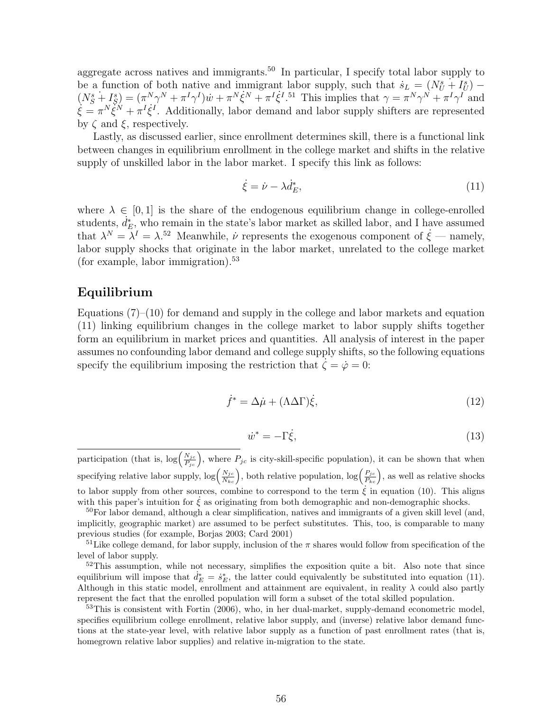aggregate across natives and immigrants.<sup>50</sup> In particular, I specify total labor supply to be a function of both native and immigrant labor supply, such that  $s_L = (N_U^s + I_U^s)$  $(N_S^s + I_S^s) = (\pi^N \gamma^N + \pi^I \gamma^I) \dot{w} + \pi^N \dot{\xi}^N + \pi^I \dot{\xi}^I$ <sup>51</sup> This implies that  $\gamma = \pi^N \gamma^N + \pi^I \gamma^I$  and  $\dot{\xi} = \pi^N \tilde{\xi}^N + \pi^I \dot{\xi}^I$ . Additionally, labor demand and labor supply shifters are represented by  $\zeta$  and  $\xi$ , respectively.

Lastly, as discussed earlier, since enrollment determines skill, there is a functional link between changes in equilibrium enrollment in the college market and shifts in the relative supply of unskilled labor in the labor market. I specify this link as follows:

$$
\dot{\xi} = \dot{\nu} - \lambda \dot{d}_E^*,\tag{11}
$$

where  $\lambda \in [0, 1]$  is the share of the endogenous equilibrium change in college-enrolled students,  $\vec{d}_E^*$ , who remain in the state's labor market as skilled labor, and I have assumed that  $\lambda^N = \lambda^I = \lambda^{.52}$  Meanwhile,  $\dot{\nu}$  represents the exogenous component of  $\dot{\xi}$  — namely, labor supply shocks that originate in the labor market, unrelated to the college market (for example, labor immigration).<sup>53</sup>

### Equilibrium

Equations  $(7)-(10)$  for demand and supply in the college and labor markets and equation (11) linking equilibrium changes in the college market to labor supply shifts together form an equilibrium in market prices and quantities. All analysis of interest in the paper assumes no confounding labor demand and college supply shifts, so the following equations specify the equilibrium imposing the restriction that  $\zeta = \dot{\varphi} = 0$ :

$$
\dot{f}^* = \Delta \dot{\mu} + (\Lambda \Delta \Gamma) \dot{\xi},\tag{12}
$$

$$
\dot{w}^* = -\Gamma \dot{\xi},\tag{13}
$$

participation (that is,  $\log\left(\frac{N_{jc}}{P_{jc}}\right)$ , where  $P_{jc}$  is city-skill-specific population), it can be shown that when specifying relative labor supply,  $\log\left(\frac{N_{jc}}{N_{kc}}\right)$ , both relative population,  $\log\left(\frac{P_{jc}}{P_{kc}}\right)$ , as well as relative shocks to labor supply from other sources, combine to correspond to the term  $\xi$  in equation (10). This aligns with this paper's intuition for  $\xi$  as originating from both demographic and non-demographic shocks.

 $50$ For labor demand, although a clear simplification, natives and immigrants of a given skill level (and, implicitly, geographic market) are assumed to be perfect substitutes. This, too, is comparable to many previous studies (for example, Borjas 2003; Card 2001)

<sup>&</sup>lt;sup>51</sup>Like college demand, for labor supply, inclusion of the  $\pi$  shares would follow from specification of the level of labor supply.

 $52$ This assumption, while not necessary, simplifies the exposition quite a bit. Also note that since equilibrium will impose that  $\dot{d}_E^* = \dot{s}_E^*$ , the latter could equivalently be substituted into equation (11). Although in this static model, enrollment and attainment are equivalent, in reality  $\lambda$  could also partly represent the fact that the enrolled population will form a subset of the total skilled population.

<sup>53</sup>This is consistent with Fortin (2006), who, in her dual-market, supply-demand econometric model, specifies equilibrium college enrollment, relative labor supply, and (inverse) relative labor demand functions at the state-year level, with relative labor supply as a function of past enrollment rates (that is, homegrown relative labor supplies) and relative in-migration to the state.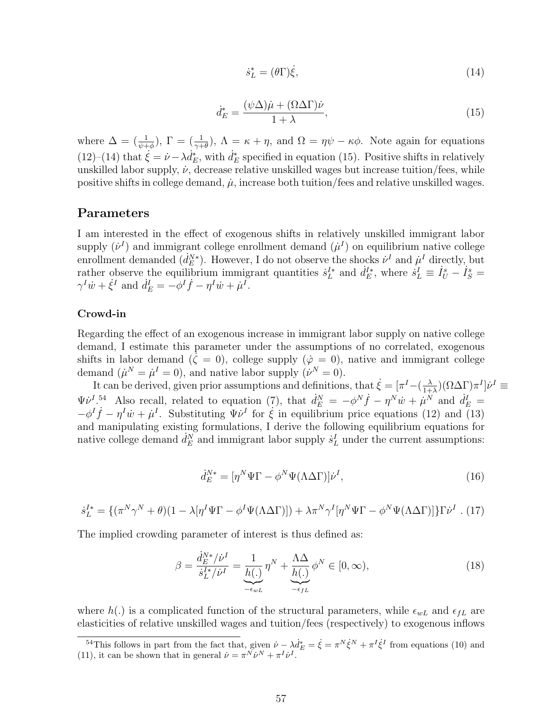$$
\dot{s}_L^* = (\theta \Gamma) \dot{\xi},\tag{14}
$$

$$
\dot{d}_{E}^{*} = \frac{(\psi \Delta)\dot{\mu} + (\Omega \Delta \Gamma)\dot{\nu}}{1 + \lambda},\tag{15}
$$

where  $\Delta = (\frac{1}{\psi + \phi}), \Gamma = (\frac{1}{\gamma + \theta}), \Lambda = \kappa + \eta$ , and  $\Omega = \eta \psi - \kappa \phi$ . Note again for equations (12)–(14) that  $\xi = \nu - \lambda \dot{d}_E^*$ , with  $\dot{d}_E^*$  specified in equation (15). Positive shifts in relatively unskilled labor supply,  $\dot{\nu}$ , decrease relative unskilled wages but increase tuition/fees, while positive shifts in college demand,  $\mu$ , increase both tuition/fees and relative unskilled wages.

#### Parameters

I am interested in the effect of exogenous shifts in relatively unskilled immigrant labor supply  $(\dot{\nu}^I)$  and immigrant college enrollment demand  $(\dot{\mu}^I)$  on equilibrium native college enrollment demanded  $(d_E^{N*})$ . However, I do not observe the shocks  $\nu^I$  and  $\mu^I$  directly, but rather observe the equilibrium immigrant quantities  $s_L^{I*}$  and  $d_E^{I*}$ , where  $s_L^I \equiv I_U^s - I_S^s =$  $\gamma^I \dot{w} + \dot{\xi}^I$  and  $\dot{d}_E^I = -\phi^I \dot{f} - \eta^I \dot{w} + \dot{\mu}^I$ .

#### Crowd-in

Regarding the effect of an exogenous increase in immigrant labor supply on native college demand, I estimate this parameter under the assumptions of no correlated, exogenous shifts in labor demand ( $\dot{\zeta} = 0$ ), college supply ( $\dot{\varphi} = 0$ ), native and immigrant college demand  $(\dot{\mu}^N = \dot{\mu}^I = 0)$ , and native labor supply  $(\dot{\nu}^N = 0)$ .

It can be derived, given prior assumptions and definitions, that  $\dot{\xi} = [\pi^I - (\frac{\lambda}{1+\epsilon})^T]$  $\frac{\lambda}{1+\lambda}$  $)(\Omega \Delta \Gamma) \pi^I$ ] $\dot{\nu}^I \equiv$  $\Psi \dot{\nu}^{I.54}$  Also recall, related to equation (7), that  $\dot{d}_{E}^{N} = -\phi^{N} \dot{f} - \eta^{N} \dot{w} + \dot{\mu}^{N}$  and  $\dot{d}_{E}^{I} =$  $-\phi^I \dot{f} - \eta^I \dot{w} + \dot{\mu}^I$ . Substituting  $\Psi \dot{\nu}^I$  for  $\dot{\xi}$  in equilibrium price equations (12) and (13) and manipulating existing formulations, I derive the following equilibrium equations for native college demand  $\dot{d}_E^N$  and immigrant labor supply  $\dot{s}_L^I$  under the current assumptions:

$$
\dot{d}_{E}^{N*} = [\eta^{N} \Psi \Gamma - \phi^{N} \Psi (\Lambda \Delta \Gamma)] \dot{\nu}^{I}, \qquad (16)
$$

$$
\dot{s}_L^{I*} = \{ (\pi^N \gamma^N + \theta)(1 - \lambda [\eta^I \Psi \Gamma - \phi^I \Psi (\Lambda \Delta \Gamma)]) + \lambda \pi^N \gamma^I [\eta^N \Psi \Gamma - \phi^N \Psi (\Lambda \Delta \Gamma)] \} \Gamma \dot{\nu}^I .
$$
 (17)

The implied crowding parameter of interest is thus defined as:

$$
\beta = \frac{\dot{d}_E^{N*}/\dot{\nu}^I}{\dot{s}_L^{I*}/\dot{\nu}^I} = \underbrace{\frac{1}{h(.)}}_{-\epsilon_{wL}} \eta^N + \underbrace{\frac{\Lambda\Delta}{h(.)}}_{-\epsilon_{fL}} \phi^N \in [0, \infty),
$$
\n(18)

where  $h(.)$  is a complicated function of the structural parameters, while  $\epsilon_{wL}$  and  $\epsilon_{fL}$  are elasticities of relative unskilled wages and tuition/fees (respectively) to exogenous inflows

<sup>&</sup>lt;sup>54</sup>This follows in part from the fact that, given  $\dot{\nu} - \lambda \dot{d}_E^* = \dot{\xi} = \pi^N \dot{\xi}^N + \pi^I \dot{\xi}^I$  from equations (10) and (11), it can be shown that in general  $\dot{\nu} = \pi^N \dot{\nu}^N + \pi^I \dot{\nu}^I$ .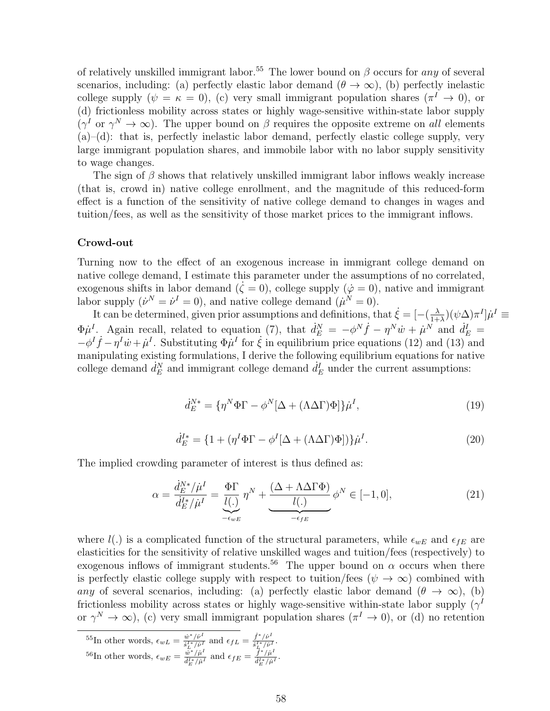of relatively unskilled immigrant labor.<sup>55</sup> The lower bound on  $\beta$  occurs for any of several scenarios, including: (a) perfectly elastic labor demand  $(\theta \to \infty)$ , (b) perfectly inelastic college supply  $(\psi = \kappa = 0)$ , (c) very small immigrant population shares  $(\pi^I \to 0)$ , or (d) frictionless mobility across states or highly wage-sensitive within-state labor supply  $(\gamma^I \text{ or } \gamma^N \to \infty)$ . The upper bound on  $\beta$  requires the opposite extreme on all elements  $(a)$ – $(d)$ : that is, perfectly inelastic labor demand, perfectly elastic college supply, very large immigrant population shares, and immobile labor with no labor supply sensitivity to wage changes.

The sign of  $\beta$  shows that relatively unskilled immigrant labor inflows weakly increase (that is, crowd in) native college enrollment, and the magnitude of this reduced-form effect is a function of the sensitivity of native college demand to changes in wages and tuition/fees, as well as the sensitivity of those market prices to the immigrant inflows.

#### Crowd-out

Turning now to the effect of an exogenous increase in immigrant college demand on native college demand, I estimate this parameter under the assumptions of no correlated, exogenous shifts in labor demand ( $\zeta = 0$ ), college supply ( $\dot{\varphi} = 0$ ), native and immigrant labor supply  $(\dot{\nu}^N = \dot{\nu}^I = 0)$ , and native college demand  $(\dot{\mu}^N = 0)$ .

It can be determined, given prior assumptions and definitions, that  $\dot{\xi} = \left[ -\left( \frac{\lambda}{1 + \xi} \right) \right]$  $(\psi \Delta) \pi^I \dot{\mu}^I \equiv$  $\Phi \mu^I$ . Again recall, related to equation (7), that  $d_E^N = -\phi^N \dot{f} - \eta^N \dot{w} + \mu^N$  and  $d_E^I =$  $-\phi^I \dot{f} - \eta^I \dot{w} + \dot{\mu}^I$ . Substituting  $\Phi \dot{\mu}^I$  for  $\dot{\xi}$  in equilibrium price equations (12) and (13) and manipulating existing formulations, I derive the following equilibrium equations for native college demand  $\dot{d}_E^N$  and immigrant college demand  $\dot{d}_E^I$  under the current assumptions:

$$
\dot{d}_{E}^{N*} = \{ \eta^{N} \Phi \Gamma - \phi^{N} [\Delta + (\Lambda \Delta \Gamma) \Phi] \} \dot{\mu}^{I},\tag{19}
$$

$$
\dot{d}^{I*}_E = \{1 + (\eta^I \Phi \Gamma - \phi^I [\Delta + (\Lambda \Delta \Gamma) \Phi])\}\dot{\mu}^I.
$$
\n(20)

The implied crowding parameter of interest is thus defined as:

$$
\alpha = \frac{\dot{d}_E^{N*}/\dot{\mu}^I}{\dot{d}_E^{N*}/\dot{\mu}^I} = \underbrace{\frac{\Phi\Gamma}{l(.)}\eta^N}_{-\epsilon_{wE}} \eta^N + \underbrace{\frac{(\Delta + \Lambda\Delta\Gamma\Phi)}{l(.)}\phi^N}_{-\epsilon_{fE}} \phi^N \in [-1, 0],
$$
\n(21)

where  $l(.)$  is a complicated function of the structural parameters, while  $\epsilon_{wE}$  and  $\epsilon_{FE}$  are elasticities for the sensitivity of relative unskilled wages and tuition/fees (respectively) to exogenous inflows of immigrant students.<sup>56</sup> The upper bound on  $\alpha$  occurs when there is perfectly elastic college supply with respect to tuition/fees  $(\psi \to \infty)$  combined with any of several scenarios, including: (a) perfectly elastic labor demand  $(\theta \to \infty)$ , (b) frictionless mobility across states or highly wage-sensitive within-state labor supply  $(\gamma^I)$ or  $\gamma^N \to \infty$ ), (c) very small immigrant population shares  $(\pi^I \to 0)$ , or (d) no retention

$$
^{55}\text{In other words, } \epsilon_{wL} = \frac{\dot{w}^*/\dot{\nu}^I}{\dot{s}_L^{I*}/\dot{\nu}^I} \text{ and } \epsilon_{fL} = \frac{\dot{f}^*/\dot{\nu}^I}{\dot{s}_L^{I*}/\dot{\nu}^I}.
$$
  

$$
^{56}\text{In other words, } \epsilon_{wE} = \frac{\dot{w}^*/\dot{\mu}^I}{\dot{d}_E^{I*}/\dot{\mu}^I} \text{ and } \epsilon_{fE} = \frac{\dot{f}^*/\dot{\mu}^I}{\dot{d}_E^{I*}/\dot{\mu}^I}.
$$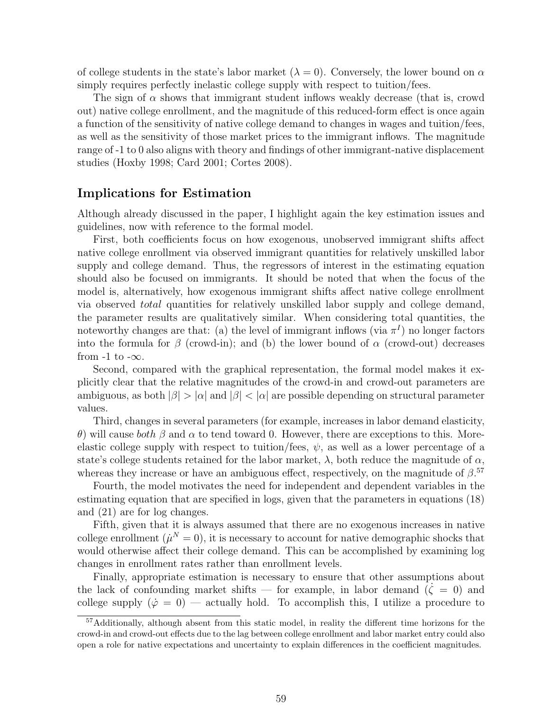of college students in the state's labor market  $(\lambda = 0)$ . Conversely, the lower bound on  $\alpha$ simply requires perfectly inelastic college supply with respect to tuition/fees.

The sign of  $\alpha$  shows that immigrant student inflows weakly decrease (that is, crowd out) native college enrollment, and the magnitude of this reduced-form effect is once again a function of the sensitivity of native college demand to changes in wages and tuition/fees, as well as the sensitivity of those market prices to the immigrant inflows. The magnitude range of -1 to 0 also aligns with theory and findings of other immigrant-native displacement studies (Hoxby 1998; Card 2001; Cortes 2008).

#### Implications for Estimation

Although already discussed in the paper, I highlight again the key estimation issues and guidelines, now with reference to the formal model.

First, both coefficients focus on how exogenous, unobserved immigrant shifts affect native college enrollment via observed immigrant quantities for relatively unskilled labor supply and college demand. Thus, the regressors of interest in the estimating equation should also be focused on immigrants. It should be noted that when the focus of the model is, alternatively, how exogenous immigrant shifts affect native college enrollment via observed total quantities for relatively unskilled labor supply and college demand, the parameter results are qualitatively similar. When considering total quantities, the noteworthy changes are that: (a) the level of immigrant inflows (via  $\pi^{I}$ ) no longer factors into the formula for  $\beta$  (crowd-in); and (b) the lower bound of  $\alpha$  (crowd-out) decreases from  $-1$  to  $-\infty$ .

Second, compared with the graphical representation, the formal model makes it explicitly clear that the relative magnitudes of the crowd-in and crowd-out parameters are ambiguous, as both  $|\beta| > |\alpha|$  and  $|\beta| < |\alpha|$  are possible depending on structural parameter values.

Third, changes in several parameters (for example, increases in labor demand elasticity, θ) will cause both β and α to tend toward 0. However, there are exceptions to this. Moreelastic college supply with respect to tuition/fees,  $\psi$ , as well as a lower percentage of a state's college students retained for the labor market,  $\lambda$ , both reduce the magnitude of  $\alpha$ , whereas they increase or have an ambiguous effect, respectively, on the magnitude of  $\beta$ .<sup>57</sup>

Fourth, the model motivates the need for independent and dependent variables in the estimating equation that are specified in logs, given that the parameters in equations (18) and (21) are for log changes.

Fifth, given that it is always assumed that there are no exogenous increases in native college enrollment  $(\mu^N = 0)$ , it is necessary to account for native demographic shocks that would otherwise affect their college demand. This can be accomplished by examining log changes in enrollment rates rather than enrollment levels.

Finally, appropriate estimation is necessary to ensure that other assumptions about the lack of confounding market shifts — for example, in labor demand  $(\zeta = 0)$  and college supply  $(\dot{\varphi} = 0)$  — actually hold. To accomplish this, I utilize a procedure to

<sup>57</sup>Additionally, although absent from this static model, in reality the different time horizons for the crowd-in and crowd-out effects due to the lag between college enrollment and labor market entry could also open a role for native expectations and uncertainty to explain differences in the coefficient magnitudes.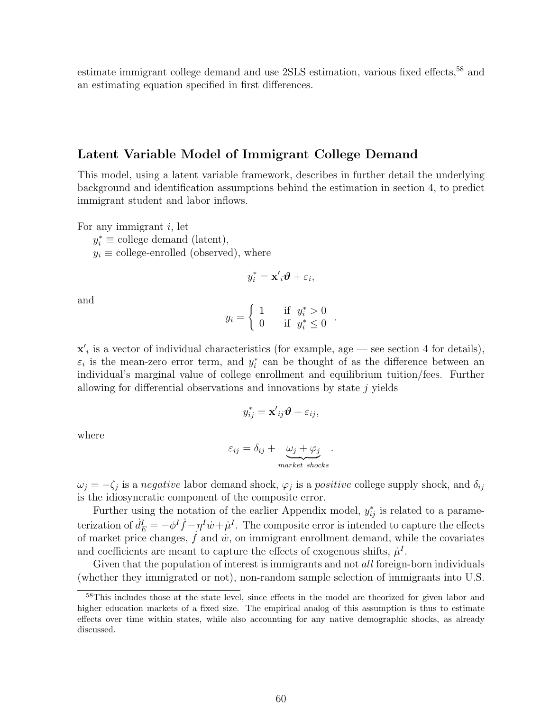estimate immigrant college demand and use 2SLS estimation, various fixed effects,<sup>58</sup> and an estimating equation specified in first differences.

#### Latent Variable Model of Immigrant College Demand

This model, using a latent variable framework, describes in further detail the underlying background and identification assumptions behind the estimation in section 4, to predict immigrant student and labor inflows.

For any immigrant  $i$ , let

 $y_i^* \equiv$  college demand (latent),

 $y_i \equiv$  college-enrolled (observed), where

$$
y_i^* = \mathbf{x'}_i \boldsymbol{\vartheta} + \varepsilon_i,
$$

and

$$
y_i = \begin{cases} 1 & \text{if } y_i^* > 0 \\ 0 & \text{if } y_i^* \le 0 \end{cases}.
$$

 $x'$ <sub>i</sub> is a vector of individual characteristics (for example, age – see section 4 for details),  $\varepsilon_i$  is the mean-zero error term, and  $y_i^*$  can be thought of as the difference between an individual's marginal value of college enrollment and equilibrium tuition/fees. Further allowing for differential observations and innovations by state  $j$  yields

$$
y_{ij}^* = \mathbf{x'}_{ij}\boldsymbol{\vartheta} + \varepsilon_{ij},
$$

where

$$
\varepsilon_{ij} = \delta_{ij} + \underbrace{\omega_j + \varphi_j}_{market \; shocks}.
$$

 $\omega_j = -\zeta_j$  is a negative labor demand shock,  $\varphi_j$  is a positive college supply shock, and  $\delta_{ij}$ is the idiosyncratic component of the composite error.

Further using the notation of the earlier Appendix model,  $y_{ij}^*$  is related to a parameterization of  $d_E^I = -\phi^I \dot{f} - \eta^I \dot{w} + \dot{\mu}^I$ . The composite error is intended to capture the effects of market price changes,  $\dot{f}$  and  $\dot{w}$ , on immigrant enrollment demand, while the covariates and coefficients are meant to capture the effects of exogenous shifts,  $\mu^I$ .

Given that the population of interest is immigrants and not *all* foreign-born individuals (whether they immigrated or not), non-random sample selection of immigrants into U.S.

<sup>58</sup>This includes those at the state level, since effects in the model are theorized for given labor and higher education markets of a fixed size. The empirical analog of this assumption is thus to estimate effects over time within states, while also accounting for any native demographic shocks, as already discussed.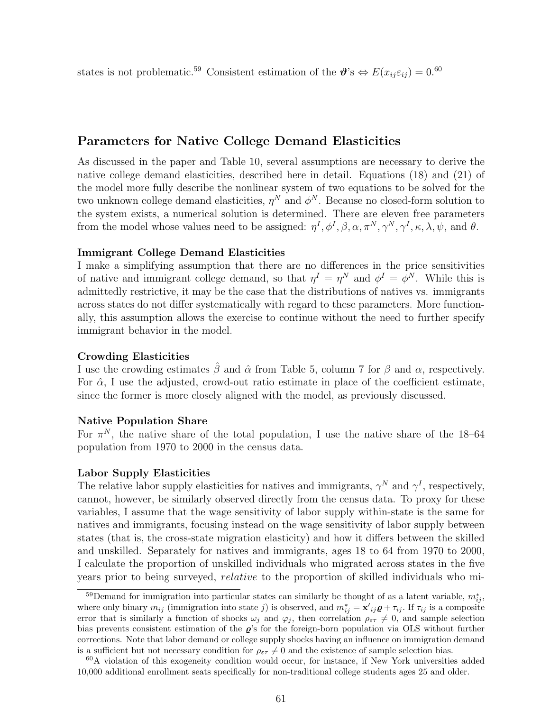states is not problematic.<sup>59</sup> Consistent estimation of the  $\mathbf{\hat{\theta}}$ 's  $\Leftrightarrow E(x_{ij}\varepsilon_{ij}) = 0.60$ 

### Parameters for Native College Demand Elasticities

As discussed in the paper and Table 10, several assumptions are necessary to derive the native college demand elasticities, described here in detail. Equations (18) and (21) of the model more fully describe the nonlinear system of two equations to be solved for the two unknown college demand elasticities,  $\eta^N$  and  $\phi^N$ . Because no closed-form solution to the system exists, a numerical solution is determined. There are eleven free parameters from the model whose values need to be assigned:  $\eta^I, \phi^I, \beta, \alpha, \pi^N, \gamma^N, \gamma^I, \kappa, \lambda, \psi$ , and  $\theta$ .

#### Immigrant College Demand Elasticities

I make a simplifying assumption that there are no differences in the price sensitivities of native and immigrant college demand, so that  $\eta^I = \eta^N$  and  $\phi^I = \phi^N$ . While this is admittedly restrictive, it may be the case that the distributions of natives vs. immigrants across states do not differ systematically with regard to these parameters. More functionally, this assumption allows the exercise to continue without the need to further specify immigrant behavior in the model.

#### Crowding Elasticities

I use the crowding estimates  $\hat{\beta}$  and  $\hat{\alpha}$  from Table 5, column 7 for  $\beta$  and  $\alpha$ , respectively. For  $\hat{\alpha}$ , I use the adjusted, crowd-out ratio estimate in place of the coefficient estimate, since the former is more closely aligned with the model, as previously discussed.

#### Native Population Share

For  $\pi^N$ , the native share of the total population, I use the native share of the 18–64 population from 1970 to 2000 in the census data.

#### Labor Supply Elasticities

The relative labor supply elasticities for natives and immigrants,  $\gamma^N$  and  $\gamma^I$ , respectively, cannot, however, be similarly observed directly from the census data. To proxy for these variables, I assume that the wage sensitivity of labor supply within-state is the same for natives and immigrants, focusing instead on the wage sensitivity of labor supply between states (that is, the cross-state migration elasticity) and how it differs between the skilled and unskilled. Separately for natives and immigrants, ages 18 to 64 from 1970 to 2000, I calculate the proportion of unskilled individuals who migrated across states in the five years prior to being surveyed, relative to the proportion of skilled individuals who mi-

<sup>&</sup>lt;sup>59</sup>Demand for immigration into particular states can similarly be thought of as a latent variable,  $m_{ij}^*$ , where only binary  $m_{ij}$  (immigration into state j) is observed, and  $m_{ij}^* = \mathbf{x}'_{ij} \mathbf{Q} + \tau_{ij}$ . If  $\tau_{ij}$  is a composite error that is similarly a function of shocks  $\omega_j$  and  $\varphi_j$ , then correlation  $\rho_{\varepsilon\tau} \neq 0$ , and sample selection bias prevents consistent estimation of the  $\rho$ 's for the foreign-born population via OLS without further corrections. Note that labor demand or college supply shocks having an influence on immigration demand is a sufficient but not necessary condition for  $\rho_{\varepsilon\tau}\neq 0$  and the existence of sample selection bias.

 $60A$  violation of this exogeneity condition would occur, for instance, if New York universities added 10,000 additional enrollment seats specifically for non-traditional college students ages 25 and older.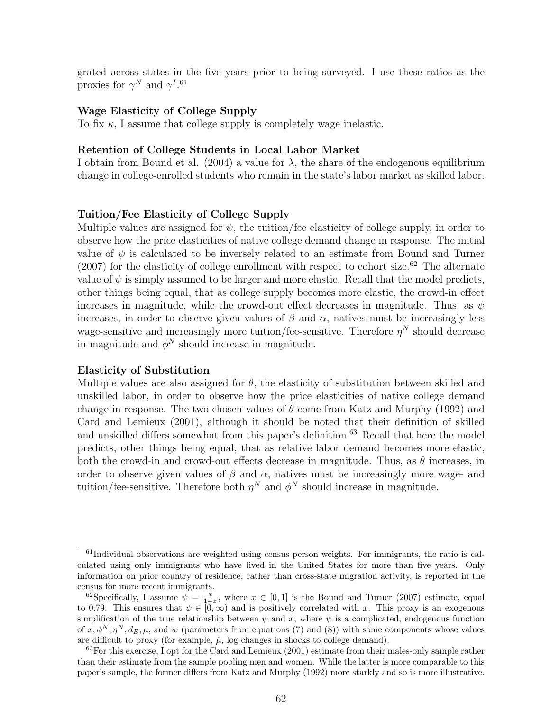grated across states in the five years prior to being surveyed. I use these ratios as the proxies for  $\gamma^N$  and  $\gamma^{I.61}$ 

#### Wage Elasticity of College Supply

To fix  $\kappa$ , I assume that college supply is completely wage inelastic.

#### Retention of College Students in Local Labor Market

I obtain from Bound et al. (2004) a value for  $\lambda$ , the share of the endogenous equilibrium change in college-enrolled students who remain in the state's labor market as skilled labor.

#### Tuition/Fee Elasticity of College Supply

Multiple values are assigned for  $\psi$ , the tuition/fee elasticity of college supply, in order to observe how the price elasticities of native college demand change in response. The initial value of  $\psi$  is calculated to be inversely related to an estimate from Bound and Turner  $(2007)$  for the elasticity of college enrollment with respect to cohort size.<sup>62</sup> The alternate value of  $\psi$  is simply assumed to be larger and more elastic. Recall that the model predicts, other things being equal, that as college supply becomes more elastic, the crowd-in effect increases in magnitude, while the crowd-out effect decreases in magnitude. Thus, as  $\psi$ increases, in order to observe given values of  $\beta$  and  $\alpha$ , natives must be increasingly less wage-sensitive and increasingly more tuition/fee-sensitive. Therefore  $\eta^N$  should decrease in magnitude and  $\phi^N$  should increase in magnitude.

#### Elasticity of Substitution

Multiple values are also assigned for  $\theta$ , the elasticity of substitution between skilled and unskilled labor, in order to observe how the price elasticities of native college demand change in response. The two chosen values of  $\theta$  come from Katz and Murphy (1992) and Card and Lemieux (2001), although it should be noted that their definition of skilled and unskilled differs somewhat from this paper's definition.<sup>63</sup> Recall that here the model predicts, other things being equal, that as relative labor demand becomes more elastic, both the crowd-in and crowd-out effects decrease in magnitude. Thus, as  $\theta$  increases, in order to observe given values of  $\beta$  and  $\alpha$ , natives must be increasingly more wage- and tuition/fee-sensitive. Therefore both  $\eta^N$  and  $\phi^N$  should increase in magnitude.

 $61$ Individual observations are weighted using census person weights. For immigrants, the ratio is calculated using only immigrants who have lived in the United States for more than five years. Only information on prior country of residence, rather than cross-state migration activity, is reported in the census for more recent immigrants.

<sup>&</sup>lt;sup>62</sup>Specifically, I assume  $\psi = \frac{x}{1-x}$ , where  $x \in [0,1]$  is the Bound and Turner (2007) estimate, equal to 0.79. This ensures that  $\psi \in [0, \infty)$  and is positively correlated with x. This proxy is an exogenous simplification of the true relationship between  $\psi$  and x, where  $\psi$  is a complicated, endogenous function of  $x, \phi^N, \eta^N, d_E, \mu$ , and w (parameters from equations (7) and (8)) with some components whose values are difficult to proxy (for example,  $\mu$ , log changes in shocks to college demand).

 $63$  For this exercise, I opt for the Card and Lemieux (2001) estimate from their males-only sample rather than their estimate from the sample pooling men and women. While the latter is more comparable to this paper's sample, the former differs from Katz and Murphy (1992) more starkly and so is more illustrative.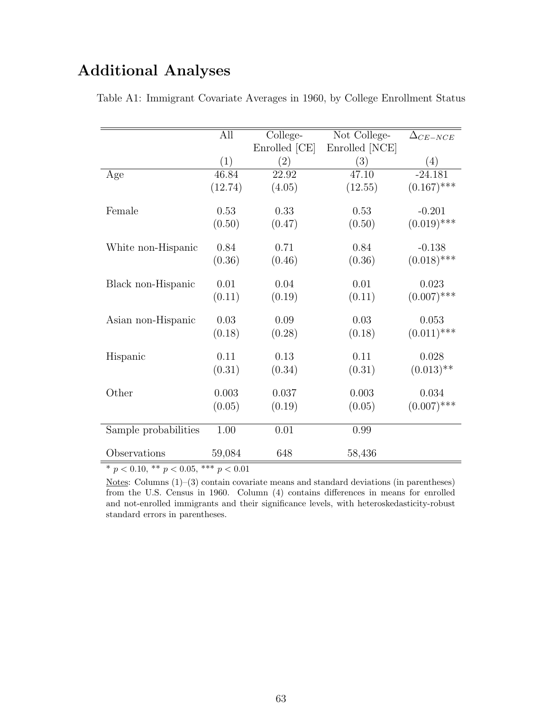## Additional Analyses

|                      | All     | College-      | Not College-   | $\Delta_{CE-NCE}$ |
|----------------------|---------|---------------|----------------|-------------------|
|                      |         | Enrolled [CE] | Enrolled [NCE] |                   |
|                      | (1)     | (2)           | (3)            | (4)               |
| Age                  | 46.84   | 22.92         | 47.10          | $-24.181$         |
|                      | (12.74) | (4.05)        | (12.55)        | $(0.167)$ ***     |
| Female               | 0.53    | 0.33          | 0.53           | $-0.201$          |
|                      | (0.50)  | (0.47)        | (0.50)         | $(0.019)$ ***     |
| White non-Hispanic   | 0.84    | 0.71          | 0.84           | $-0.138$          |
|                      | (0.36)  | (0.46)        | (0.36)         | $(0.018)$ ***     |
| Black non-Hispanic   | 0.01    | 0.04          | 0.01           | 0.023             |
|                      | (0.11)  | (0.19)        | (0.11)         | $(0.007)$ ***     |
| Asian non-Hispanic   | 0.03    | 0.09          | 0.03           | 0.053             |
|                      | (0.18)  | (0.28)        | (0.18)         | $(0.011)$ ***     |
| Hispanic             | 0.11    | 0.13          | 0.11           | 0.028             |
|                      | (0.31)  | (0.34)        | (0.31)         | $(0.013)$ **      |
| Other                | 0.003   | 0.037         | 0.003          | 0.034             |
|                      | (0.05)  | (0.19)        | (0.05)         | $(0.007)$ ***     |
| Sample probabilities | 1.00    | 0.01          | 0.99           |                   |
| Observations         | 59,084  | 648           | 58,436         |                   |

Table A1: Immigrant Covariate Averages in 1960, by College Enrollment Status

\*  $p < 0.10$ , \*\*  $p < 0.05$ , \*\*\*  $p < 0.01$ 

Notes: Columns (1)–(3) contain covariate means and standard deviations (in parentheses) from the U.S. Census in 1960. Column (4) contains differences in means for enrolled and not-enrolled immigrants and their significance levels, with heteroskedasticity-robust standard errors in parentheses.